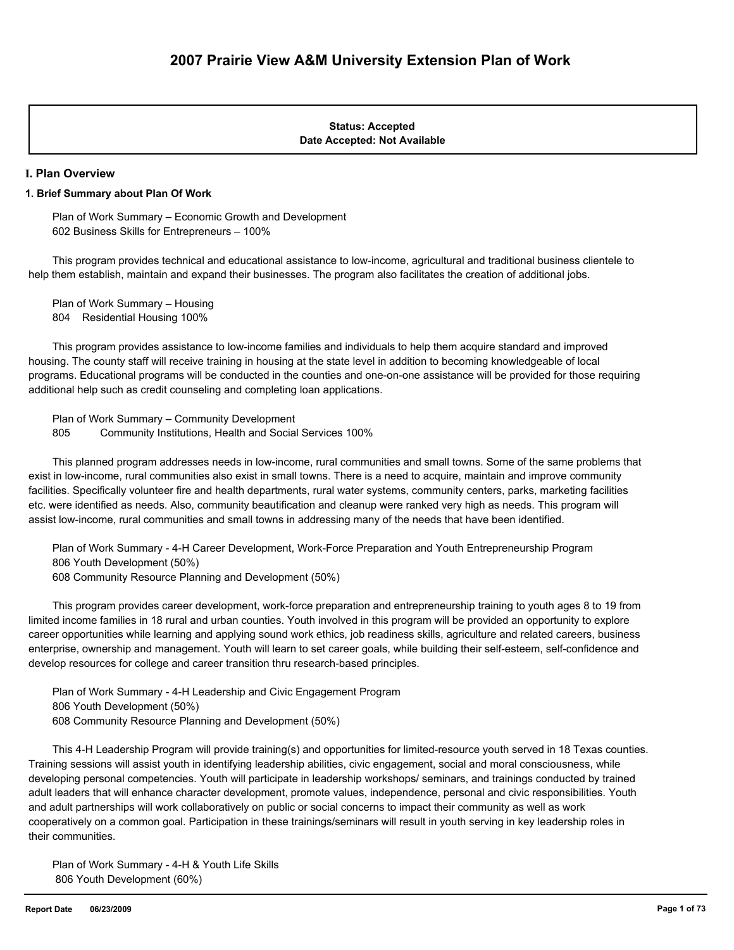#### **Date Accepted: Not Available Status: Accepted**

#### **I. Plan Overview**

#### **1. Brief Summary about Plan Of Work**

 Plan of Work Summary – Economic Growth and Development 602 Business Skills for Entrepreneurs – 100%

 This program provides technical and educational assistance to low-income, agricultural and traditional business clientele to help them establish, maintain and expand their businesses. The program also facilitates the creation of additional jobs.

 Plan of Work Summary – Housing 804 Residential Housing 100%

 This program provides assistance to low-income families and individuals to help them acquire standard and improved housing. The county staff will receive training in housing at the state level in addition to becoming knowledgeable of local programs. Educational programs will be conducted in the counties and one-on-one assistance will be provided for those requiring additional help such as credit counseling and completing loan applications.

 Plan of Work Summary – Community Development 805 Community Institutions, Health and Social Services 100%

 This planned program addresses needs in low-income, rural communities and small towns. Some of the same problems that exist in low-income, rural communities also exist in small towns. There is a need to acquire, maintain and improve community facilities. Specifically volunteer fire and health departments, rural water systems, community centers, parks, marketing facilities etc. were identified as needs. Also, community beautification and cleanup were ranked very high as needs. This program will assist low-income, rural communities and small towns in addressing many of the needs that have been identified.

 Plan of Work Summary - 4-H Career Development, Work-Force Preparation and Youth Entrepreneurship Program 806 Youth Development (50%)

608 Community Resource Planning and Development (50%)

 This program provides career development, work-force preparation and entrepreneurship training to youth ages 8 to 19 from limited income families in 18 rural and urban counties. Youth involved in this program will be provided an opportunity to explore career opportunities while learning and applying sound work ethics, job readiness skills, agriculture and related careers, business enterprise, ownership and management. Youth will learn to set career goals, while building their self-esteem, self-confidence and develop resources for college and career transition thru research-based principles.

 Plan of Work Summary - 4-H Leadership and Civic Engagement Program 806 Youth Development (50%) 608 Community Resource Planning and Development (50%)

 This 4-H Leadership Program will provide training(s) and opportunities for limited-resource youth served in 18 Texas counties. Training sessions will assist youth in identifying leadership abilities, civic engagement, social and moral consciousness, while developing personal competencies. Youth will participate in leadership workshops/ seminars, and trainings conducted by trained adult leaders that will enhance character development, promote values, independence, personal and civic responsibilities. Youth and adult partnerships will work collaboratively on public or social concerns to impact their community as well as work cooperatively on a common goal. Participation in these trainings/seminars will result in youth serving in key leadership roles in their communities.

 Plan of Work Summary - 4-H & Youth Life Skills 806 Youth Development (60%)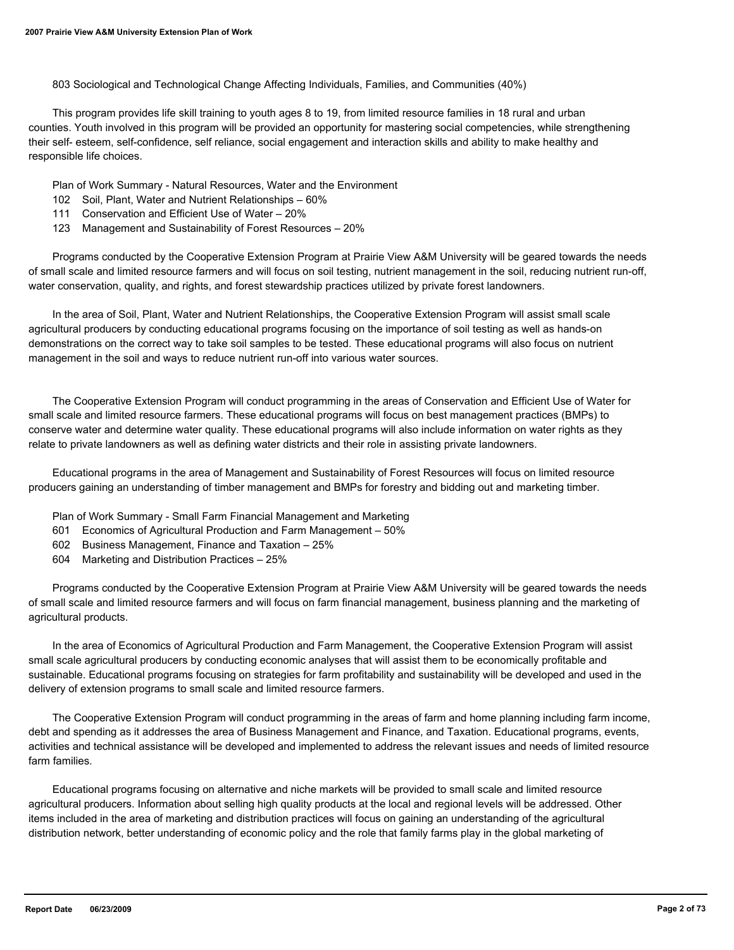803 Sociological and Technological Change Affecting Individuals, Families, and Communities (40%)

 This program provides life skill training to youth ages 8 to 19, from limited resource families in 18 rural and urban counties. Youth involved in this program will be provided an opportunity for mastering social competencies, while strengthening their self- esteem, self-confidence, self reliance, social engagement and interaction skills and ability to make healthy and responsible life choices.

Plan of Work Summary - Natural Resources, Water and the Environment

- 102 Soil, Plant, Water and Nutrient Relationships 60%
- 111 Conservation and Efficient Use of Water 20%
- 123 Management and Sustainability of Forest Resources 20%

 Programs conducted by the Cooperative Extension Program at Prairie View A&M University will be geared towards the needs of small scale and limited resource farmers and will focus on soil testing, nutrient management in the soil, reducing nutrient run-off, water conservation, quality, and rights, and forest stewardship practices utilized by private forest landowners.

 In the area of Soil, Plant, Water and Nutrient Relationships, the Cooperative Extension Program will assist small scale agricultural producers by conducting educational programs focusing on the importance of soil testing as well as hands-on demonstrations on the correct way to take soil samples to be tested. These educational programs will also focus on nutrient management in the soil and ways to reduce nutrient run-off into various water sources.

 The Cooperative Extension Program will conduct programming in the areas of Conservation and Efficient Use of Water for small scale and limited resource farmers. These educational programs will focus on best management practices (BMPs) to conserve water and determine water quality. These educational programs will also include information on water rights as they relate to private landowners as well as defining water districts and their role in assisting private landowners.

 Educational programs in the area of Management and Sustainability of Forest Resources will focus on limited resource producers gaining an understanding of timber management and BMPs for forestry and bidding out and marketing timber.

- Plan of Work Summary Small Farm Financial Management and Marketing
- 601 Economics of Agricultural Production and Farm Management 50%
- 602 Business Management, Finance and Taxation 25%
- 604 Marketing and Distribution Practices 25%

 Programs conducted by the Cooperative Extension Program at Prairie View A&M University will be geared towards the needs of small scale and limited resource farmers and will focus on farm financial management, business planning and the marketing of agricultural products.

 In the area of Economics of Agricultural Production and Farm Management, the Cooperative Extension Program will assist small scale agricultural producers by conducting economic analyses that will assist them to be economically profitable and sustainable. Educational programs focusing on strategies for farm profitability and sustainability will be developed and used in the delivery of extension programs to small scale and limited resource farmers.

 The Cooperative Extension Program will conduct programming in the areas of farm and home planning including farm income, debt and spending as it addresses the area of Business Management and Finance, and Taxation. Educational programs, events, activities and technical assistance will be developed and implemented to address the relevant issues and needs of limited resource farm families.

 Educational programs focusing on alternative and niche markets will be provided to small scale and limited resource agricultural producers. Information about selling high quality products at the local and regional levels will be addressed. Other items included in the area of marketing and distribution practices will focus on gaining an understanding of the agricultural distribution network, better understanding of economic policy and the role that family farms play in the global marketing of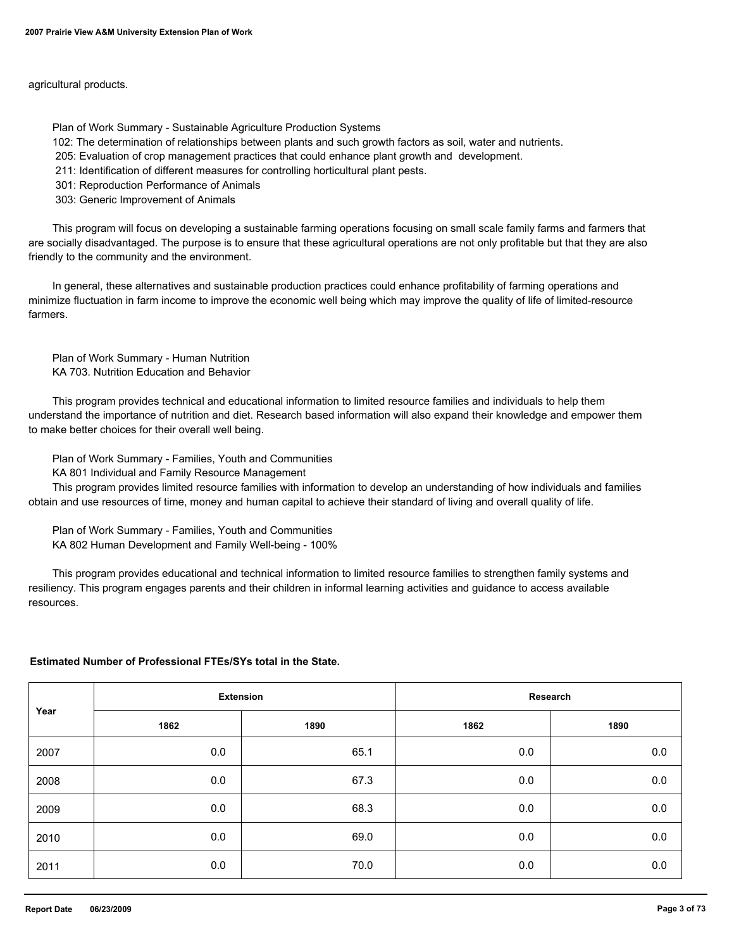agricultural products.

Plan of Work Summary - Sustainable Agriculture Production Systems

102: The determination of relationships between plants and such growth factors as soil, water and nutrients.

205: Evaluation of crop management practices that could enhance plant growth and development.

211: Identification of different measures for controlling horticultural plant pests.

301: Reproduction Performance of Animals

303: Generic Improvement of Animals

 This program will focus on developing a sustainable farming operations focusing on small scale family farms and farmers that are socially disadvantaged. The purpose is to ensure that these agricultural operations are not only profitable but that they are also friendly to the community and the environment.

 In general, these alternatives and sustainable production practices could enhance profitability of farming operations and minimize fluctuation in farm income to improve the economic well being which may improve the quality of life of limited-resource farmers.

 Plan of Work Summary - Human Nutrition KA 703. Nutrition Education and Behavior

 This program provides technical and educational information to limited resource families and individuals to help them understand the importance of nutrition and diet. Research based information will also expand their knowledge and empower them to make better choices for their overall well being.

Plan of Work Summary - Families, Youth and Communities

KA 801 Individual and Family Resource Management

 This program provides limited resource families with information to develop an understanding of how individuals and families obtain and use resources of time, money and human capital to achieve their standard of living and overall quality of life.

 Plan of Work Summary - Families, Youth and Communities KA 802 Human Development and Family Well-being - 100%

 This program provides educational and technical information to limited resource families to strengthen family systems and resiliency. This program engages parents and their children in informal learning activities and guidance to access available resources.

#### **Estimated Number of Professional FTEs/SYs total in the State.**

| Year | <b>Extension</b> |      | Research |         |
|------|------------------|------|----------|---------|
|      | 1862             | 1890 | 1862     | 1890    |
| 2007 | $0.0\,$          | 65.1 | 0.0      | $0.0\,$ |
| 2008 | 0.0              | 67.3 | 0.0      | $0.0\,$ |
| 2009 | 0.0              | 68.3 | 0.0      | 0.0     |
| 2010 | 0.0              | 69.0 | 0.0      | $0.0\,$ |
| 2011 | 0.0              | 70.0 | 0.0      | $0.0\,$ |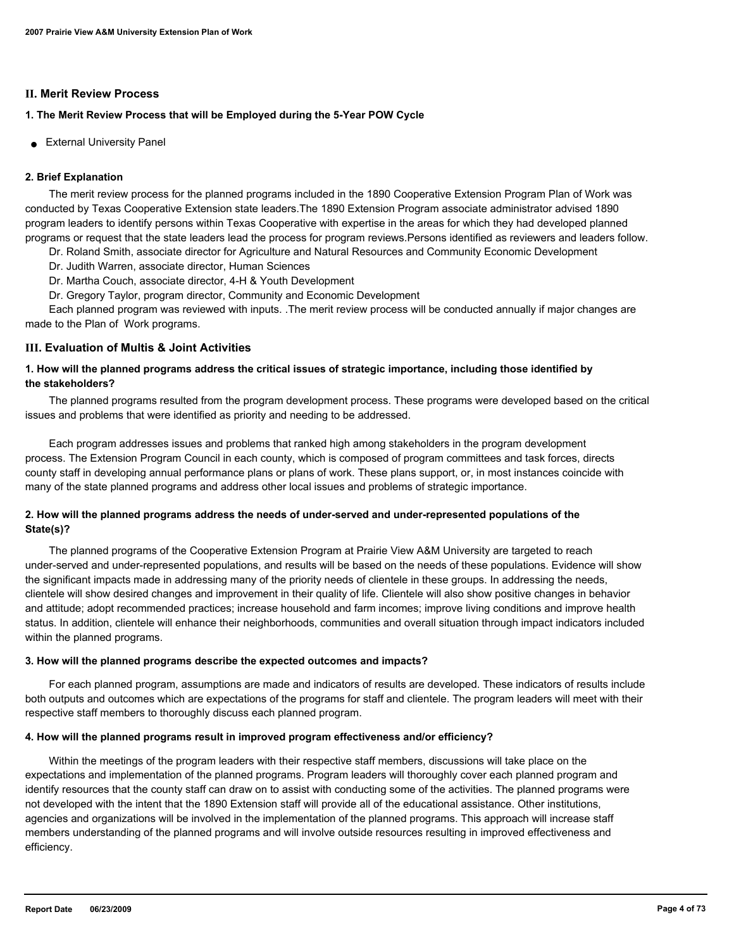#### **II. Merit Review Process**

## **1. The Merit Review Process that will be Employed during the 5-Year POW Cycle**

● External University Panel

## **2. Brief Explanation**

 The merit review process for the planned programs included in the 1890 Cooperative Extension Program Plan of Work was conducted by Texas Cooperative Extension state leaders.The 1890 Extension Program associate administrator advised 1890 program leaders to identify persons within Texas Cooperative with expertise in the areas for which they had developed planned programs or request that the state leaders lead the process for program reviews.Persons identified as reviewers and leaders follow.

- Dr. Roland Smith, associate director for Agriculture and Natural Resources and Community Economic Development
- Dr. Judith Warren, associate director, Human Sciences
- Dr. Martha Couch, associate director, 4-H & Youth Development
- Dr. Gregory Taylor, program director, Community and Economic Development

 Each planned program was reviewed with inputs. .The merit review process will be conducted annually if major changes are made to the Plan of Work programs.

## **III. Evaluation of Multis & Joint Activities**

## **1. How will the planned programs address the critical issues of strategic importance, including those identified by the stakeholders?**

 The planned programs resulted from the program development process. These programs were developed based on the critical issues and problems that were identified as priority and needing to be addressed.

 Each program addresses issues and problems that ranked high among stakeholders in the program development process. The Extension Program Council in each county, which is composed of program committees and task forces, directs county staff in developing annual performance plans or plans of work. These plans support, or, in most instances coincide with many of the state planned programs and address other local issues and problems of strategic importance.

## **2. How will the planned programs address the needs of under-served and under-represented populations of the State(s)?**

 The planned programs of the Cooperative Extension Program at Prairie View A&M University are targeted to reach under-served and under-represented populations, and results will be based on the needs of these populations. Evidence will show the significant impacts made in addressing many of the priority needs of clientele in these groups. In addressing the needs, clientele will show desired changes and improvement in their quality of life. Clientele will also show positive changes in behavior and attitude; adopt recommended practices; increase household and farm incomes; improve living conditions and improve health status. In addition, clientele will enhance their neighborhoods, communities and overall situation through impact indicators included within the planned programs.

## **3. How will the planned programs describe the expected outcomes and impacts?**

 For each planned program, assumptions are made and indicators of results are developed. These indicators of results include both outputs and outcomes which are expectations of the programs for staff and clientele. The program leaders will meet with their respective staff members to thoroughly discuss each planned program.

## **4. How will the planned programs result in improved program effectiveness and/or efficiency?**

 Within the meetings of the program leaders with their respective staff members, discussions will take place on the expectations and implementation of the planned programs. Program leaders will thoroughly cover each planned program and identify resources that the county staff can draw on to assist with conducting some of the activities. The planned programs were not developed with the intent that the 1890 Extension staff will provide all of the educational assistance. Other institutions, agencies and organizations will be involved in the implementation of the planned programs. This approach will increase staff members understanding of the planned programs and will involve outside resources resulting in improved effectiveness and efficiency.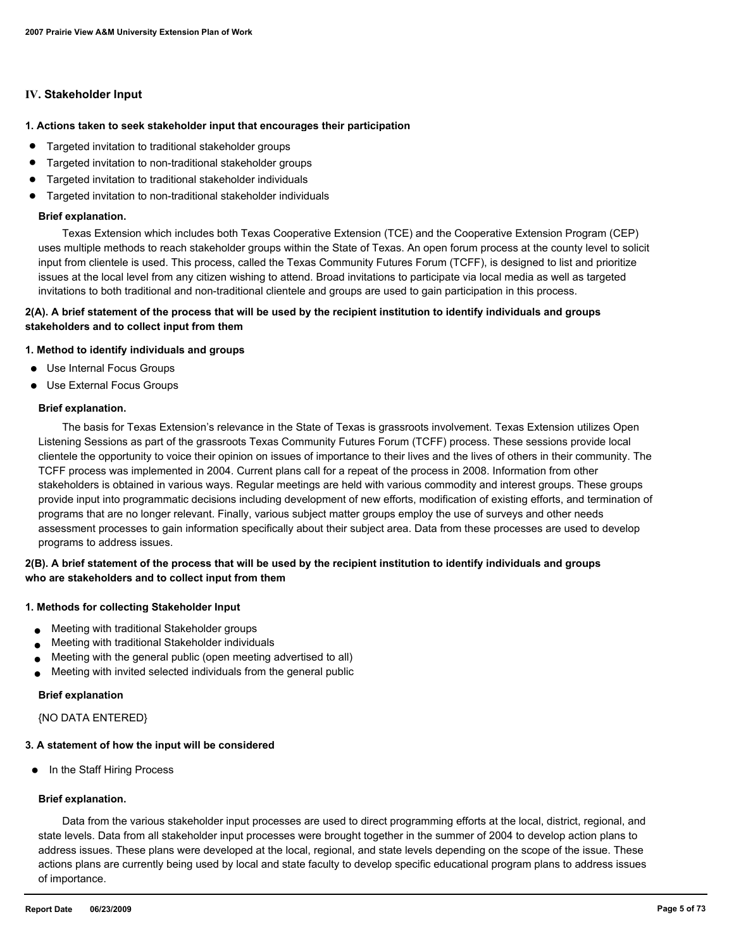#### **IV. Stakeholder Input**

#### **1. Actions taken to seek stakeholder input that encourages their participation**

- Targeted invitation to traditional stakeholder groups
- Targeted invitation to non-traditional stakeholder groups
- Targeted invitation to traditional stakeholder individuals
- Targeted invitation to non-traditional stakeholder individuals

#### **Brief explanation.**

 Texas Extension which includes both Texas Cooperative Extension (TCE) and the Cooperative Extension Program (CEP) uses multiple methods to reach stakeholder groups within the State of Texas. An open forum process at the county level to solicit input from clientele is used. This process, called the Texas Community Futures Forum (TCFF), is designed to list and prioritize issues at the local level from any citizen wishing to attend. Broad invitations to participate via local media as well as targeted invitations to both traditional and non-traditional clientele and groups are used to gain participation in this process.

## **2(A). A brief statement of the process that will be used by the recipient institution to identify individuals and groups stakeholders and to collect input from them**

#### **1. Method to identify individuals and groups**

- Use Internal Focus Groups
- Use External Focus Groups

#### **Brief explanation.**

 The basis for Texas Extension's relevance in the State of Texas is grassroots involvement. Texas Extension utilizes Open Listening Sessions as part of the grassroots Texas Community Futures Forum (TCFF) process. These sessions provide local clientele the opportunity to voice their opinion on issues of importance to their lives and the lives of others in their community. The TCFF process was implemented in 2004. Current plans call for a repeat of the process in 2008. Information from other stakeholders is obtained in various ways. Regular meetings are held with various commodity and interest groups. These groups provide input into programmatic decisions including development of new efforts, modification of existing efforts, and termination of programs that are no longer relevant. Finally, various subject matter groups employ the use of surveys and other needs assessment processes to gain information specifically about their subject area. Data from these processes are used to develop programs to address issues.

## **2(B). A brief statement of the process that will be used by the recipient institution to identify individuals and groups who are stakeholders and to collect input from them**

#### **1. Methods for collecting Stakeholder Input**

- Meeting with traditional Stakeholder groups
- Meeting with traditional Stakeholder individuals
- Meeting with the general public (open meeting advertised to all)
- Meeting with invited selected individuals from the general public

#### **Brief explanation**

{NO DATA ENTERED}

#### **3. A statement of how the input will be considered**

● In the Staff Hiring Process

#### **Brief explanation.**

 Data from the various stakeholder input processes are used to direct programming efforts at the local, district, regional, and state levels. Data from all stakeholder input processes were brought together in the summer of 2004 to develop action plans to address issues. These plans were developed at the local, regional, and state levels depending on the scope of the issue. These actions plans are currently being used by local and state faculty to develop specific educational program plans to address issues of importance.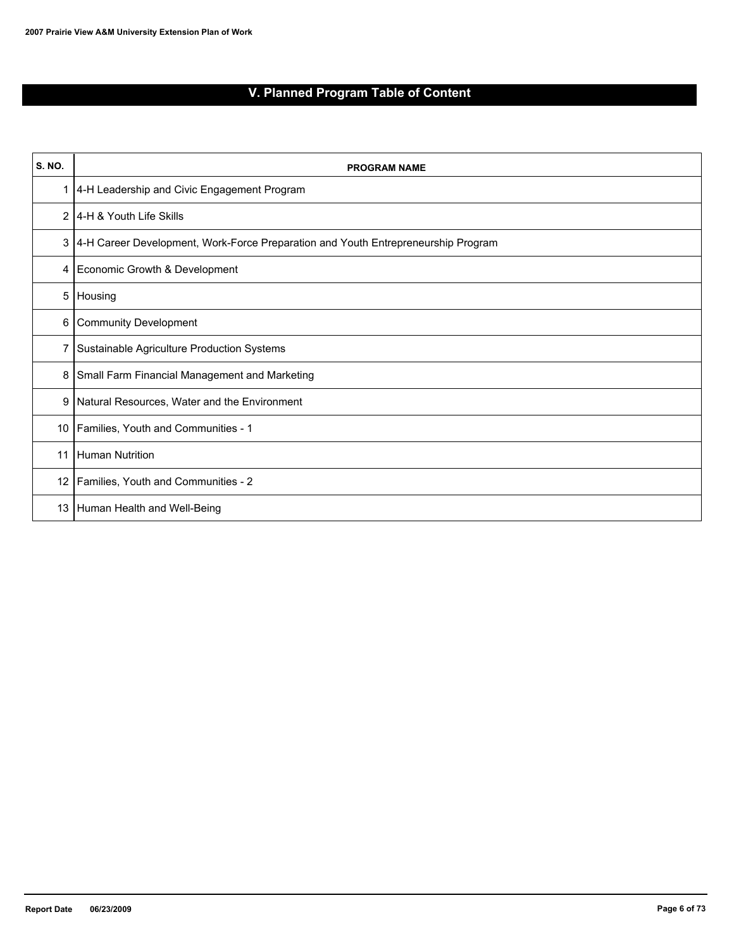# **V. Planned Program Table of Content**

| <b>S. NO.</b>  | <b>PROGRAM NAME</b>                                                               |
|----------------|-----------------------------------------------------------------------------------|
| 1              | 4-H Leadership and Civic Engagement Program                                       |
| $\overline{2}$ | 14-H & Youth Life Skills                                                          |
| 3              | 4-H Career Development, Work-Force Preparation and Youth Entrepreneurship Program |
| 4              | Economic Growth & Development                                                     |
| 5              | Housing                                                                           |
| 6              | Community Development                                                             |
| 7              | Sustainable Agriculture Production Systems                                        |
| 8              | Small Farm Financial Management and Marketing                                     |
| 9              | Natural Resources, Water and the Environment                                      |
| 10             | Families, Youth and Communities - 1                                               |
| 11             | Human Nutrition                                                                   |
| 12             | Families, Youth and Communities - 2                                               |
| 13             | Human Health and Well-Being                                                       |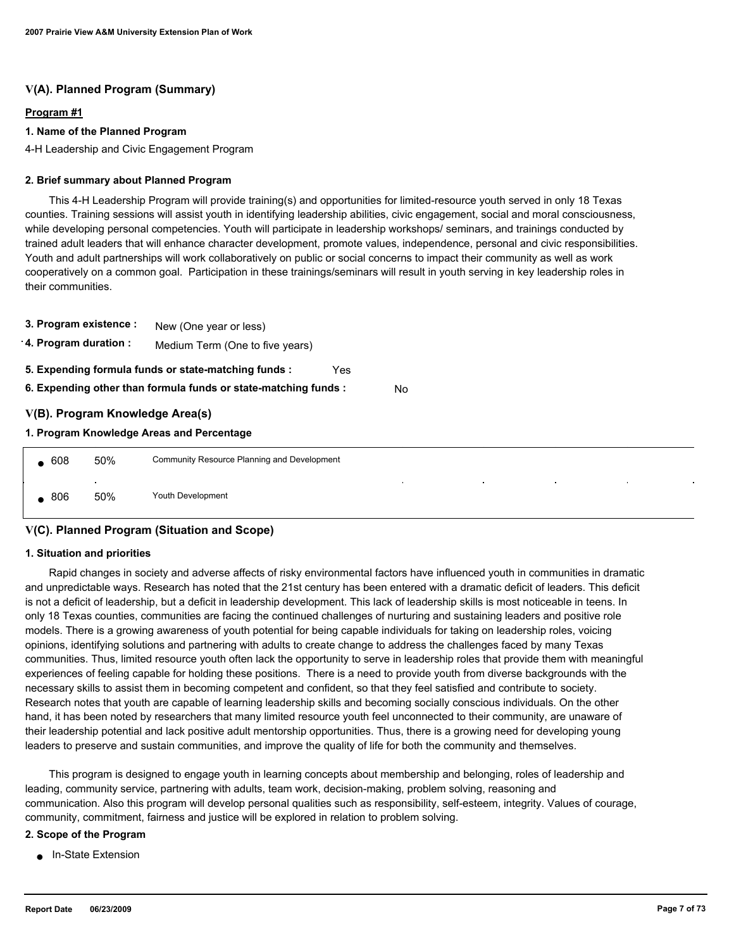## **V(A). Planned Program (Summary)**

#### **Program #1**

#### **1. Name of the Planned Program**

4-H Leadership and Civic Engagement Program

#### **2. Brief summary about Planned Program**

 This 4-H Leadership Program will provide training(s) and opportunities for limited-resource youth served in only 18 Texas counties. Training sessions will assist youth in identifying leadership abilities, civic engagement, social and moral consciousness, while developing personal competencies. Youth will participate in leadership workshops/ seminars, and trainings conducted by trained adult leaders that will enhance character development, promote values, independence, personal and civic responsibilities. Youth and adult partnerships will work collaboratively on public or social concerns to impact their community as well as work cooperatively on a common goal. Participation in these trainings/seminars will result in youth serving in key leadership roles in their communities.

| 3. Program existence : |                                                          | New (One year or less)                                                |  |  |  |
|------------------------|----------------------------------------------------------|-----------------------------------------------------------------------|--|--|--|
|                        | 4. Program duration :<br>Medium Term (One to five years) |                                                                       |  |  |  |
|                        |                                                          | 5. Expending formula funds or state-matching funds :<br>Yes           |  |  |  |
|                        |                                                          | 6. Expending other than formula funds or state-matching funds :<br>No |  |  |  |
|                        |                                                          | V(B). Program Knowledge Area(s)                                       |  |  |  |
|                        |                                                          | 1. Program Knowledge Areas and Percentage                             |  |  |  |
| $\bullet$ 608          | 50%                                                      | Community Resource Planning and Development                           |  |  |  |
|                        |                                                          | $\bullet$<br>$\sim$<br>٠                                              |  |  |  |

## **V(C). Planned Program (Situation and Scope)**

806 50% Youth Development

#### **1. Situation and priorities**

 Rapid changes in society and adverse affects of risky environmental factors have influenced youth in communities in dramatic and unpredictable ways. Research has noted that the 21st century has been entered with a dramatic deficit of leaders. This deficit is not a deficit of leadership, but a deficit in leadership development. This lack of leadership skills is most noticeable in teens. In only 18 Texas counties, communities are facing the continued challenges of nurturing and sustaining leaders and positive role models. There is a growing awareness of youth potential for being capable individuals for taking on leadership roles, voicing opinions, identifying solutions and partnering with adults to create change to address the challenges faced by many Texas communities. Thus, limited resource youth often lack the opportunity to serve in leadership roles that provide them with meaningful experiences of feeling capable for holding these positions. There is a need to provide youth from diverse backgrounds with the necessary skills to assist them in becoming competent and confident, so that they feel satisfied and contribute to society. Research notes that youth are capable of learning leadership skills and becoming socially conscious individuals. On the other hand, it has been noted by researchers that many limited resource youth feel unconnected to their community, are unaware of their leadership potential and lack positive adult mentorship opportunities. Thus, there is a growing need for developing young leaders to preserve and sustain communities, and improve the quality of life for both the community and themselves.

 This program is designed to engage youth in learning concepts about membership and belonging, roles of leadership and leading, community service, partnering with adults, team work, decision-making, problem solving, reasoning and communication. Also this program will develop personal qualities such as responsibility, self-esteem, integrity. Values of courage, community, commitment, fairness and justice will be explored in relation to problem solving.

#### **2. Scope of the Program**

■ In-State Extension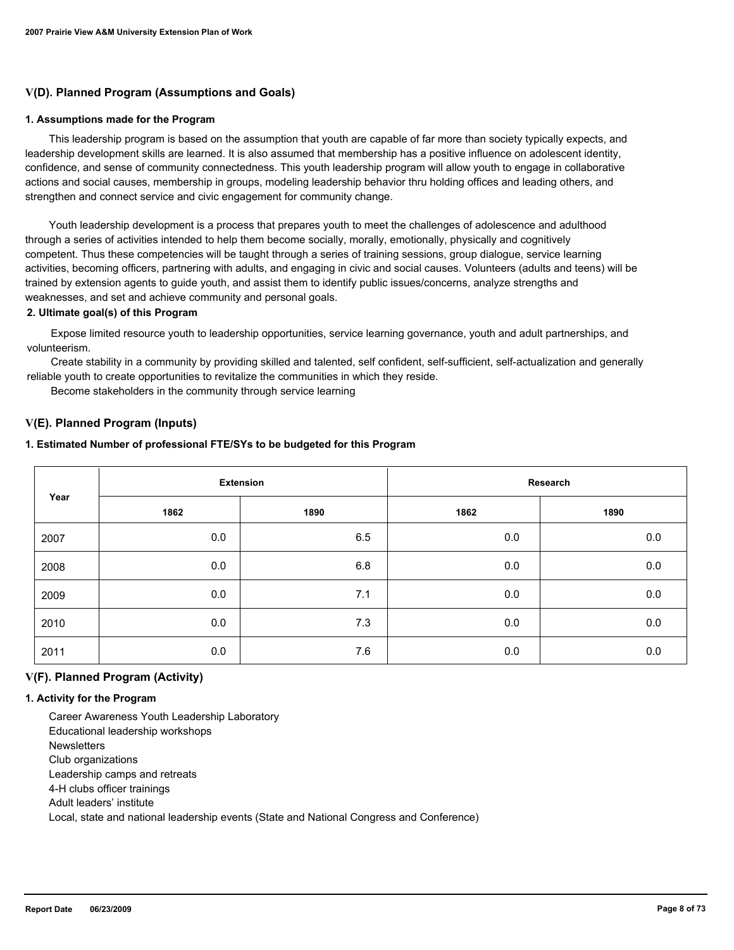## **V(D). Planned Program (Assumptions and Goals)**

#### **1. Assumptions made for the Program**

 This leadership program is based on the assumption that youth are capable of far more than society typically expects, and leadership development skills are learned. It is also assumed that membership has a positive influence on adolescent identity, confidence, and sense of community connectedness. This youth leadership program will allow youth to engage in collaborative actions and social causes, membership in groups, modeling leadership behavior thru holding offices and leading others, and strengthen and connect service and civic engagement for community change.

 Youth leadership development is a process that prepares youth to meet the challenges of adolescence and adulthood through a series of activities intended to help them become socially, morally, emotionally, physically and cognitively competent. Thus these competencies will be taught through a series of training sessions, group dialogue, service learning activities, becoming officers, partnering with adults, and engaging in civic and social causes. Volunteers (adults and teens) will be trained by extension agents to guide youth, and assist them to identify public issues/concerns, analyze strengths and weaknesses, and set and achieve community and personal goals.

#### **2. Ultimate goal(s) of this Program**

 Expose limited resource youth to leadership opportunities, service learning governance, youth and adult partnerships, and volunteerism.

 Create stability in a community by providing skilled and talented, self confident, self-sufficient, self-actualization and generally reliable youth to create opportunities to revitalize the communities in which they reside.

Become stakeholders in the community through service learning

## **V(E). Planned Program (Inputs)**

#### **1. Estimated Number of professional FTE/SYs to be budgeted for this Program**

| Year | <b>Extension</b> |      | Research |      |
|------|------------------|------|----------|------|
|      | 1862             | 1890 | 1862     | 1890 |
| 2007 | 0.0              | 6.5  | 0.0      | 0.0  |
| 2008 | 0.0              | 6.8  | 0.0      | 0.0  |
| 2009 | 0.0              | 7.1  | 0.0      | 0.0  |
| 2010 | 0.0              | 7.3  | 0.0      | 0.0  |
| 2011 | 0.0              | 7.6  | 0.0      | 0.0  |

#### **V(F). Planned Program (Activity)**

#### **1. Activity for the Program**

 Career Awareness Youth Leadership Laboratory Educational leadership workshops **Newsletters**  Club organizations Leadership camps and retreats 4-H clubs officer trainings Adult leaders' institute Local, state and national leadership events (State and National Congress and Conference)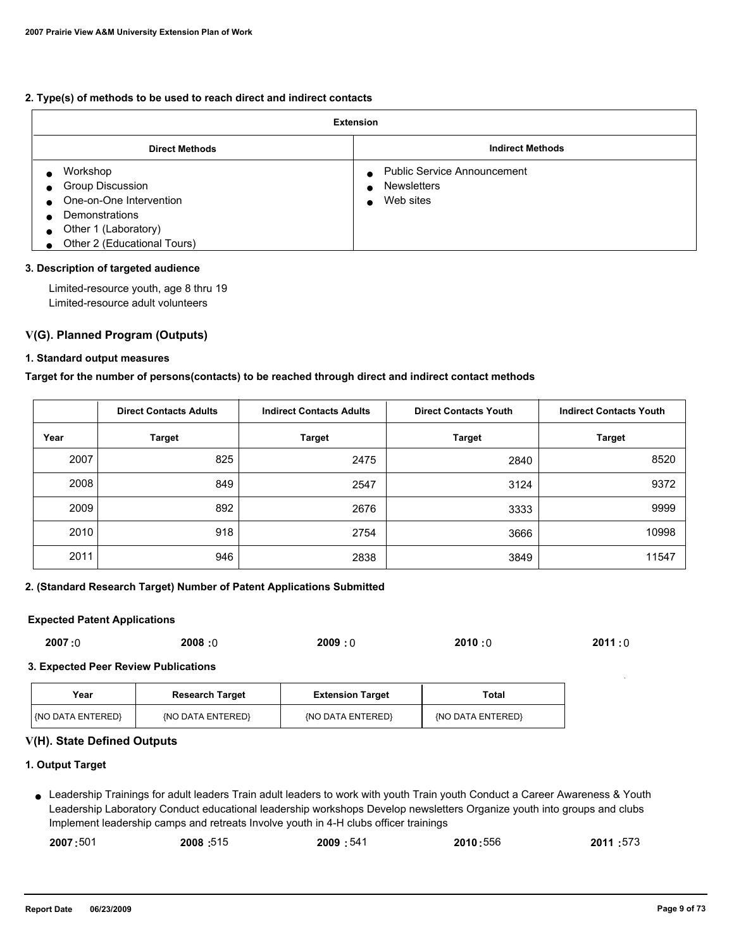#### **2. Type(s) of methods to be used to reach direct and indirect contacts**

| <b>Extension</b>                                                                                                                        |                                                                       |  |  |
|-----------------------------------------------------------------------------------------------------------------------------------------|-----------------------------------------------------------------------|--|--|
| <b>Direct Methods</b>                                                                                                                   | <b>Indirect Methods</b>                                               |  |  |
| Workshop<br>Group Discussion<br>One-on-One Intervention<br><b>Demonstrations</b><br>Other 1 (Laboratory)<br>Other 2 (Educational Tours) | <b>Public Service Announcement</b><br><b>Newsletters</b><br>Web sites |  |  |

#### **3. Description of targeted audience**

 Limited-resource youth, age 8 thru 19 Limited-resource adult volunteers

## **V(G). Planned Program (Outputs)**

#### **1. Standard output measures**

**Target for the number of persons(contacts) to be reached through direct and indirect contact methods**

|      | <b>Direct Contacts Adults</b> | <b>Indirect Contacts Adults</b> | <b>Direct Contacts Youth</b> | <b>Indirect Contacts Youth</b> |
|------|-------------------------------|---------------------------------|------------------------------|--------------------------------|
| Year | <b>Target</b>                 | <b>Target</b>                   | <b>Target</b>                | <b>Target</b>                  |
| 2007 | 825                           | 2475                            | 2840                         | 8520                           |
| 2008 | 849                           | 2547                            | 3124                         | 9372                           |
| 2009 | 892                           | 2676                            | 3333                         | 9999                           |
| 2010 | 918                           | 2754                            | 3666                         | 10998                          |
| 2011 | 946                           | 2838                            | 3849                         | 11547                          |

## **2. (Standard Research Target) Number of Patent Applications Submitted**

## **Expected Patent Applications**

| 2008:0<br>2009:0<br>2007:0 | 2010:0<br>2011:0 |
|----------------------------|------------------|
|----------------------------|------------------|

#### **3. Expected Peer Review Publications**

| Year                | <b>Research Target</b> | <b>Extension Target</b> | Total             |
|---------------------|------------------------|-------------------------|-------------------|
| l (NO DATA ENTERED) | (NO DATA ENTERED)      | (NO DATA ENTERED)       | (NO DATA ENTERED) |

## **V(H). State Defined Outputs**

## **1. Output Target**

Leadership Trainings for adult leaders Train adult leaders to work with youth Train youth Conduct a Career Awareness & Youth ● Leadership Laboratory Conduct educational leadership workshops Develop newsletters Organize youth into groups and clubs Implement leadership camps and retreats Involve youth in 4-H clubs officer trainings

| 2007:501 | 2008:515 | 2009:541 | 2010:556 | 2011:573 |
|----------|----------|----------|----------|----------|
|          |          |          |          |          |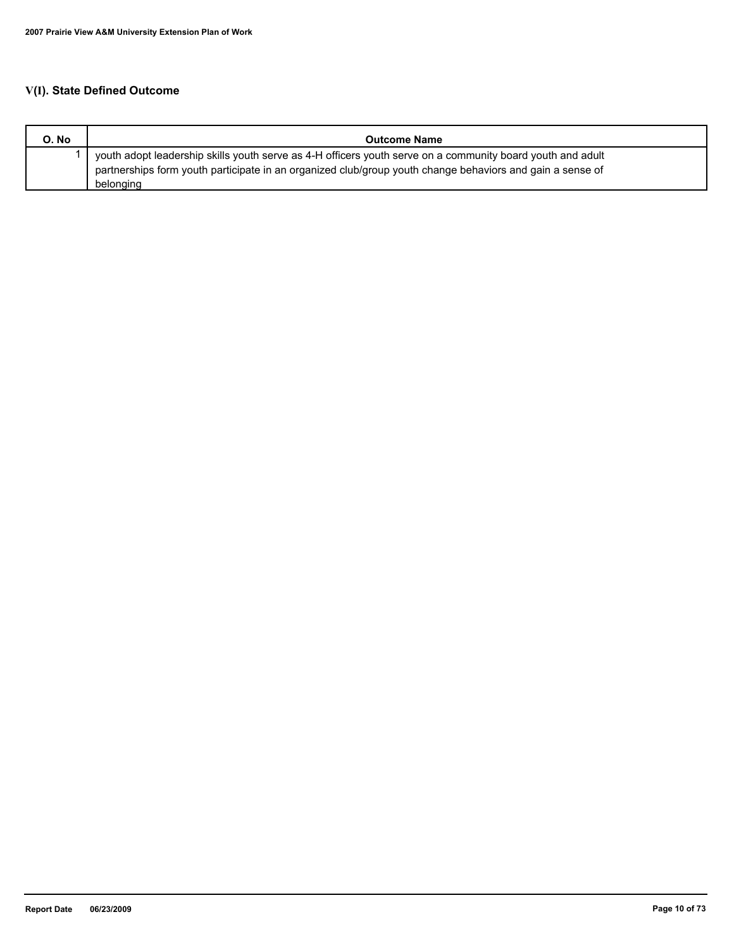# **V(I). State Defined Outcome**

| O. No | <b>Outcome Name</b>                                                                                                                                                                                                     |
|-------|-------------------------------------------------------------------------------------------------------------------------------------------------------------------------------------------------------------------------|
|       | youth adopt leadership skills youth serve as 4-H officers youth serve on a community board youth and adult<br>partnerships form youth participate in an organized club/group youth change behaviors and gain a sense of |
|       | belonging                                                                                                                                                                                                               |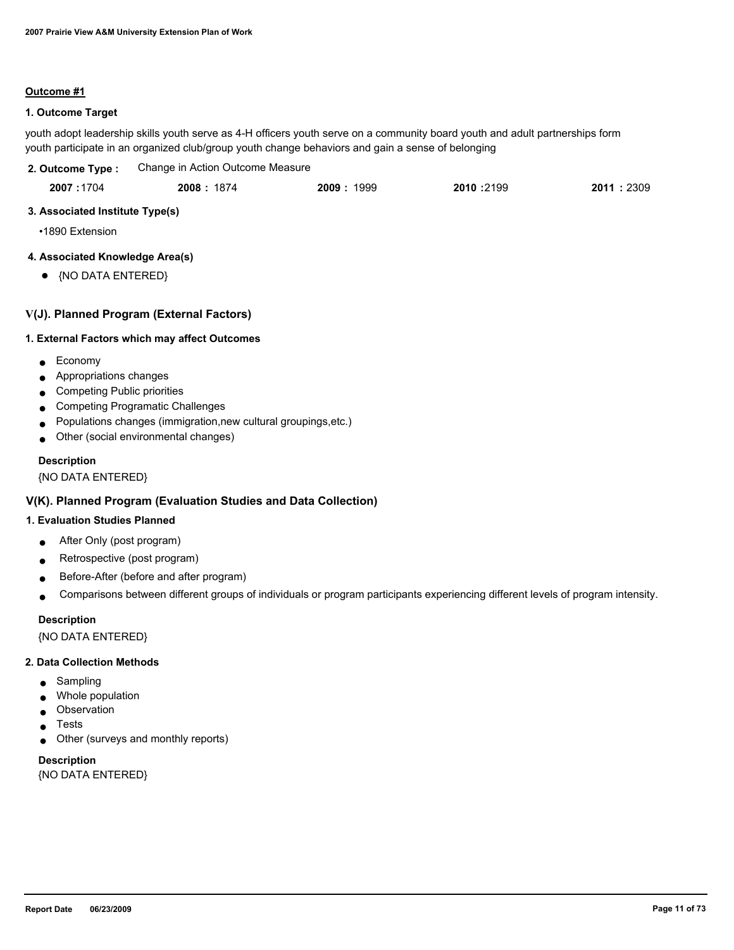#### **Outcome #1**

## **1. Outcome Target**

youth adopt leadership skills youth serve as 4-H officers youth serve on a community board youth and adult partnerships form youth participate in an organized club/group youth change behaviors and gain a sense of belonging

| 2. Outcome Type : | Change in Action Outcome Measure |
|-------------------|----------------------------------|
|                   |                                  |

| 2007:1704<br>2011:2309<br>2010 :2199<br>2009:<br>2008: 1874<br>1999 |  |
|---------------------------------------------------------------------|--|
|---------------------------------------------------------------------|--|

## **3. Associated Institute Type(s)**

•1890 Extension

## **4. Associated Knowledge Area(s)**

● {NO DATA ENTERED}

## **V(J). Planned Program (External Factors)**

#### **1. External Factors which may affect Outcomes**

- Economy
- Appropriations changes
- Competing Public priorities
- Competing Programatic Challenges
- Populations changes (immigration,new cultural groupings,etc.)
- Other (social environmental changes)

#### **Description**

{NO DATA ENTERED}

## **V(K). Planned Program (Evaluation Studies and Data Collection)**

#### **1. Evaluation Studies Planned**

- After Only (post program)
- Retrospective (post program)
- Before-After (before and after program)
- Comparisons between different groups of individuals or program participants experiencing different levels of program intensity.

#### **Description**

{NO DATA ENTERED}

#### **2. Data Collection Methods**

- Sampling
- Whole population
- Observation
- **Tests**
- Other (surveys and monthly reports)

# **Description**

{NO DATA ENTERED}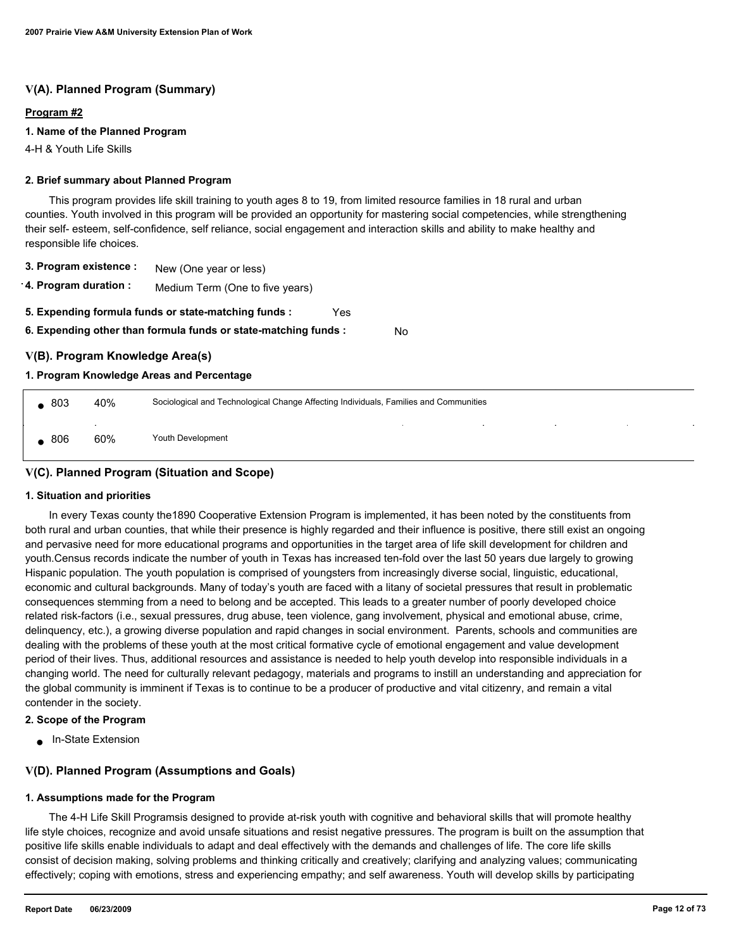## **V(A). Planned Program (Summary)**

#### **Program #2**

#### **1. Name of the Planned Program**

4-H & Youth Life Skills

#### **2. Brief summary about Planned Program**

 This program provides life skill training to youth ages 8 to 19, from limited resource families in 18 rural and urban counties. Youth involved in this program will be provided an opportunity for mastering social competencies, while strengthening their self- esteem, self-confidence, self reliance, social engagement and interaction skills and ability to make healthy and responsible life choices.

- **3. Program existence :** New (One year or less)
- **4. Program duration :** Medium Term (One to five years)
- **5. Expending formula funds or state-matching funds :** Yes
- **6. Expending other than formula funds or state-matching funds :** No

## **V(B). Program Knowledge Area(s)**

#### **1. Program Knowledge Areas and Percentage**

| $\bullet$ 803 | 40% | Sociological and Technological Change Affecting Individuals, Families and Communities |        |                          |        |  |
|---------------|-----|---------------------------------------------------------------------------------------|--------|--------------------------|--------|--|
| , 806         | 60% | Youth Development                                                                     | $\sim$ | the contract of the con- | $\sim$ |  |

## **V(C). Planned Program (Situation and Scope)**

#### **1. Situation and priorities**

 In every Texas county the1890 Cooperative Extension Program is implemented, it has been noted by the constituents from both rural and urban counties, that while their presence is highly regarded and their influence is positive, there still exist an ongoing and pervasive need for more educational programs and opportunities in the target area of life skill development for children and youth.Census records indicate the number of youth in Texas has increased ten-fold over the last 50 years due largely to growing Hispanic population. The youth population is comprised of youngsters from increasingly diverse social, linguistic, educational, economic and cultural backgrounds. Many of today's youth are faced with a litany of societal pressures that result in problematic consequences stemming from a need to belong and be accepted. This leads to a greater number of poorly developed choice related risk-factors (i.e., sexual pressures, drug abuse, teen violence, gang involvement, physical and emotional abuse, crime, delinquency, etc.), a growing diverse population and rapid changes in social environment. Parents, schools and communities are dealing with the problems of these youth at the most critical formative cycle of emotional engagement and value development period of their lives. Thus, additional resources and assistance is needed to help youth develop into responsible individuals in a changing world. The need for culturally relevant pedagogy, materials and programs to instill an understanding and appreciation for the global community is imminent if Texas is to continue to be a producer of productive and vital citizenry, and remain a vital contender in the society.

#### **2. Scope of the Program**

● In-State Extension

## **V(D). Planned Program (Assumptions and Goals)**

#### **1. Assumptions made for the Program**

 The 4-H Life Skill Programsis designed to provide at-risk youth with cognitive and behavioral skills that will promote healthy life style choices, recognize and avoid unsafe situations and resist negative pressures. The program is built on the assumption that positive life skills enable individuals to adapt and deal effectively with the demands and challenges of life. The core life skills consist of decision making, solving problems and thinking critically and creatively; clarifying and analyzing values; communicating effectively; coping with emotions, stress and experiencing empathy; and self awareness. Youth will develop skills by participating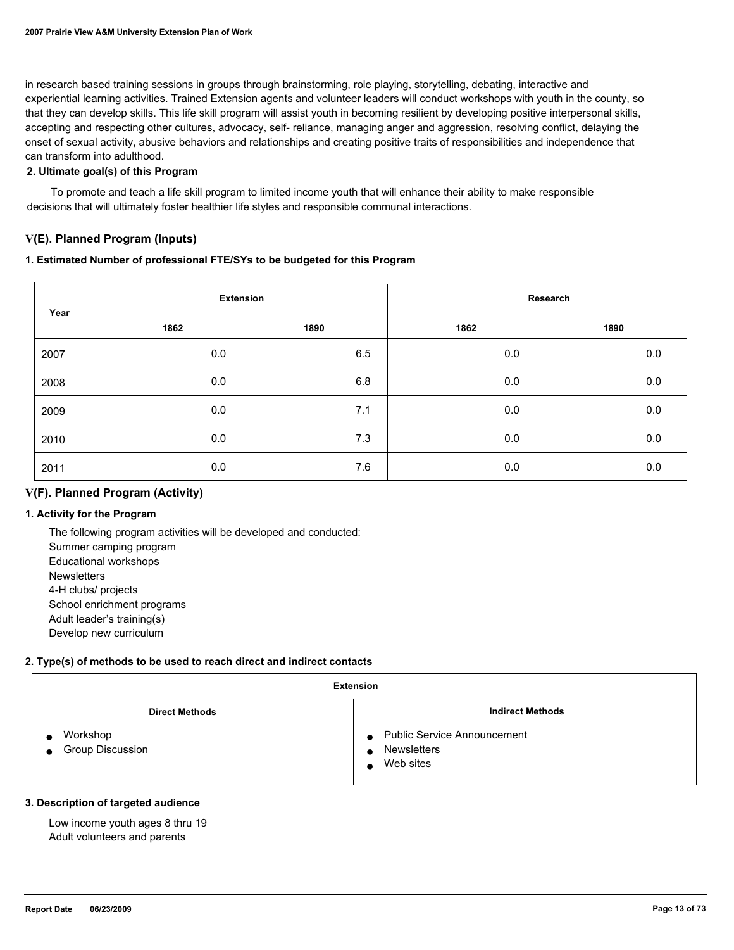in research based training sessions in groups through brainstorming, role playing, storytelling, debating, interactive and experiential learning activities. Trained Extension agents and volunteer leaders will conduct workshops with youth in the county, so that they can develop skills. This life skill program will assist youth in becoming resilient by developing positive interpersonal skills, accepting and respecting other cultures, advocacy, self- reliance, managing anger and aggression, resolving conflict, delaying the onset of sexual activity, abusive behaviors and relationships and creating positive traits of responsibilities and independence that can transform into adulthood.

## **2. Ultimate goal(s) of this Program**

 To promote and teach a life skill program to limited income youth that will enhance their ability to make responsible decisions that will ultimately foster healthier life styles and responsible communal interactions.

## **V(E). Planned Program (Inputs)**

#### **1. Estimated Number of professional FTE/SYs to be budgeted for this Program**

| Year |      | <b>Extension</b> | Research |         |  |
|------|------|------------------|----------|---------|--|
|      | 1862 | 1890             | 1862     | 1890    |  |
| 2007 | 0.0  | 6.5              | 0.0      | 0.0     |  |
| 2008 | 0.0  | 6.8              | 0.0      | 0.0     |  |
| 2009 | 0.0  | 7.1              | 0.0      | 0.0     |  |
| 2010 | 0.0  | 7.3              | 0.0      | $0.0\,$ |  |
| 2011 | 0.0  | 7.6              | 0.0      | 0.0     |  |

## **V(F). Planned Program (Activity)**

## **1. Activity for the Program**

 The following program activities will be developed and conducted: Summer camping program Educational workshops **Newsletters**  4-H clubs/ projects School enrichment programs Adult leader's training(s) Develop new curriculum

## **2. Type(s) of methods to be used to reach direct and indirect contacts**

| <b>Extension</b>                          |                                                                             |  |
|-------------------------------------------|-----------------------------------------------------------------------------|--|
| <b>Direct Methods</b>                     | <b>Indirect Methods</b>                                                     |  |
| Workshop<br>Group Discussion<br>$\bullet$ | <b>Public Service Announcement</b><br>$\bullet$<br>Newsletters<br>Web sites |  |

#### **3. Description of targeted audience**

 Low income youth ages 8 thru 19 Adult volunteers and parents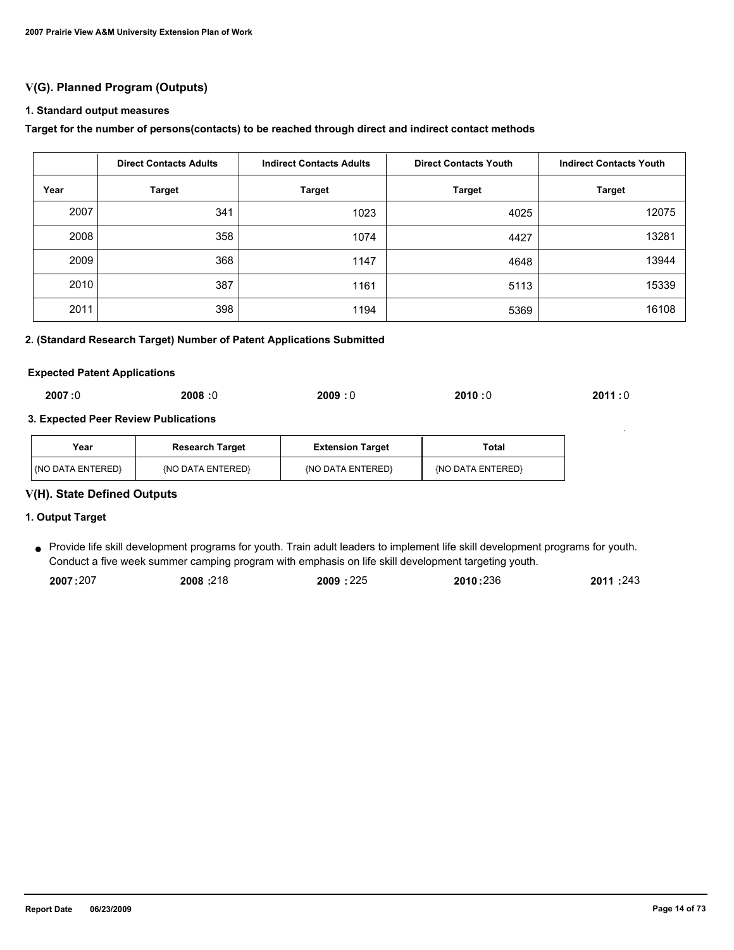## **V(G). Planned Program (Outputs)**

#### **1. Standard output measures**

#### **Target for the number of persons(contacts) to be reached through direct and indirect contact methods**

|      | <b>Direct Contacts Adults</b> | <b>Indirect Contacts Adults</b> | <b>Direct Contacts Youth</b> | <b>Indirect Contacts Youth</b> |
|------|-------------------------------|---------------------------------|------------------------------|--------------------------------|
| Year | <b>Target</b>                 | <b>Target</b>                   | <b>Target</b>                | <b>Target</b>                  |
| 2007 | 341                           | 1023                            | 4025                         | 12075                          |
| 2008 | 358                           | 1074                            | 4427                         | 13281                          |
| 2009 | 368                           | 1147                            | 4648                         | 13944                          |
| 2010 | 387                           | 1161                            | 5113                         | 15339                          |
| 2011 | 398                           | 1194                            | 5369                         | 16108                          |

#### **2. (Standard Research Target) Number of Patent Applications Submitted**

#### **Expected Patent Applications**

| 2007:0<br>2008:0 | 2009:0 | 2010:0 | 2011:0 |
|------------------|--------|--------|--------|
|------------------|--------|--------|--------|

#### **3. Expected Peer Review Publications**

| Year                | <b>Research Target</b> | <b>Extension Target</b> | Total             |
|---------------------|------------------------|-------------------------|-------------------|
| l (NO DATA ENTERED) | (NO DATA ENTERED)      | {NO DATA ENTERED}       | (NO DATA ENTERED) |

## **V(H). State Defined Outputs**

#### **1. Output Target**

Provide life skill development programs for youth. Train adult leaders to implement life skill development programs for youth. ● Conduct a five week summer camping program with emphasis on life skill development targeting youth.

| 2007:207 | 2008:218 | 2009:225 | 2010:236 | 2011:243 |
|----------|----------|----------|----------|----------|
|          |          |          |          |          |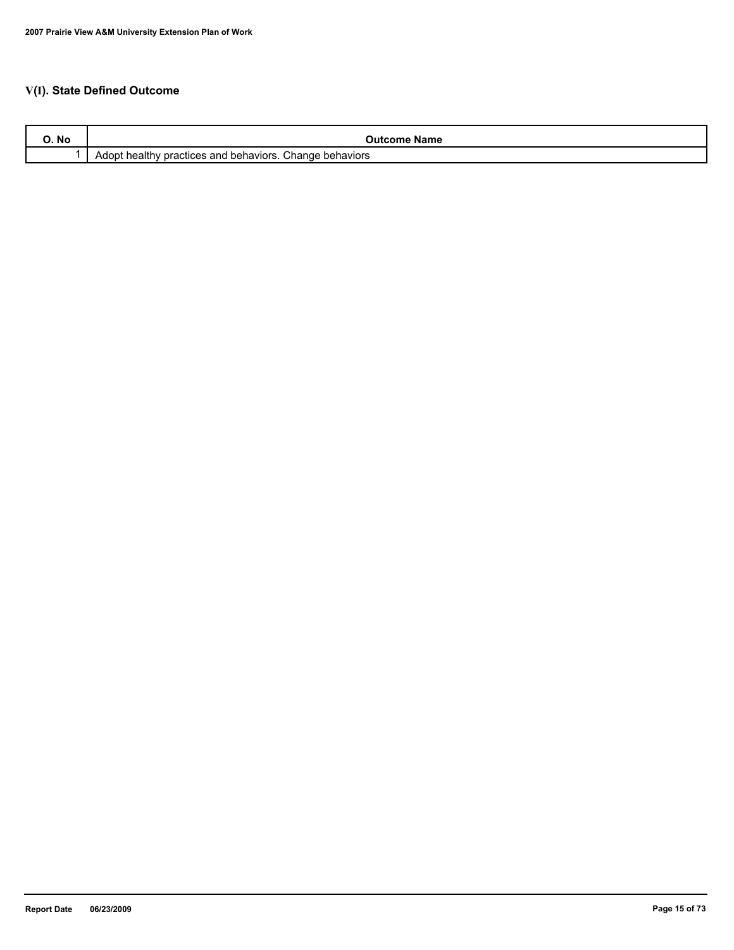# **V(I). State Defined Outcome**

| O. No | Name<br>Jutcom                                                             |
|-------|----------------------------------------------------------------------------|
|       | health<br>Change<br>behaviors<br>behaviors.<br>practices and<br>Adopt<br>w |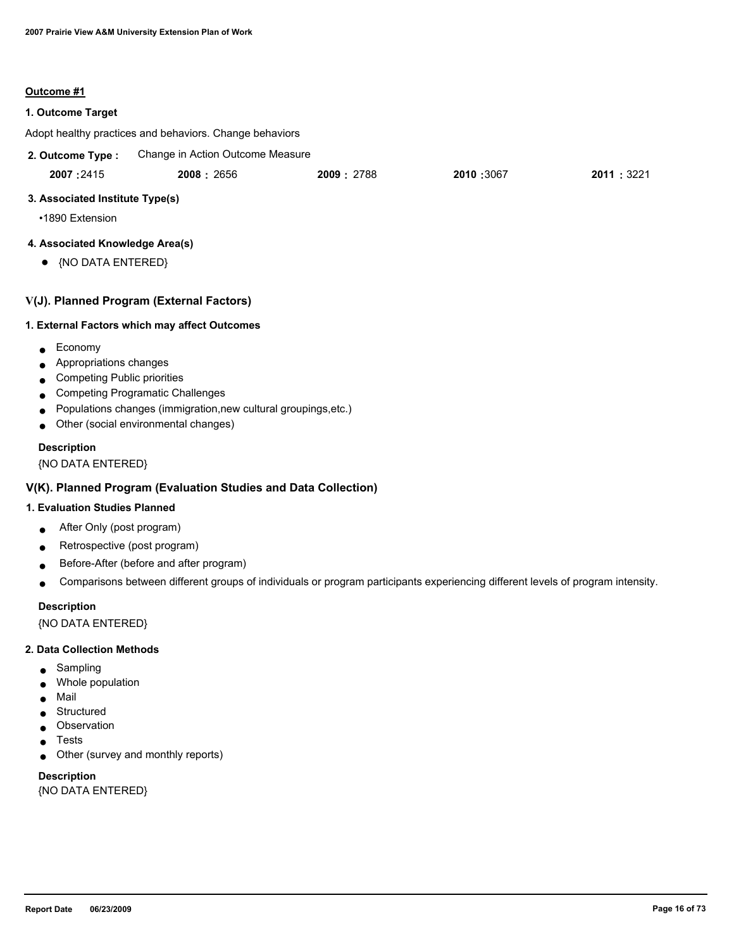#### **Outcome #1**

#### **1. Outcome Target**

Adopt healthy practices and behaviors. Change behaviors

Change in Action Outcome Measure **2. Outcome Type :**

| 2007:2415<br>2010 :3067<br>2008: 2656<br>2009: 2788 | 2011: 3221 |
|-----------------------------------------------------|------------|
|-----------------------------------------------------|------------|

#### **3. Associated Institute Type(s)**

•1890 Extension

#### **4. Associated Knowledge Area(s)**

● {NO DATA ENTERED}

## **V(J). Planned Program (External Factors)**

#### **1. External Factors which may affect Outcomes**

- Economy
- Appropriations changes
- Competing Public priorities
- Competing Programatic Challenges
- Populations changes (immigration,new cultural groupings,etc.)
- Other (social environmental changes)

#### **Description**

{NO DATA ENTERED}

## **V(K). Planned Program (Evaluation Studies and Data Collection)**

#### **1. Evaluation Studies Planned**

- After Only (post program)
- Retrospective (post program)
- Before-After (before and after program)
- Comparisons between different groups of individuals or program participants experiencing different levels of program intensity.

#### **Description**

{NO DATA ENTERED}

#### **2. Data Collection Methods**

- Sampling
- Whole population
- Mail
- Structured
- Observation
- **Tests**
- Other (survey and monthly reports)

**Description** {NO DATA ENTERED}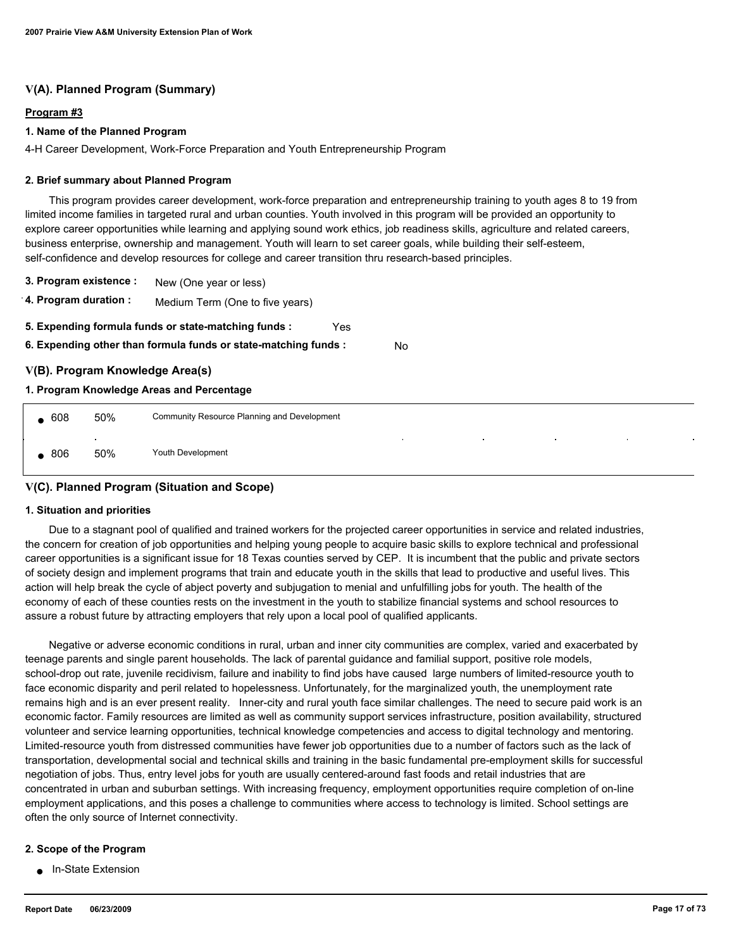## **V(A). Planned Program (Summary)**

## **Program #3**

#### **1. Name of the Planned Program**

4-H Career Development, Work-Force Preparation and Youth Entrepreneurship Program

#### **2. Brief summary about Planned Program**

 This program provides career development, work-force preparation and entrepreneurship training to youth ages 8 to 19 from limited income families in targeted rural and urban counties. Youth involved in this program will be provided an opportunity to explore career opportunities while learning and applying sound work ethics, job readiness skills, agriculture and related careers, business enterprise, ownership and management. Youth will learn to set career goals, while building their self-esteem, self-confidence and develop resources for college and career transition thru research-based principles.

- **3. Program existence :** New (One year or less)
- **4. Program duration :** Medium Term (One to five years)
- **5. Expending formula funds or state-matching funds :** Yes
- **6. Expending other than formula funds or state-matching funds :** No

## **V(B). Program Knowledge Area(s)**

#### **1. Program Knowledge Areas and Percentage**

| 608 | 50%           | Community Resource Planning and Development                                                                                                            |  |  |
|-----|---------------|--------------------------------------------------------------------------------------------------------------------------------------------------------|--|--|
| 806 | $\sim$<br>50% | the contract of the<br>the control of the con-<br><b>College</b><br><b>Contract Contract Contract</b><br><b>Contract Contract</b><br>Youth Development |  |  |

## **V(C). Planned Program (Situation and Scope)**

#### **1. Situation and priorities**

 Due to a stagnant pool of qualified and trained workers for the projected career opportunities in service and related industries, the concern for creation of job opportunities and helping young people to acquire basic skills to explore technical and professional career opportunities is a significant issue for 18 Texas counties served by CEP. It is incumbent that the public and private sectors of society design and implement programs that train and educate youth in the skills that lead to productive and useful lives. This action will help break the cycle of abject poverty and subjugation to menial and unfulfilling jobs for youth. The health of the economy of each of these counties rests on the investment in the youth to stabilize financial systems and school resources to assure a robust future by attracting employers that rely upon a local pool of qualified applicants.

 Negative or adverse economic conditions in rural, urban and inner city communities are complex, varied and exacerbated by teenage parents and single parent households. The lack of parental guidance and familial support, positive role models, school-drop out rate, juvenile recidivism, failure and inability to find jobs have caused large numbers of limited-resource youth to face economic disparity and peril related to hopelessness. Unfortunately, for the marginalized youth, the unemployment rate remains high and is an ever present reality. Inner-city and rural youth face similar challenges. The need to secure paid work is an economic factor. Family resources are limited as well as community support services infrastructure, position availability, structured volunteer and service learning opportunities, technical knowledge competencies and access to digital technology and mentoring. Limited-resource youth from distressed communities have fewer job opportunities due to a number of factors such as the lack of transportation, developmental social and technical skills and training in the basic fundamental pre-employment skills for successful negotiation of jobs. Thus, entry level jobs for youth are usually centered-around fast foods and retail industries that are concentrated in urban and suburban settings. With increasing frequency, employment opportunities require completion of on-line employment applications, and this poses a challenge to communities where access to technology is limited. School settings are often the only source of Internet connectivity.

#### **2. Scope of the Program**

● In-State Extension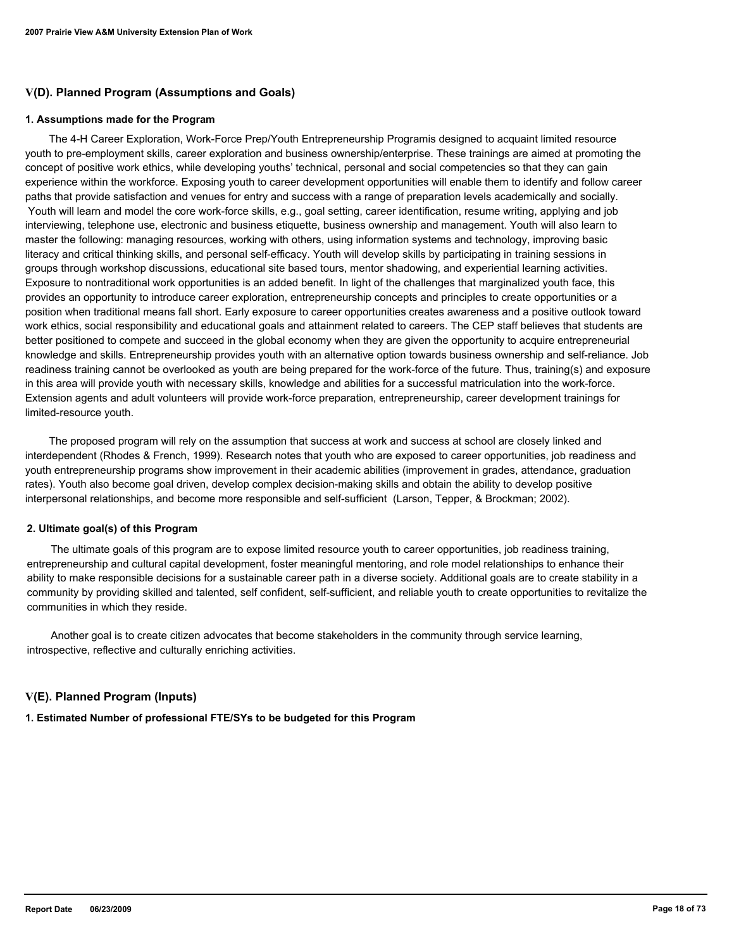## **V(D). Planned Program (Assumptions and Goals)**

#### **1. Assumptions made for the Program**

 The 4-H Career Exploration, Work-Force Prep/Youth Entrepreneurship Programis designed to acquaint limited resource youth to pre-employment skills, career exploration and business ownership/enterprise. These trainings are aimed at promoting the concept of positive work ethics, while developing youths' technical, personal and social competencies so that they can gain experience within the workforce. Exposing youth to career development opportunities will enable them to identify and follow career paths that provide satisfaction and venues for entry and success with a range of preparation levels academically and socially. Youth will learn and model the core work-force skills, e.g., goal setting, career identification, resume writing, applying and job interviewing, telephone use, electronic and business etiquette, business ownership and management. Youth will also learn to master the following: managing resources, working with others, using information systems and technology, improving basic literacy and critical thinking skills, and personal self-efficacy. Youth will develop skills by participating in training sessions in groups through workshop discussions, educational site based tours, mentor shadowing, and experiential learning activities. Exposure to nontraditional work opportunities is an added benefit. In light of the challenges that marginalized youth face, this provides an opportunity to introduce career exploration, entrepreneurship concepts and principles to create opportunities or a position when traditional means fall short. Early exposure to career opportunities creates awareness and a positive outlook toward work ethics, social responsibility and educational goals and attainment related to careers. The CEP staff believes that students are better positioned to compete and succeed in the global economy when they are given the opportunity to acquire entrepreneurial knowledge and skills. Entrepreneurship provides youth with an alternative option towards business ownership and self-reliance. Job readiness training cannot be overlooked as youth are being prepared for the work-force of the future. Thus, training(s) and exposure in this area will provide youth with necessary skills, knowledge and abilities for a successful matriculation into the work-force. Extension agents and adult volunteers will provide work-force preparation, entrepreneurship, career development trainings for limited-resource youth.

 The proposed program will rely on the assumption that success at work and success at school are closely linked and interdependent (Rhodes & French, 1999). Research notes that youth who are exposed to career opportunities, job readiness and youth entrepreneurship programs show improvement in their academic abilities (improvement in grades, attendance, graduation rates). Youth also become goal driven, develop complex decision-making skills and obtain the ability to develop positive interpersonal relationships, and become more responsible and self-sufficient (Larson, Tepper, & Brockman; 2002).

#### **2. Ultimate goal(s) of this Program**

 The ultimate goals of this program are to expose limited resource youth to career opportunities, job readiness training, entrepreneurship and cultural capital development, foster meaningful mentoring, and role model relationships to enhance their ability to make responsible decisions for a sustainable career path in a diverse society. Additional goals are to create stability in a community by providing skilled and talented, self confident, self-sufficient, and reliable youth to create opportunities to revitalize the communities in which they reside.

 Another goal is to create citizen advocates that become stakeholders in the community through service learning, introspective, reflective and culturally enriching activities.

## **V(E). Planned Program (Inputs)**

**1. Estimated Number of professional FTE/SYs to be budgeted for this Program**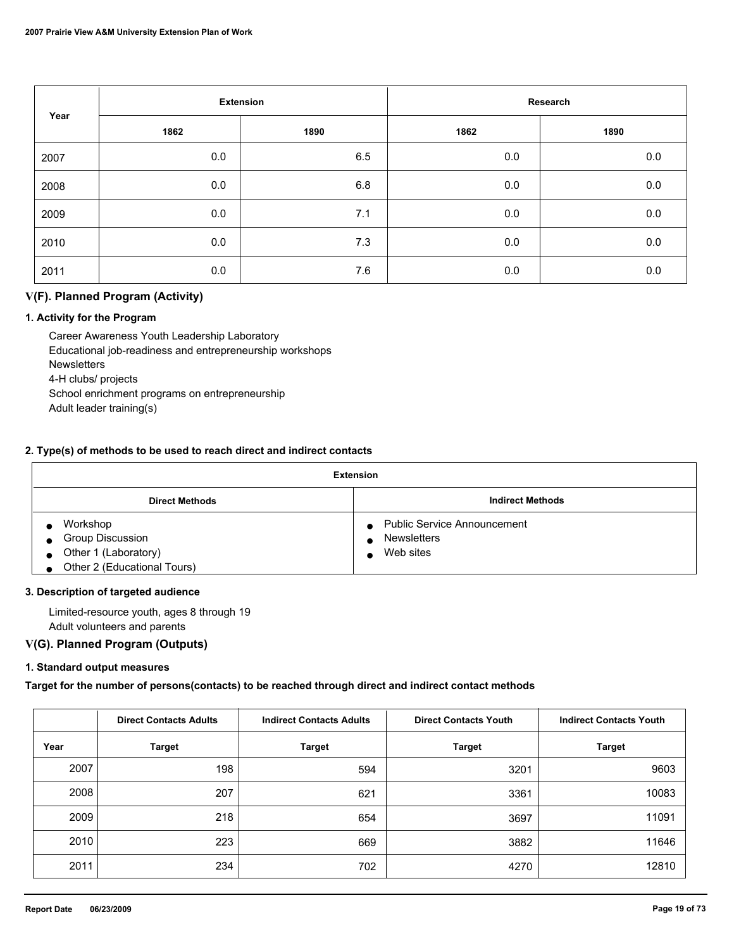| Year |      | <b>Extension</b> |         | Research |
|------|------|------------------|---------|----------|
|      | 1862 | 1890             | 1862    | 1890     |
| 2007 | 0.0  | 6.5              | $0.0\,$ | 0.0      |
| 2008 | 0.0  | 6.8              | 0.0     | $0.0\,$  |
| 2009 | 0.0  | 7.1              | 0.0     | $0.0\,$  |
| 2010 | 0.0  | 7.3              | 0.0     | $0.0\,$  |
| 2011 | 0.0  | 7.6              | 0.0     | 0.0      |

## **V(F). Planned Program (Activity)**

## **1. Activity for the Program**

 Career Awareness Youth Leadership Laboratory Educational job-readiness and entrepreneurship workshops **Newsletters**  4-H clubs/ projects School enrichment programs on entrepreneurship Adult leader training(s)

#### **2. Type(s) of methods to be used to reach direct and indirect contacts**

| <b>Extension</b>                     |                                                 |  |
|--------------------------------------|-------------------------------------------------|--|
| <b>Direct Methods</b>                | <b>Indirect Methods</b>                         |  |
| Workshop                             | <b>Public Service Announcement</b><br>$\bullet$ |  |
| <b>Group Discussion</b><br>$\bullet$ | <b>Newsletters</b>                              |  |
| • Other 1 (Laboratory)               | Web sites                                       |  |
| Other 2 (Educational Tours)          |                                                 |  |

#### **3. Description of targeted audience**

 Limited-resource youth, ages 8 through 19 Adult volunteers and parents

## **V(G). Planned Program (Outputs)**

#### **1. Standard output measures**

**Target for the number of persons(contacts) to be reached through direct and indirect contact methods**

|      | <b>Direct Contacts Adults</b> | <b>Indirect Contacts Adults</b> | <b>Direct Contacts Youth</b> | <b>Indirect Contacts Youth</b> |
|------|-------------------------------|---------------------------------|------------------------------|--------------------------------|
| Year | <b>Target</b>                 | <b>Target</b>                   | <b>Target</b>                | <b>Target</b>                  |
| 2007 | 198                           | 594                             | 3201                         | 9603                           |
| 2008 | 207                           | 621                             | 3361                         | 10083                          |
| 2009 | 218                           | 654                             | 3697                         | 11091                          |
| 2010 | 223                           | 669                             | 3882                         | 11646                          |
| 2011 | 234                           | 702                             | 4270                         | 12810                          |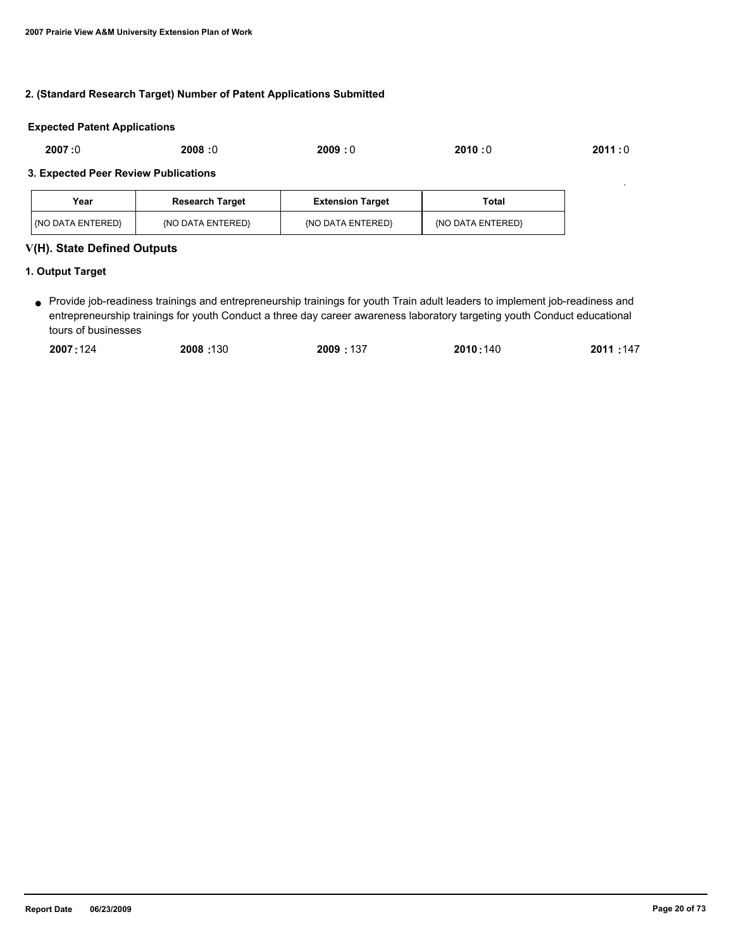#### **2. (Standard Research Target) Number of Patent Applications Submitted**

#### **Expected Patent Applications**

| 2007:0 | 2008:0 | 2009:0 | 2010:0 | 2011 : 0 |
|--------|--------|--------|--------|----------|
|        |        |        |        |          |

#### **3. Expected Peer Review Publications**

| Year                  | <b>Research Target</b> | <b>Extension Target</b> | Total             |
|-----------------------|------------------------|-------------------------|-------------------|
| $ $ {NO DATA ENTERED} | {NO DATA ENTERED}      | {NO DATA ENTERED}       | {NO DATA ENTERED} |

#### **V(H). State Defined Outputs**

#### **1. Output Target**

Provide job-readiness trainings and entrepreneurship trainings for youth Train adult leaders to implement job-readiness and ● entrepreneurship trainings for youth Conduct a three day career awareness laboratory targeting youth Conduct educational tours of businesses

| 2011:147<br>2007:124<br>2009:137<br>2008:130<br>2010:140 |
|----------------------------------------------------------|
|----------------------------------------------------------|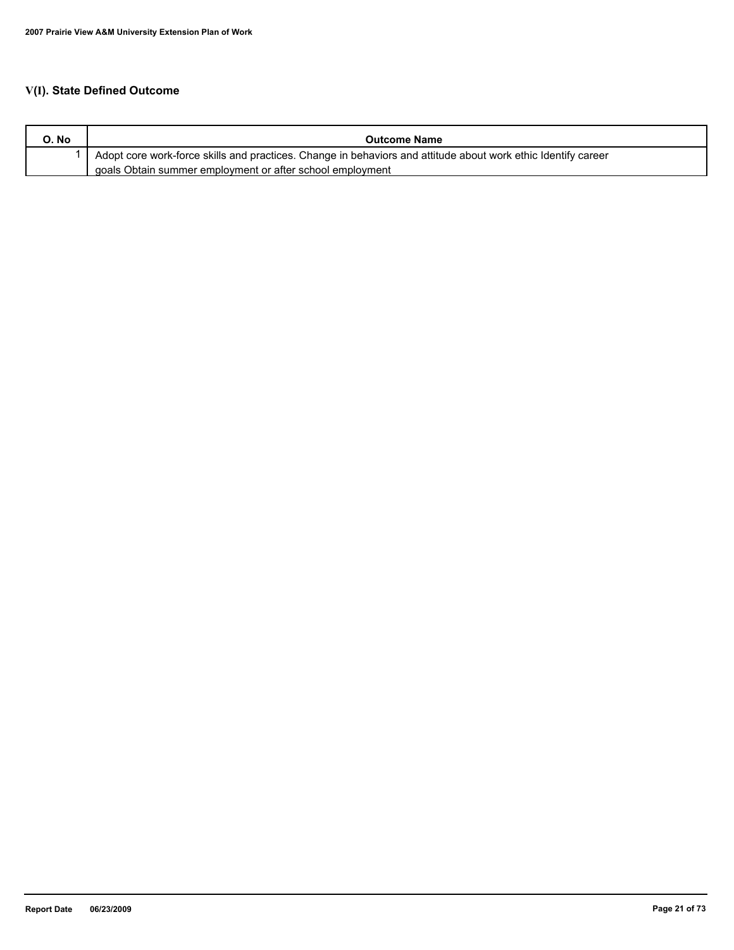# **V(I). State Defined Outcome**

| O. No | <b>Outcome Name</b>                                                                                           |
|-------|---------------------------------------------------------------------------------------------------------------|
|       | Adopt core work-force skills and practices. Change in behaviors and attitude about work ethic Identify career |
|       | goals Obtain summer employment or after school employment                                                     |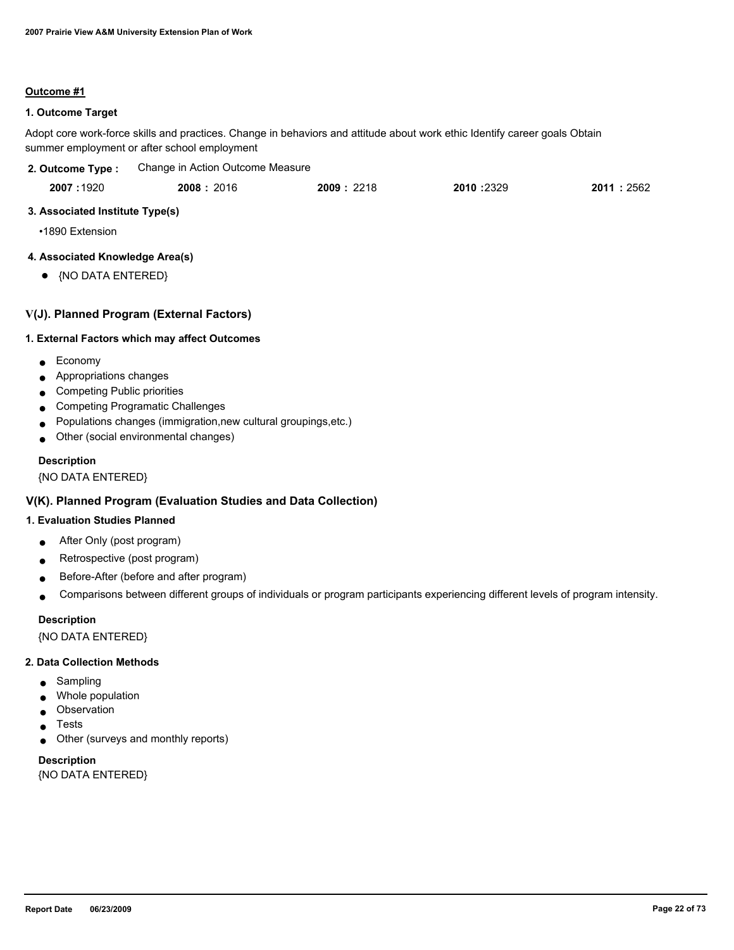## **Outcome #1**

## **1. Outcome Target**

Adopt core work-force skills and practices. Change in behaviors and attitude about work ethic Identify career goals Obtain summer employment or after school employment

| 2. Outcome Type :                                                       | Change in Action Outcome Measure                                                                                                                   |           |           |           |
|-------------------------------------------------------------------------|----------------------------------------------------------------------------------------------------------------------------------------------------|-----------|-----------|-----------|
| 2007:1920                                                               | 2008:2016                                                                                                                                          | 2009:2218 | 2010:2329 | 2011:2562 |
| 3. Associated Institute Type(s)                                         |                                                                                                                                                    |           |           |           |
| •1890 Extension                                                         |                                                                                                                                                    |           |           |           |
| 4. Associated Knowledge Area(s)                                         |                                                                                                                                                    |           |           |           |
| {NO DATA ENTERED}<br>$\bullet$                                          |                                                                                                                                                    |           |           |           |
|                                                                         | V(J). Planned Program (External Factors)                                                                                                           |           |           |           |
|                                                                         | 1. External Factors which may affect Outcomes                                                                                                      |           |           |           |
| Economy<br>Appropriations changes<br><b>Competing Public priorities</b> | <b>Competing Programatic Challenges</b><br>Populations changes (immigration, new cultural groupings, etc.)<br>Other (social environmental changes) |           |           |           |
| <b>Description</b><br>{NO DATA ENTERED}                                 |                                                                                                                                                    |           |           |           |
|                                                                         | V(K). Planned Program (Evaluation Studies and Data Collection)                                                                                     |           |           |           |

#### **1. Evaluation Studies Planned**

- After Only (post program)
- Retrospective (post program)
- Before-After (before and after program)
- Comparisons between different groups of individuals or program participants experiencing different levels of program intensity.

#### **Description**

{NO DATA ENTERED}

#### **2. Data Collection Methods**

- Sampling
- Whole population
- Observation
- Tests
- Other (surveys and monthly reports)

# **Description**

{NO DATA ENTERED}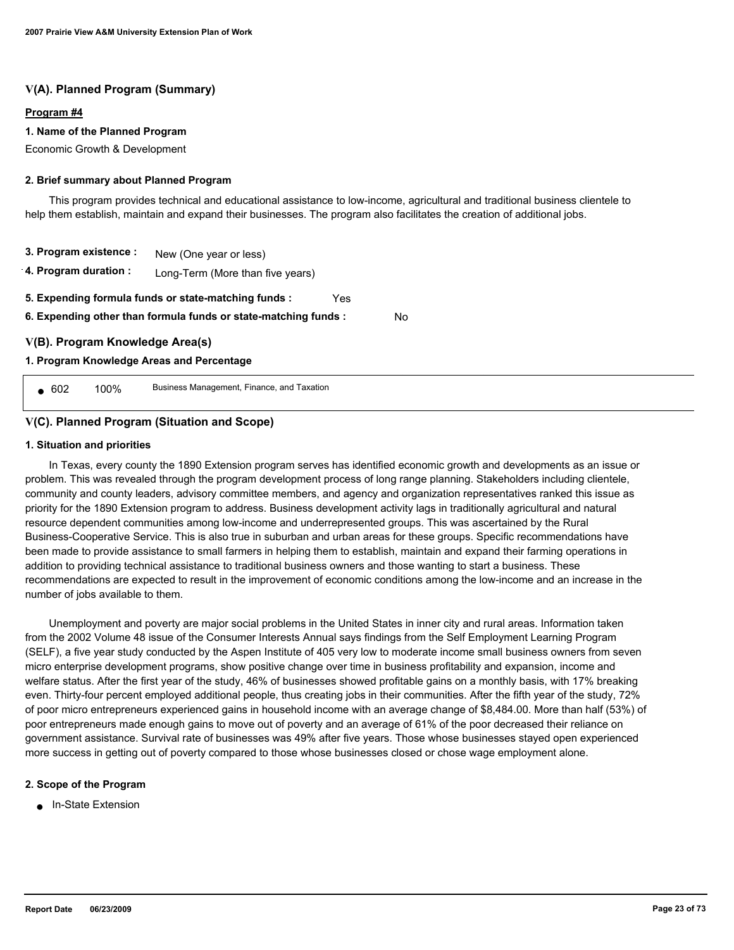## **V(A). Planned Program (Summary)**

#### **Program #4**

#### **1. Name of the Planned Program**

Economic Growth & Development

#### **2. Brief summary about Planned Program**

 This program provides technical and educational assistance to low-income, agricultural and traditional business clientele to help them establish, maintain and expand their businesses. The program also facilitates the creation of additional jobs.

No

**3. Program existence : 4. Program duration :** New (One year or less) Long-Term (More than five years) **6. Expending other than formula funds or state-matching funds : 5. Expending formula funds or state-matching funds :** Yes

**V(B). Program Knowledge Area(s)**

#### **1. Program Knowledge Areas and Percentage**

● 602 100% Business Management, Finance, and Taxation

## **V(C). Planned Program (Situation and Scope)**

#### **1. Situation and priorities**

 In Texas, every county the 1890 Extension program serves has identified economic growth and developments as an issue or problem. This was revealed through the program development process of long range planning. Stakeholders including clientele, community and county leaders, advisory committee members, and agency and organization representatives ranked this issue as priority for the 1890 Extension program to address. Business development activity lags in traditionally agricultural and natural resource dependent communities among low-income and underrepresented groups. This was ascertained by the Rural Business-Cooperative Service. This is also true in suburban and urban areas for these groups. Specific recommendations have been made to provide assistance to small farmers in helping them to establish, maintain and expand their farming operations in addition to providing technical assistance to traditional business owners and those wanting to start a business. These recommendations are expected to result in the improvement of economic conditions among the low-income and an increase in the number of jobs available to them.

 Unemployment and poverty are major social problems in the United States in inner city and rural areas. Information taken from the 2002 Volume 48 issue of the Consumer Interests Annual says findings from the Self Employment Learning Program (SELF), a five year study conducted by the Aspen Institute of 405 very low to moderate income small business owners from seven micro enterprise development programs, show positive change over time in business profitability and expansion, income and welfare status. After the first year of the study, 46% of businesses showed profitable gains on a monthly basis, with 17% breaking even. Thirty-four percent employed additional people, thus creating jobs in their communities. After the fifth year of the study, 72% of poor micro entrepreneurs experienced gains in household income with an average change of \$8,484.00. More than half (53%) of poor entrepreneurs made enough gains to move out of poverty and an average of 61% of the poor decreased their reliance on government assistance. Survival rate of businesses was 49% after five years. Those whose businesses stayed open experienced more success in getting out of poverty compared to those whose businesses closed or chose wage employment alone.

#### **2. Scope of the Program**

■ In-State Extension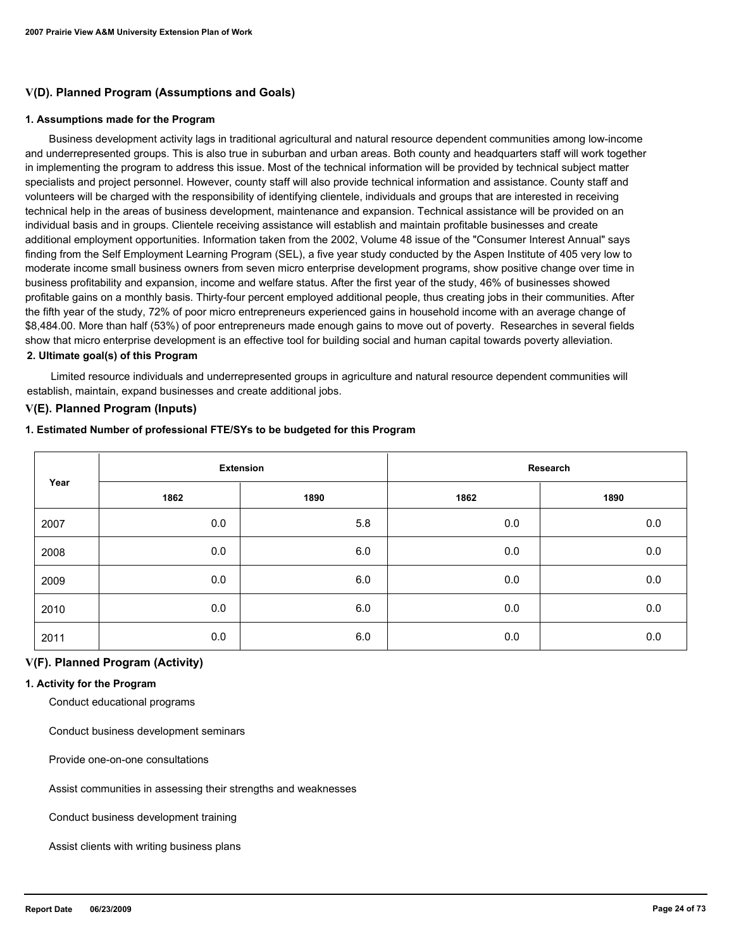## **V(D). Planned Program (Assumptions and Goals)**

#### **1. Assumptions made for the Program**

 Business development activity lags in traditional agricultural and natural resource dependent communities among low-income and underrepresented groups. This is also true in suburban and urban areas. Both county and headquarters staff will work together in implementing the program to address this issue. Most of the technical information will be provided by technical subject matter specialists and project personnel. However, county staff will also provide technical information and assistance. County staff and volunteers will be charged with the responsibility of identifying clientele, individuals and groups that are interested in receiving technical help in the areas of business development, maintenance and expansion. Technical assistance will be provided on an individual basis and in groups. Clientele receiving assistance will establish and maintain profitable businesses and create additional employment opportunities. Information taken from the 2002, Volume 48 issue of the "Consumer Interest Annual" says finding from the Self Employment Learning Program (SEL), a five year study conducted by the Aspen Institute of 405 very low to moderate income small business owners from seven micro enterprise development programs, show positive change over time in business profitability and expansion, income and welfare status. After the first year of the study, 46% of businesses showed profitable gains on a monthly basis. Thirty-four percent employed additional people, thus creating jobs in their communities. After the fifth year of the study, 72% of poor micro entrepreneurs experienced gains in household income with an average change of \$8,484.00. More than half (53%) of poor entrepreneurs made enough gains to move out of poverty. Researches in several fields show that micro enterprise development is an effective tool for building social and human capital towards poverty alleviation. **2. Ultimate goal(s) of this Program**

 Limited resource individuals and underrepresented groups in agriculture and natural resource dependent communities will establish, maintain, expand businesses and create additional jobs.

## **V(E). Planned Program (Inputs)**

#### **1. Estimated Number of professional FTE/SYs to be budgeted for this Program**

| Year |      | <b>Extension</b> |      | Research |
|------|------|------------------|------|----------|
|      | 1862 | 1890             | 1862 | 1890     |
| 2007 | 0.0  | 5.8              | 0.0  | $0.0\,$  |
| 2008 | 0.0  | 6.0              | 0.0  | 0.0      |
| 2009 | 0.0  | 6.0              | 0.0  | $0.0\,$  |
| 2010 | 0.0  | 6.0              | 0.0  | 0.0      |
| 2011 | 0.0  | 6.0              | 0.0  | 0.0      |

## **V(F). Planned Program (Activity)**

#### **1. Activity for the Program**

Conduct educational programs

Conduct business development seminars

Provide one-on-one consultations

Assist communities in assessing their strengths and weaknesses

Conduct business development training

Assist clients with writing business plans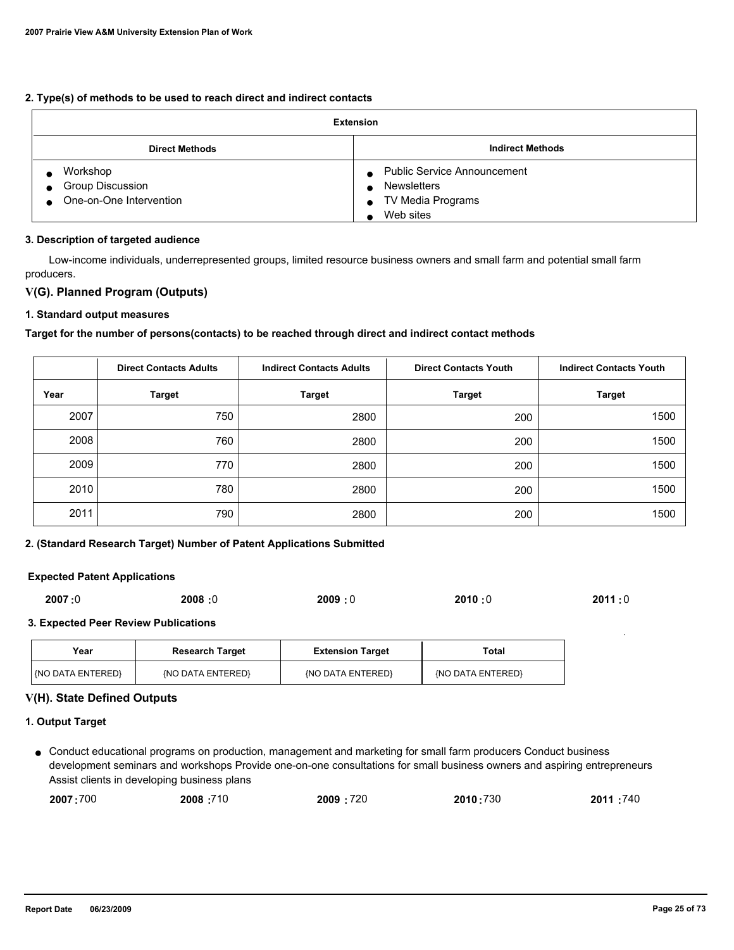## **2. Type(s) of methods to be used to reach direct and indirect contacts**

| Extension                                                      |                                                                                                                 |  |
|----------------------------------------------------------------|-----------------------------------------------------------------------------------------------------------------|--|
| <b>Direct Methods</b>                                          | <b>Indirect Methods</b>                                                                                         |  |
| Workshop<br><b>Group Discussion</b><br>One-on-One Intervention | • Public Service Announcement<br><b>Newsletters</b><br>$\bullet$<br>TV Media Programs<br>$\bullet$<br>Web sites |  |

#### **3. Description of targeted audience**

 Low-income individuals, underrepresented groups, limited resource business owners and small farm and potential small farm producers.

## **V(G). Planned Program (Outputs)**

## **1. Standard output measures**

## **Target for the number of persons(contacts) to be reached through direct and indirect contact methods**

|      | <b>Direct Contacts Adults</b> | <b>Indirect Contacts Adults</b> | <b>Direct Contacts Youth</b> | <b>Indirect Contacts Youth</b> |
|------|-------------------------------|---------------------------------|------------------------------|--------------------------------|
| Year | <b>Target</b>                 | <b>Target</b>                   | <b>Target</b>                | <b>Target</b>                  |
| 2007 | 750                           | 2800                            | 200                          | 1500                           |
| 2008 | 760                           | 2800                            | 200                          | 1500                           |
| 2009 | 770                           | 2800                            | 200                          | 1500                           |
| 2010 | 780                           | 2800                            | 200                          | 1500                           |
| 2011 | 790                           | 2800                            | 200                          | 1500                           |

#### **2. (Standard Research Target) Number of Patent Applications Submitted**

#### **Expected Patent Applications**

| 2007:0 | 2008:0 | 2009:0 | 2010:0 | 2011:0 |
|--------|--------|--------|--------|--------|
|        |        |        |        |        |

#### **3. Expected Peer Review Publications**

| Year                    | <b>Research Target</b> | <b>Extension Target</b> | Total             |
|-------------------------|------------------------|-------------------------|-------------------|
| <b>NO DATA ENTERED!</b> | (NO DATA ENTERED)      | (NO DATA ENTERED)       | {NO DATA ENTERED} |

#### **V(H). State Defined Outputs**

#### **1. Output Target**

Conduct educational programs on production, management and marketing for small farm producers Conduct business ● development seminars and workshops Provide one-on-one consultations for small business owners and aspiring entrepreneurs Assist clients in developing business plans

| 2007:700<br>2008:710<br>2009:720<br>2010:730 | 2011:740 |
|----------------------------------------------|----------|
|----------------------------------------------|----------|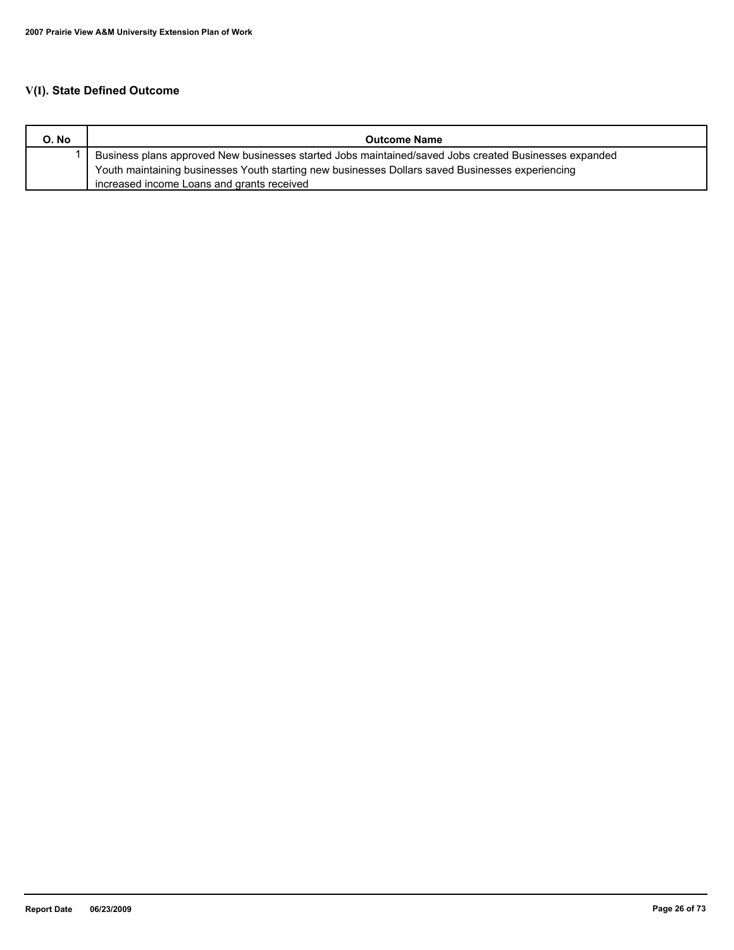# **V(I). State Defined Outcome**

| O. No | <b>Outcome Name</b>                                                                                   |
|-------|-------------------------------------------------------------------------------------------------------|
|       | Business plans approved New businesses started Jobs maintained/saved Jobs created Businesses expanded |
|       | Youth maintaining businesses Youth starting new businesses Dollars saved Businesses experiencing      |
|       | increased income Loans and grants received                                                            |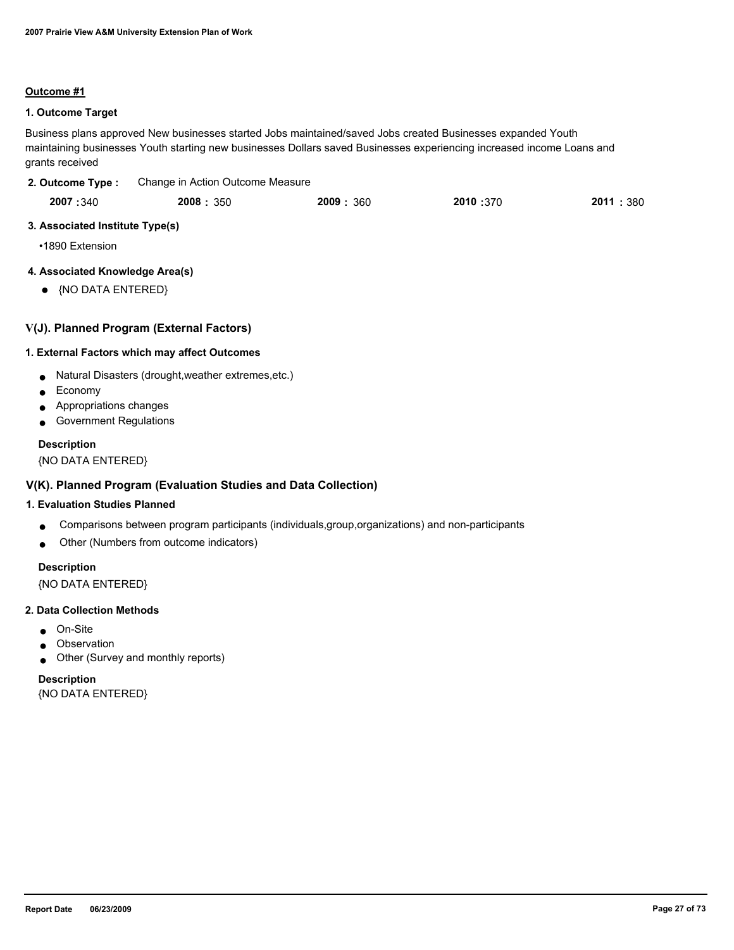#### **Outcome #1**

## **1. Outcome Target**

Business plans approved New businesses started Jobs maintained/saved Jobs created Businesses expanded Youth maintaining businesses Youth starting new businesses Dollars saved Businesses experiencing increased income Loans and grants received

| 2. Outcome Type: | Change in Action Outcome Measure |
|------------------|----------------------------------|
|                  |                                  |

|  | 2007:340 | 2008: 350 | 2009: 360 | 2010:370 | 2011<br>: 380 |
|--|----------|-----------|-----------|----------|---------------|
|--|----------|-----------|-----------|----------|---------------|

## **3. Associated Institute Type(s)**

•1890 Extension

## **4. Associated Knowledge Area(s)**

● {NO DATA ENTERED}

## **V(J). Planned Program (External Factors)**

## **1. External Factors which may affect Outcomes**

- Natural Disasters (drought,weather extremes,etc.)
- Economy
- Appropriations changes
- Government Regulations

## **Description**

{NO DATA ENTERED}

## **V(K). Planned Program (Evaluation Studies and Data Collection)**

## **1. Evaluation Studies Planned**

- Comparisons between program participants (individuals,group,organizations) and non-participants
- Other (Numbers from outcome indicators)

## **Description**

{NO DATA ENTERED}

#### **2. Data Collection Methods**

- On-Site
- Observation
- Other (Survey and monthly reports)

# **Description**

{NO DATA ENTERED}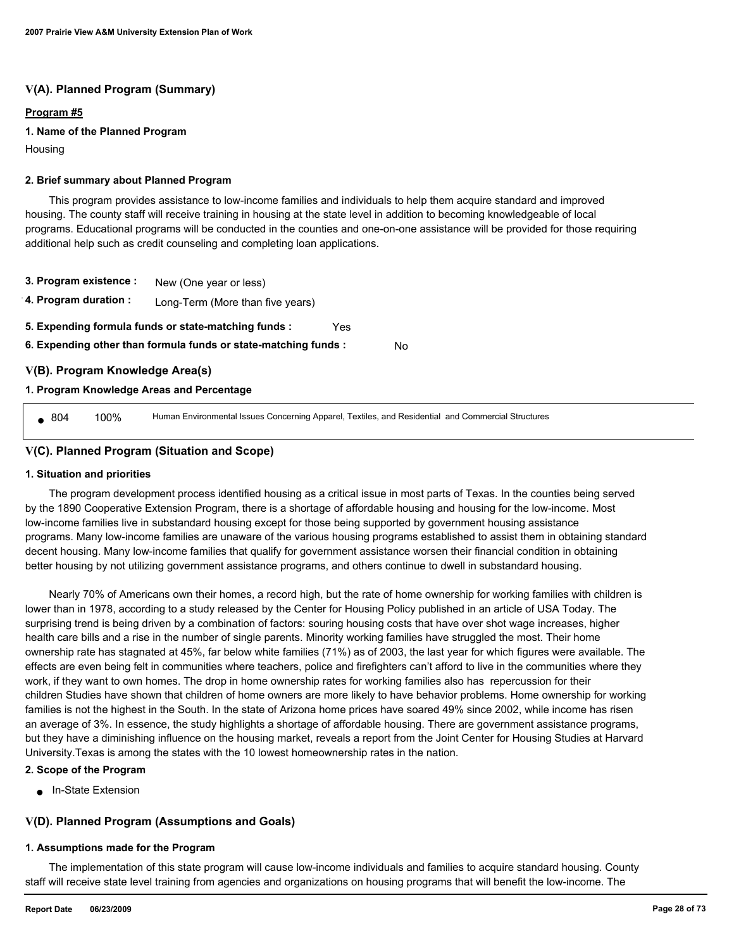## **V(A). Planned Program (Summary)**

## **Program #5**

#### **1. Name of the Planned Program**

Housing

#### **2. Brief summary about Planned Program**

 This program provides assistance to low-income families and individuals to help them acquire standard and improved housing. The county staff will receive training in housing at the state level in addition to becoming knowledgeable of local programs. Educational programs will be conducted in the counties and one-on-one assistance will be provided for those requiring additional help such as credit counseling and completing loan applications.

- **3. Program existence :** New (One year or less)
- **4. Program duration :** Long-Term (More than five years)
- **5. Expending formula funds or state-matching funds :** Yes
- **6. Expending other than formula funds or state-matching funds :** No

## **V(B). Program Knowledge Area(s)**

## **1. Program Knowledge Areas and Percentage**

804 100% Human Environmental Issues Concerning Apparel, Textiles, and Residential and Commercial Structures

## **V(C). Planned Program (Situation and Scope)**

#### **1. Situation and priorities**

 The program development process identified housing as a critical issue in most parts of Texas. In the counties being served by the 1890 Cooperative Extension Program, there is a shortage of affordable housing and housing for the low-income. Most low-income families live in substandard housing except for those being supported by government housing assistance programs. Many low-income families are unaware of the various housing programs established to assist them in obtaining standard decent housing. Many low-income families that qualify for government assistance worsen their financial condition in obtaining better housing by not utilizing government assistance programs, and others continue to dwell in substandard housing.

 Nearly 70% of Americans own their homes, a record high, but the rate of home ownership for working families with children is lower than in 1978, according to a study released by the Center for Housing Policy published in an article of USA Today. The surprising trend is being driven by a combination of factors: souring housing costs that have over shot wage increases, higher health care bills and a rise in the number of single parents. Minority working families have struggled the most. Their home ownership rate has stagnated at 45%, far below white families (71%) as of 2003, the last year for which figures were available. The effects are even being felt in communities where teachers, police and firefighters can't afford to live in the communities where they work, if they want to own homes. The drop in home ownership rates for working families also has repercussion for their children Studies have shown that children of home owners are more likely to have behavior problems. Home ownership for working families is not the highest in the South. In the state of Arizona home prices have soared 49% since 2002, while income has risen an average of 3%. In essence, the study highlights a shortage of affordable housing. There are government assistance programs, but they have a diminishing influence on the housing market, reveals a report from the Joint Center for Housing Studies at Harvard University.Texas is among the states with the 10 lowest homeownership rates in the nation.

#### **2. Scope of the Program**

■ In-State Extension

## **V(D). Planned Program (Assumptions and Goals)**

#### **1. Assumptions made for the Program**

 The implementation of this state program will cause low-income individuals and families to acquire standard housing. County staff will receive state level training from agencies and organizations on housing programs that will benefit the low-income. The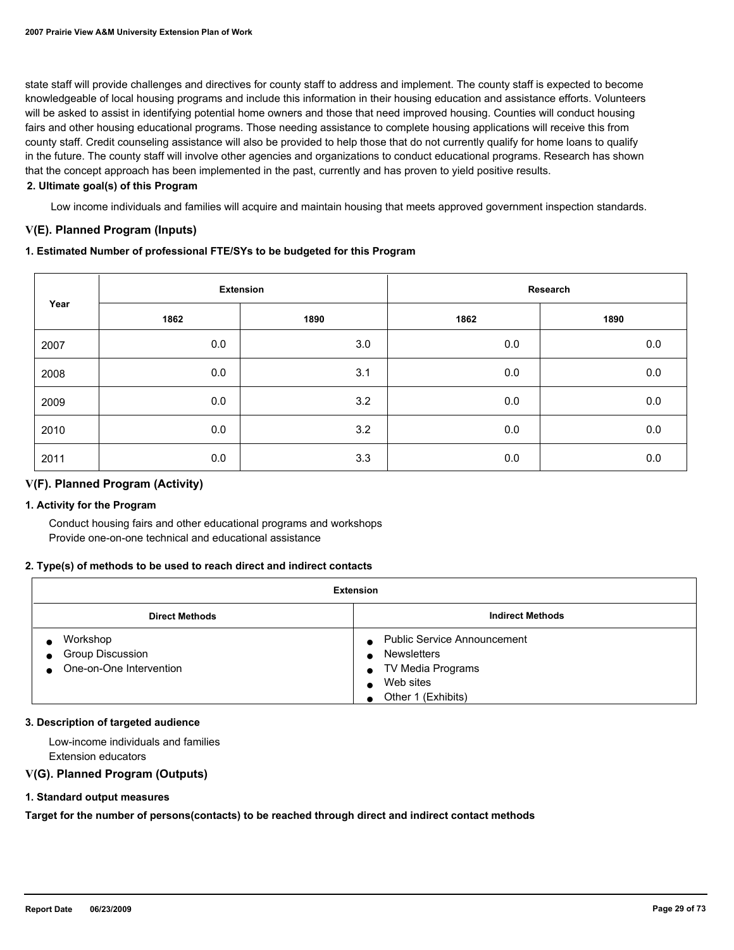state staff will provide challenges and directives for county staff to address and implement. The county staff is expected to become knowledgeable of local housing programs and include this information in their housing education and assistance efforts. Volunteers will be asked to assist in identifying potential home owners and those that need improved housing. Counties will conduct housing fairs and other housing educational programs. Those needing assistance to complete housing applications will receive this from county staff. Credit counseling assistance will also be provided to help those that do not currently qualify for home loans to qualify in the future. The county staff will involve other agencies and organizations to conduct educational programs. Research has shown that the concept approach has been implemented in the past, currently and has proven to yield positive results.

#### **2. Ultimate goal(s) of this Program**

Low income individuals and families will acquire and maintain housing that meets approved government inspection standards.

## **V(E). Planned Program (Inputs)**

#### **1. Estimated Number of professional FTE/SYs to be budgeted for this Program**

|      | <b>Extension</b> |      | Research |         |
|------|------------------|------|----------|---------|
| Year | 1862             | 1890 | 1862     | 1890    |
| 2007 | 0.0              | 3.0  | 0.0      | $0.0\,$ |
| 2008 | 0.0              | 3.1  | $0.0\,$  | $0.0\,$ |
| 2009 | 0.0              | 3.2  | 0.0      | $0.0\,$ |
| 2010 | 0.0              | 3.2  | 0.0      | $0.0\,$ |
| 2011 | 0.0              | 3.3  | 0.0      | 0.0     |

## **V(F). Planned Program (Activity)**

#### **1. Activity for the Program**

 Conduct housing fairs and other educational programs and workshops Provide one-on-one technical and educational assistance

#### **2. Type(s) of methods to be used to reach direct and indirect contacts**

| <b>Extension</b>                                          |                                                                                                                  |  |  |
|-----------------------------------------------------------|------------------------------------------------------------------------------------------------------------------|--|--|
| <b>Indirect Methods</b><br><b>Direct Methods</b>          |                                                                                                                  |  |  |
| Workshop<br>Group Discussion<br>● One-on-One Intervention | <b>Public Service Announcement</b><br><b>Newsletters</b><br>TV Media Programs<br>Web sites<br>Other 1 (Exhibits) |  |  |

#### **3. Description of targeted audience**

 Low-income individuals and families Extension educators

## **V(G). Planned Program (Outputs)**

#### **1. Standard output measures**

**Target for the number of persons(contacts) to be reached through direct and indirect contact methods**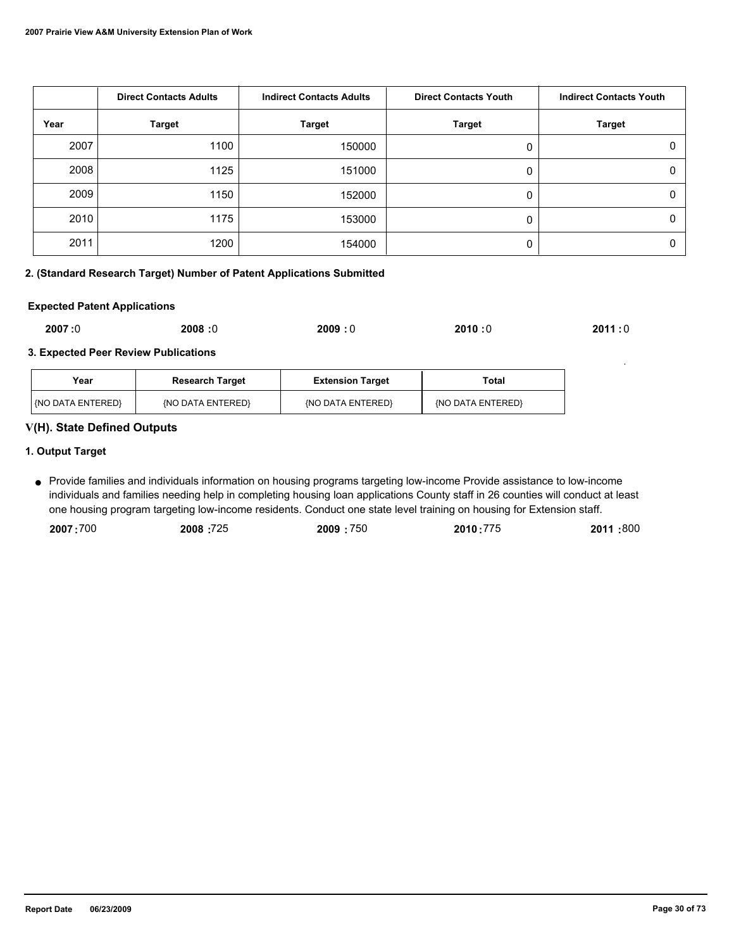|      | <b>Direct Contacts Adults</b> | <b>Indirect Contacts Adults</b> | <b>Direct Contacts Youth</b> | <b>Indirect Contacts Youth</b> |
|------|-------------------------------|---------------------------------|------------------------------|--------------------------------|
| Year | <b>Target</b>                 | <b>Target</b>                   | <b>Target</b>                | <b>Target</b>                  |
| 2007 | 1100                          | 150000                          |                              | 0                              |
| 2008 | 1125                          | 151000                          |                              | 0                              |
| 2009 | 1150                          | 152000                          |                              | 0                              |
| 2010 | 1175                          | 153000                          | 0                            | 0                              |
| 2011 | 1200                          | 154000                          |                              | 0                              |

## **2. (Standard Research Target) Number of Patent Applications Submitted**

#### **Expected Patent Applications**

| 2007:0 | 2008:0 | 2009:0 | 2010:0 | 2011:0 |
|--------|--------|--------|--------|--------|
|--------|--------|--------|--------|--------|

## **3. Expected Peer Review Publications**

| Year                | <b>Research Target</b> | <b>Extension Target</b> | Total             |
|---------------------|------------------------|-------------------------|-------------------|
| l (NO DATA ENTERED) | (NO DATA ENTERED)      | (NO DATA ENTERED)       | {NO DATA ENTERED} |

## **V(H). State Defined Outputs**

## **1. Output Target**

Provide families and individuals information on housing programs targeting low-income Provide assistance to low-income ● individuals and families needing help in completing housing loan applications County staff in 26 counties will conduct at least one housing program targeting low-income residents. Conduct one state level training on housing for Extension staff.

| 2007:700 | 2008 725 | 2009:750 | 2010:775 | 2011:800 |
|----------|----------|----------|----------|----------|
|          |          |          |          |          |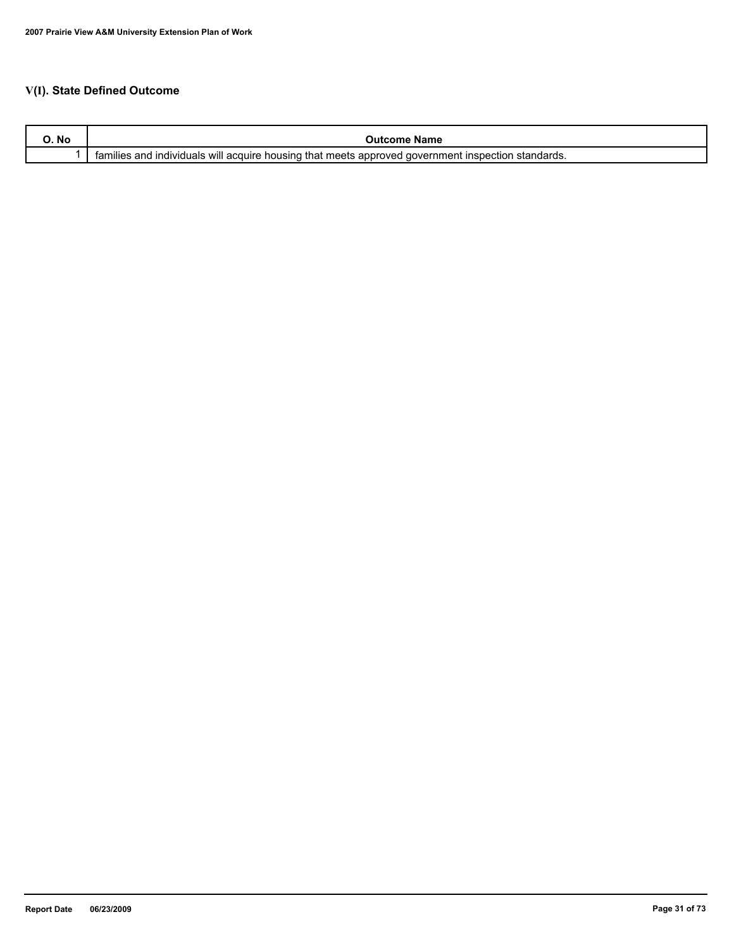# **V(I). State Defined Outcome**

| No | name<br>:оше                                                                                                                                                      |
|----|-------------------------------------------------------------------------------------------------------------------------------------------------------------------|
|    | <br>standards.<br>that meets<br>. Inspection<br>tamilies<br>housing<br><b>individuals</b><br>acquire<br>aover<br>≅rnmen⊾<br>over.<br>and<br>will<br>≅app.<br>,,,, |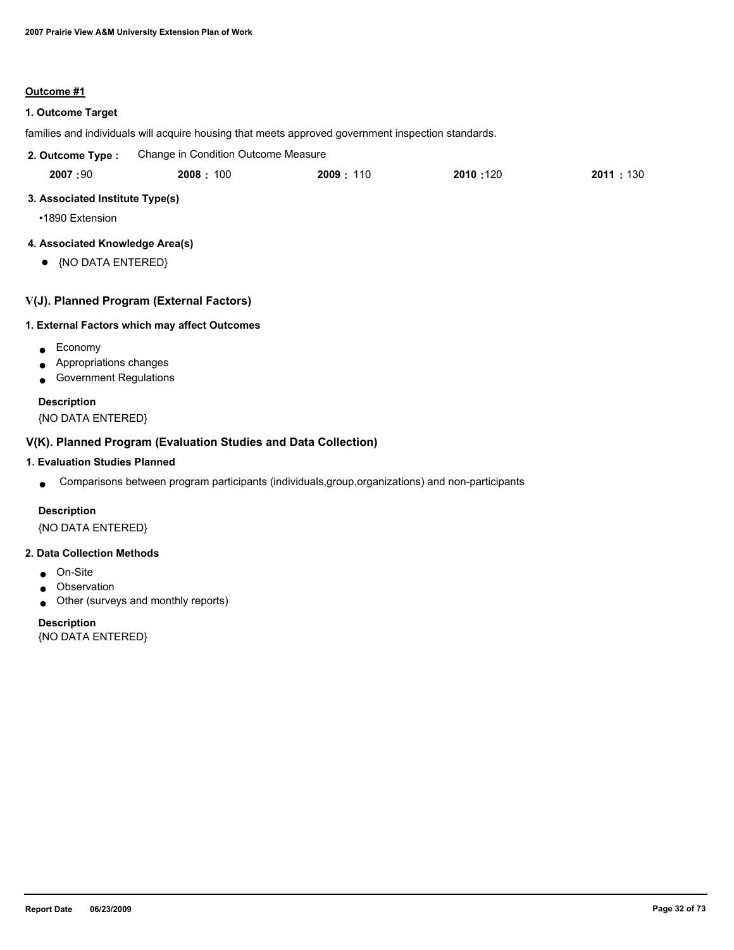## **Outcome #1**

## **1. Outcome Target**

families and individuals will acquire housing that meets approved government inspection standards.

| 2. Outcome Type : | Change in Condition Outcome Measure |          |          |            |
|-------------------|-------------------------------------|----------|----------|------------|
| 2007:90           | 2008:100                            | 2009:110 | 2010:120 | 2011 : 130 |

## **3. Associated Institute Type(s)**

•1890 Extension

## **4. Associated Knowledge Area(s)**

● {NO DATA ENTERED}

## **V(J). Planned Program (External Factors)**

## **1. External Factors which may affect Outcomes**

- Economy
- Appropriations changes
- Government Regulations

## **Description**

{NO DATA ENTERED}

## **V(K). Planned Program (Evaluation Studies and Data Collection)**

## **1. Evaluation Studies Planned**

● Comparisons between program participants (individuals,group,organizations) and non-participants

## **Description**

{NO DATA ENTERED}

#### **2. Data Collection Methods**

- On-Site
- Observation
- Other (surveys and monthly reports)

## **Description**

{NO DATA ENTERED}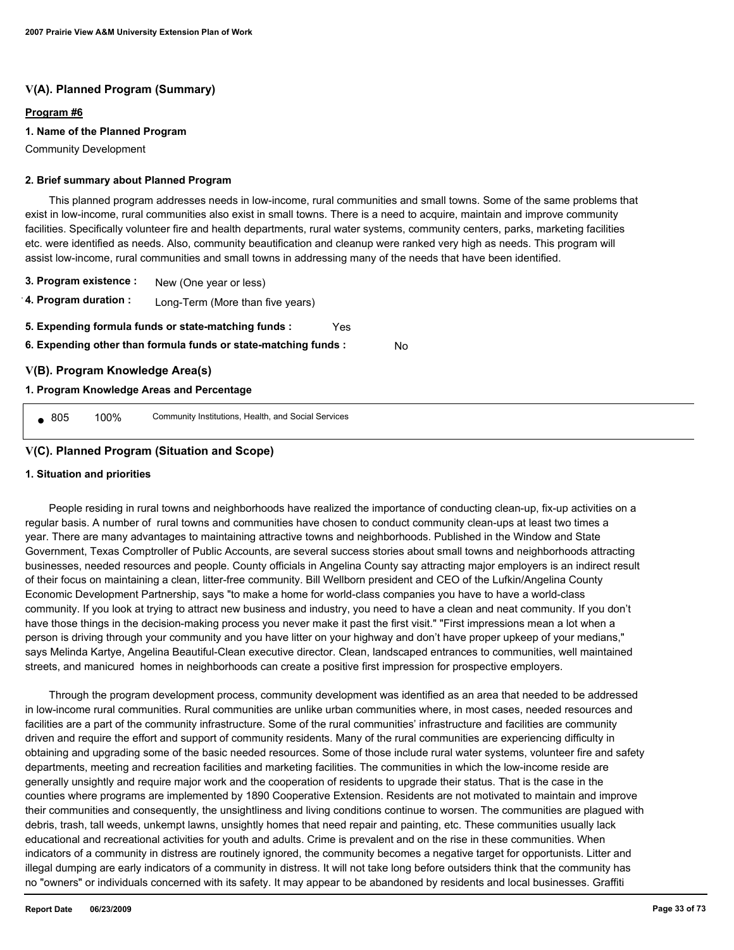## **V(A). Planned Program (Summary)**

#### **Program #6**

#### **1. Name of the Planned Program**

Community Development

#### **2. Brief summary about Planned Program**

 This planned program addresses needs in low-income, rural communities and small towns. Some of the same problems that exist in low-income, rural communities also exist in small towns. There is a need to acquire, maintain and improve community facilities. Specifically volunteer fire and health departments, rural water systems, community centers, parks, marketing facilities etc. were identified as needs. Also, community beautification and cleanup were ranked very high as needs. This program will assist low-income, rural communities and small towns in addressing many of the needs that have been identified.

No

- **3. Program existence :** New (One year or less)
- **4. Program duration :** Long-Term (More than five years)
- **5. Expending formula funds or state-matching funds :** Yes
- **6. Expending other than formula funds or state-matching funds :**

## **V(B). Program Knowledge Area(s)**

## **1. Program Knowledge Areas and Percentage**

● 805 100% Community Institutions, Health, and Social Services

## **V(C). Planned Program (Situation and Scope)**

#### **1. Situation and priorities**

 People residing in rural towns and neighborhoods have realized the importance of conducting clean-up, fix-up activities on a regular basis. A number of rural towns and communities have chosen to conduct community clean-ups at least two times a year. There are many advantages to maintaining attractive towns and neighborhoods. Published in the Window and State Government, Texas Comptroller of Public Accounts, are several success stories about small towns and neighborhoods attracting businesses, needed resources and people. County officials in Angelina County say attracting major employers is an indirect result of their focus on maintaining a clean, litter-free community. Bill Wellborn president and CEO of the Lufkin/Angelina County Economic Development Partnership, says "to make a home for world-class companies you have to have a world-class community. If you look at trying to attract new business and industry, you need to have a clean and neat community. If you don't have those things in the decision-making process you never make it past the first visit." "First impressions mean a lot when a person is driving through your community and you have litter on your highway and don't have proper upkeep of your medians," says Melinda Kartye, Angelina Beautiful-Clean executive director. Clean, landscaped entrances to communities, well maintained streets, and manicured homes in neighborhoods can create a positive first impression for prospective employers.

 Through the program development process, community development was identified as an area that needed to be addressed in low-income rural communities. Rural communities are unlike urban communities where, in most cases, needed resources and facilities are a part of the community infrastructure. Some of the rural communities' infrastructure and facilities are community driven and require the effort and support of community residents. Many of the rural communities are experiencing difficulty in obtaining and upgrading some of the basic needed resources. Some of those include rural water systems, volunteer fire and safety departments, meeting and recreation facilities and marketing facilities. The communities in which the low-income reside are generally unsightly and require major work and the cooperation of residents to upgrade their status. That is the case in the counties where programs are implemented by 1890 Cooperative Extension. Residents are not motivated to maintain and improve their communities and consequently, the unsightliness and living conditions continue to worsen. The communities are plagued with debris, trash, tall weeds, unkempt lawns, unsightly homes that need repair and painting, etc. These communities usually lack educational and recreational activities for youth and adults. Crime is prevalent and on the rise in these communities. When indicators of a community in distress are routinely ignored, the community becomes a negative target for opportunists. Litter and illegal dumping are early indicators of a community in distress. It will not take long before outsiders think that the community has no "owners" or individuals concerned with its safety. It may appear to be abandoned by residents and local businesses. Graffiti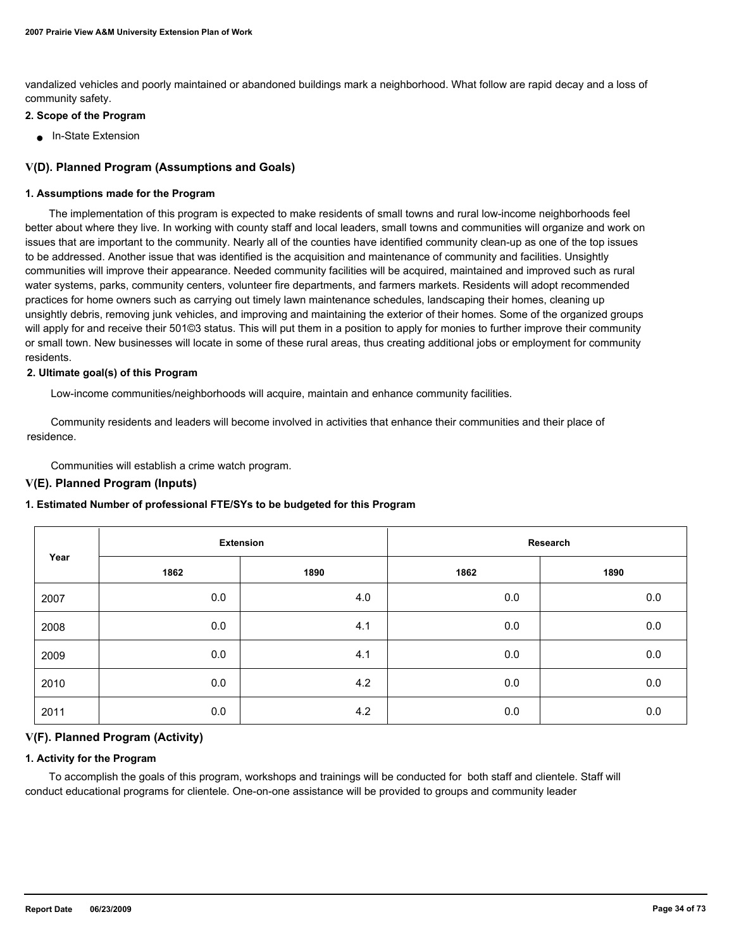vandalized vehicles and poorly maintained or abandoned buildings mark a neighborhood. What follow are rapid decay and a loss of community safety.

#### **2. Scope of the Program**

■ In-State Extension

## **V(D). Planned Program (Assumptions and Goals)**

#### **1. Assumptions made for the Program**

 The implementation of this program is expected to make residents of small towns and rural low-income neighborhoods feel better about where they live. In working with county staff and local leaders, small towns and communities will organize and work on issues that are important to the community. Nearly all of the counties have identified community clean-up as one of the top issues to be addressed. Another issue that was identified is the acquisition and maintenance of community and facilities. Unsightly communities will improve their appearance. Needed community facilities will be acquired, maintained and improved such as rural water systems, parks, community centers, volunteer fire departments, and farmers markets. Residents will adopt recommended practices for home owners such as carrying out timely lawn maintenance schedules, landscaping their homes, cleaning up unsightly debris, removing junk vehicles, and improving and maintaining the exterior of their homes. Some of the organized groups will apply for and receive their 501©3 status. This will put them in a position to apply for monies to further improve their community or small town. New businesses will locate in some of these rural areas, thus creating additional jobs or employment for community residents.

#### **2. Ultimate goal(s) of this Program**

Low-income communities/neighborhoods will acquire, maintain and enhance community facilities.

 Community residents and leaders will become involved in activities that enhance their communities and their place of residence.

Communities will establish a crime watch program.

#### **V(E). Planned Program (Inputs)**

#### **1. Estimated Number of professional FTE/SYs to be budgeted for this Program**

|      | <b>Extension</b> |      | Research |         |
|------|------------------|------|----------|---------|
| Year | 1862             | 1890 | 1862     | 1890    |
| 2007 | 0.0              | 4.0  | 0.0      | 0.0     |
| 2008 | 0.0              | 4.1  | 0.0      | $0.0\,$ |
| 2009 | 0.0              | 4.1  | 0.0      | $0.0\,$ |
| 2010 | 0.0              | 4.2  | 0.0      | 0.0     |
| 2011 | 0.0              | 4.2  | 0.0      | 0.0     |

#### **V(F). Planned Program (Activity)**

#### **1. Activity for the Program**

 To accomplish the goals of this program, workshops and trainings will be conducted for both staff and clientele. Staff will conduct educational programs for clientele. One-on-one assistance will be provided to groups and community leader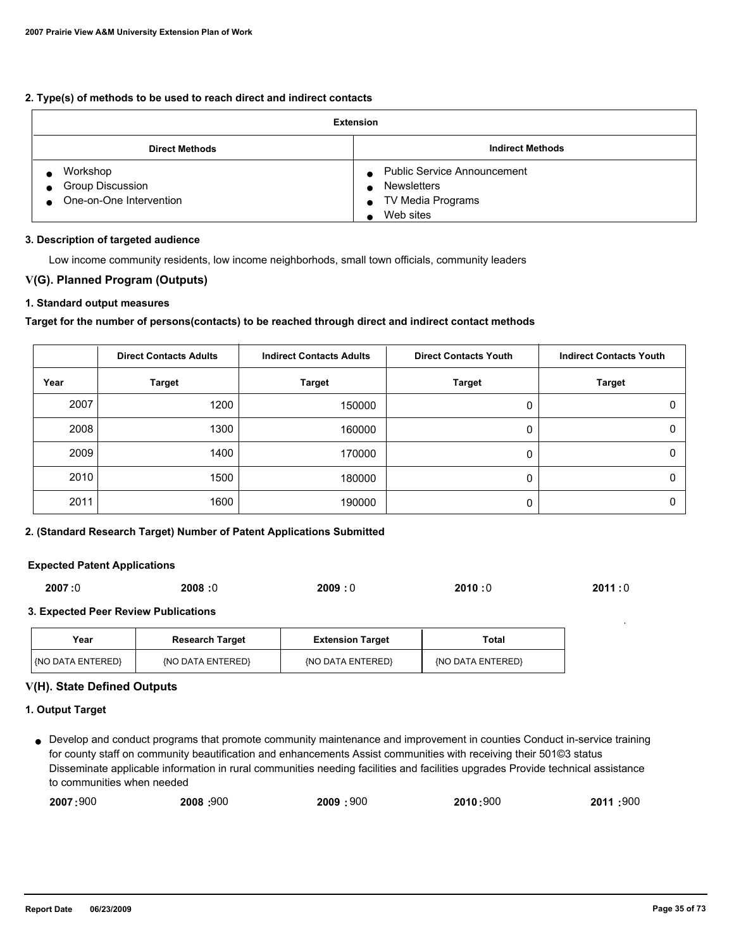## **2. Type(s) of methods to be used to reach direct and indirect contacts**

| <b>Extension</b>                                        |                                                                                                         |  |
|---------------------------------------------------------|---------------------------------------------------------------------------------------------------------|--|
| <b>Direct Methods</b>                                   | <b>Indirect Methods</b>                                                                                 |  |
| Workshop<br>Group Discussion<br>One-on-One Intervention | <b>Public Service Announcement</b><br><b>Newsletters</b><br>TV Media Programs<br>$\bullet$<br>Web sites |  |

#### **3. Description of targeted audience**

Low income community residents, low income neighborhods, small town officials, community leaders

## **V(G). Planned Program (Outputs)**

### **1. Standard output measures**

#### **Target for the number of persons(contacts) to be reached through direct and indirect contact methods**

|      | <b>Direct Contacts Adults</b> | <b>Indirect Contacts Adults</b> | <b>Direct Contacts Youth</b> | <b>Indirect Contacts Youth</b> |
|------|-------------------------------|---------------------------------|------------------------------|--------------------------------|
| Year | <b>Target</b>                 | <b>Target</b>                   | Target                       | <b>Target</b>                  |
| 2007 | 1200                          | 150000                          | 0                            |                                |
| 2008 | 1300                          | 160000                          | 0                            |                                |
| 2009 | 1400                          | 170000                          | 0                            |                                |
| 2010 | 1500                          | 180000                          | 0                            |                                |
| 2011 | 1600                          | 190000                          |                              |                                |

#### **2. (Standard Research Target) Number of Patent Applications Submitted**

#### **Expected Patent Applications**

| 2007:0 | 2008:0 | 2009:0 | 2010:0 | 2011:0 |
|--------|--------|--------|--------|--------|
|        |        |        |        |        |

#### **3. Expected Peer Review Publications**

| Year<br><b>Research Target</b>           |  | <b>Extension Target</b> | Total             |
|------------------------------------------|--|-------------------------|-------------------|
| l (NO DATA ENTERED)<br>(NO DATA ENTERED) |  | {NO DATA ENTERED}       | {NO DATA ENTERED} |

#### **V(H). State Defined Outputs**

#### **1. Output Target**

Develop and conduct programs that promote community maintenance and improvement in counties Conduct in-service training ● for county staff on community beautification and enhancements Assist communities with receiving their 501©3 status Disseminate applicable information in rural communities needing facilities and facilities upgrades Provide technical assistance to communities when needed

| 2007:900 | <b>2008: 900</b> | 2009<br>900 | 2010:900 | :900<br>2011 |
|----------|------------------|-------------|----------|--------------|
|----------|------------------|-------------|----------|--------------|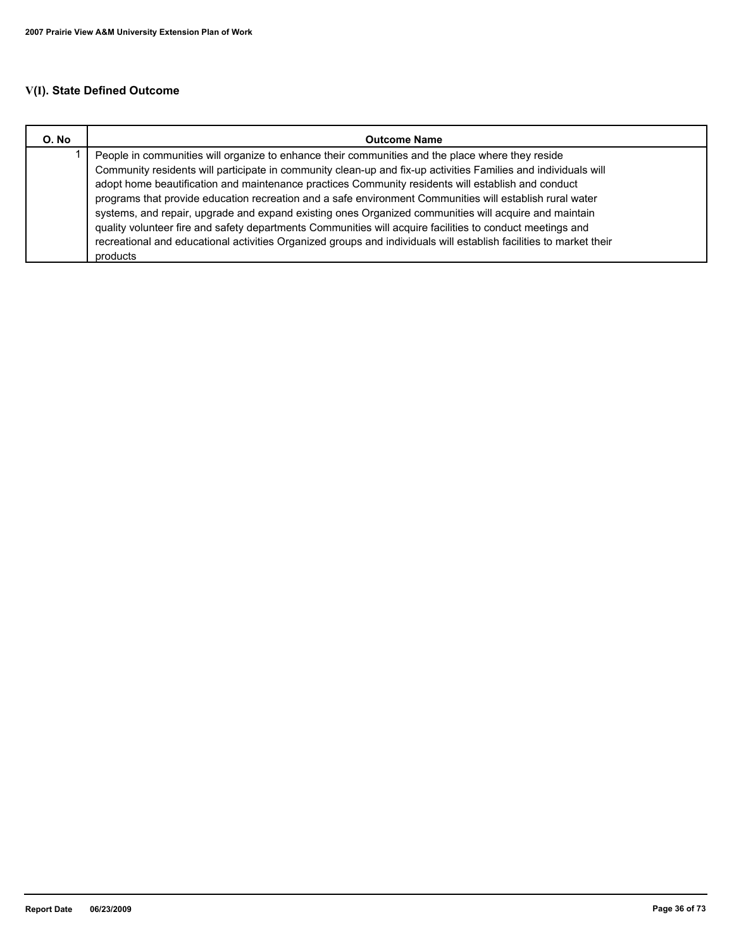# **V(I). State Defined Outcome**

| O. No | <b>Outcome Name</b>                                                                                                                                                                                                                                                                                                                                                                                                                                                                                                                           |
|-------|-----------------------------------------------------------------------------------------------------------------------------------------------------------------------------------------------------------------------------------------------------------------------------------------------------------------------------------------------------------------------------------------------------------------------------------------------------------------------------------------------------------------------------------------------|
|       | People in communities will organize to enhance their communities and the place where they reside<br>Community residents will participate in community clean-up and fix-up activities Families and individuals will<br>adopt home beautification and maintenance practices Community residents will establish and conduct<br>programs that provide education recreation and a safe environment Communities will establish rural water<br>systems, and repair, upgrade and expand existing ones Organized communities will acquire and maintain |
|       | quality volunteer fire and safety departments Communities will acquire facilities to conduct meetings and<br>recreational and educational activities Organized groups and individuals will establish facilities to market their<br>products                                                                                                                                                                                                                                                                                                   |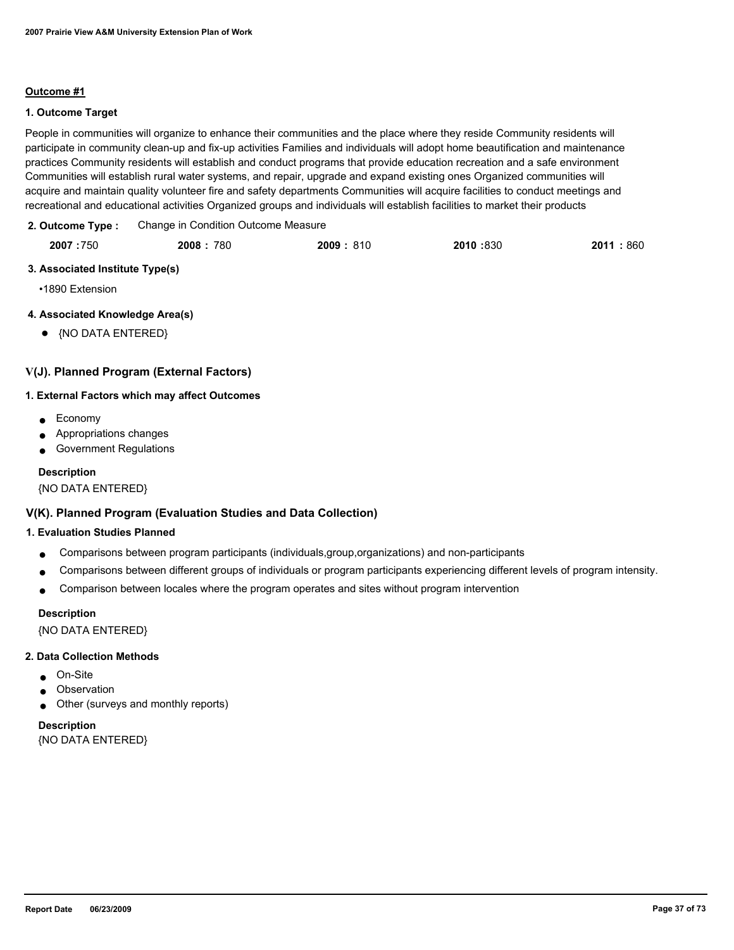#### **Outcome #1**

## **1. Outcome Target**

People in communities will organize to enhance their communities and the place where they reside Community residents will participate in community clean-up and fix-up activities Families and individuals will adopt home beautification and maintenance practices Community residents will establish and conduct programs that provide education recreation and a safe environment Communities will establish rural water systems, and repair, upgrade and expand existing ones Organized communities will acquire and maintain quality volunteer fire and safety departments Communities will acquire facilities to conduct meetings and recreational and educational activities Organized groups and individuals will establish facilities to market their products

| 2. Outcome Type: | Change in Condition Outcome Measure |
|------------------|-------------------------------------|
|                  |                                     |

| 2007:750 | 2008:780 | 2009: 810 | 2010:830 | 2011<br>.860 |
|----------|----------|-----------|----------|--------------|
|          |          |           |          |              |

## **3. Associated Institute Type(s)**

•1890 Extension

## **4. Associated Knowledge Area(s)**

● {NO DATA ENTERED}

## **V(J). Planned Program (External Factors)**

#### **1. External Factors which may affect Outcomes**

- Economy
- Appropriations changes
- Government Regulations

#### **Description**

{NO DATA ENTERED}

## **V(K). Planned Program (Evaluation Studies and Data Collection)**

#### **1. Evaluation Studies Planned**

- Comparisons between program participants (individuals,group,organizations) and non-participants
- Comparisons between different groups of individuals or program participants experiencing different levels of program intensity.
- Comparison between locales where the program operates and sites without program intervention

#### **Description**

{NO DATA ENTERED}

#### **2. Data Collection Methods**

- On-Site
- Observation
- Other (surveys and monthly reports)

## **Description** {NO DATA ENTERED}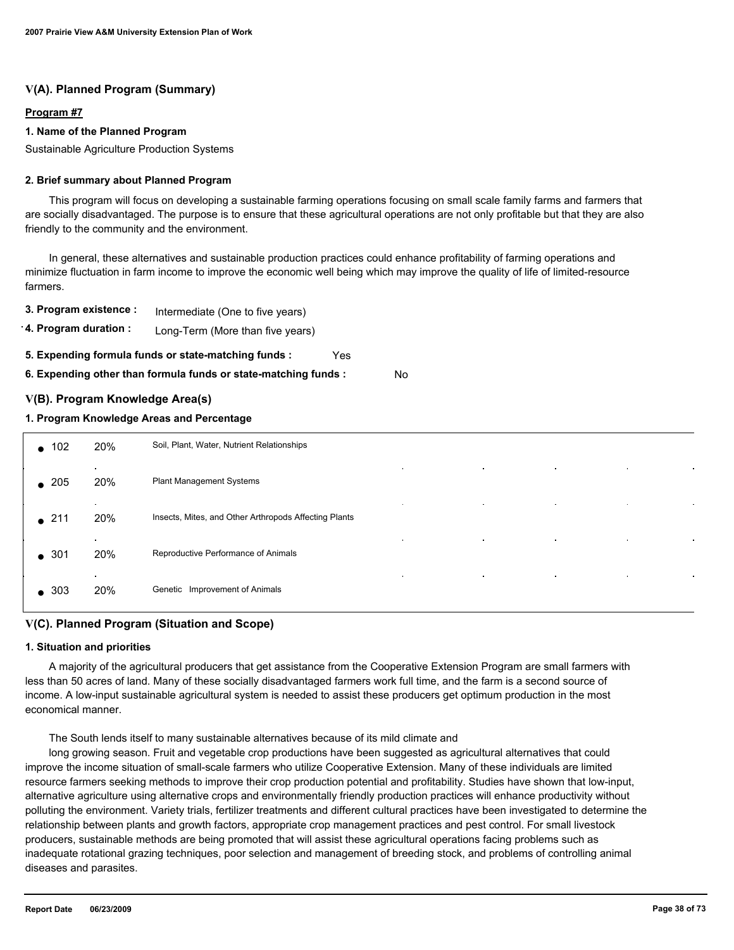## **V(A). Planned Program (Summary)**

#### **Program #7**

#### **1. Name of the Planned Program**

Sustainable Agriculture Production Systems

#### **2. Brief summary about Planned Program**

 This program will focus on developing a sustainable farming operations focusing on small scale family farms and farmers that are socially disadvantaged. The purpose is to ensure that these agricultural operations are not only profitable but that they are also friendly to the community and the environment.

 In general, these alternatives and sustainable production practices could enhance profitability of farming operations and minimize fluctuation in farm income to improve the economic well being which may improve the quality of life of limited-resource farmers.

**3. Program existence :** Intermediate (One to five years)

**4. Program duration :** Long-Term (More than five years)

**5. Expending formula funds or state-matching funds :** Yes

**6. Expending other than formula funds or state-matching funds :** No

## **V(B). Program Knowledge Area(s)**

### **1. Program Knowledge Areas and Percentage**

| $\bullet$ 102 | 20%              | Soil, Plant, Water, Nutrient Relationships                         |           |           |           |  |
|---------------|------------------|--------------------------------------------------------------------|-----------|-----------|-----------|--|
| $\bullet$ 205 | $\bullet$<br>20% | $\blacksquare$<br>Plant Management Systems                         | $\sim$    | $\bullet$ | $\bullet$ |  |
| $\bullet$ 211 | $\bullet$<br>20% | $\bullet$<br>Insects, Mites, and Other Arthropods Affecting Plants | $\bullet$ | $\bullet$ | $\cdot$   |  |
| $\bullet$ 301 | $\bullet$<br>20% | $\bullet$<br>Reproductive Performance of Animals                   | $\bullet$ | $\bullet$ | $\bullet$ |  |
| $\bullet$ 303 | $\bullet$<br>20% | $\bullet$<br>Genetic Improvement of Animals                        | $\bullet$ | $\bullet$ | $\cdot$   |  |

## **V(C). Planned Program (Situation and Scope)**

#### **1. Situation and priorities**

 A majority of the agricultural producers that get assistance from the Cooperative Extension Program are small farmers with less than 50 acres of land. Many of these socially disadvantaged farmers work full time, and the farm is a second source of income. A low-input sustainable agricultural system is needed to assist these producers get optimum production in the most economical manner.

The South lends itself to many sustainable alternatives because of its mild climate and

 long growing season. Fruit and vegetable crop productions have been suggested as agricultural alternatives that could improve the income situation of small-scale farmers who utilize Cooperative Extension. Many of these individuals are limited resource farmers seeking methods to improve their crop production potential and profitability. Studies have shown that low-input, alternative agriculture using alternative crops and environmentally friendly production practices will enhance productivity without polluting the environment. Variety trials, fertilizer treatments and different cultural practices have been investigated to determine the relationship between plants and growth factors, appropriate crop management practices and pest control. For small livestock producers, sustainable methods are being promoted that will assist these agricultural operations facing problems such as inadequate rotational grazing techniques, poor selection and management of breeding stock, and problems of controlling animal diseases and parasites.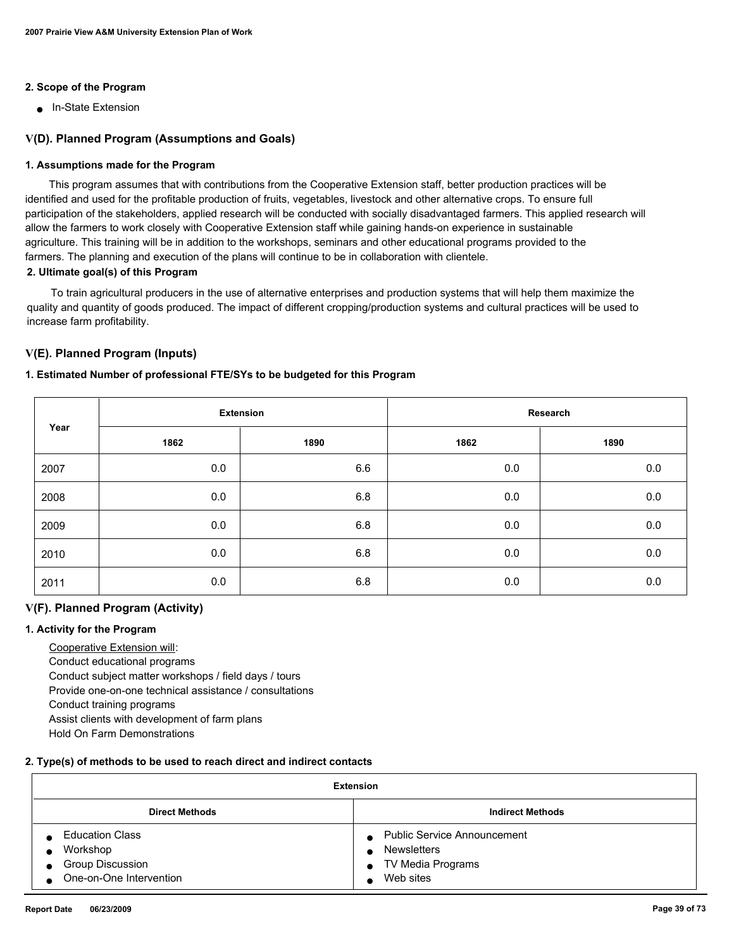## **2. Scope of the Program**

■ In-State Extension

## **V(D). Planned Program (Assumptions and Goals)**

#### **1. Assumptions made for the Program**

 This program assumes that with contributions from the Cooperative Extension staff, better production practices will be identified and used for the profitable production of fruits, vegetables, livestock and other alternative crops. To ensure full participation of the stakeholders, applied research will be conducted with socially disadvantaged farmers. This applied research will allow the farmers to work closely with Cooperative Extension staff while gaining hands-on experience in sustainable agriculture. This training will be in addition to the workshops, seminars and other educational programs provided to the farmers. The planning and execution of the plans will continue to be in collaboration with clientele.

## **2. Ultimate goal(s) of this Program**

 To train agricultural producers in the use of alternative enterprises and production systems that will help them maximize the quality and quantity of goods produced. The impact of different cropping/production systems and cultural practices will be used to increase farm profitability.

## **V(E). Planned Program (Inputs)**

## **1. Estimated Number of professional FTE/SYs to be budgeted for this Program**

|      | <b>Extension</b> |      | Research |      |
|------|------------------|------|----------|------|
| Year | 1862             | 1890 | 1862     | 1890 |
| 2007 | 0.0              | 6.6  | 0.0      | 0.0  |
| 2008 | 0.0              | 6.8  | 0.0      | 0.0  |
| 2009 | 0.0              | 6.8  | 0.0      | 0.0  |
| 2010 | 0.0              | 6.8  | 0.0      | 0.0  |
| 2011 | 0.0              | 6.8  | $0.0\,$  | 0.0  |

## **V(F). Planned Program (Activity)**

#### **1. Activity for the Program**

 Cooperative Extension will: Conduct educational programs Conduct subject matter workshops / field days / tours Provide one-on-one technical assistance / consultations Conduct training programs Assist clients with development of farm plans Hold On Farm Demonstrations

#### **2. Type(s) of methods to be used to reach direct and indirect contacts**

| <b>Extension</b>                                                                                        |                                                                                                    |  |  |
|---------------------------------------------------------------------------------------------------------|----------------------------------------------------------------------------------------------------|--|--|
| <b>Direct Methods</b>                                                                                   | <b>Indirect Methods</b>                                                                            |  |  |
| <b>Education Class</b><br>Workshop<br><b>Group Discussion</b><br>$\bullet$<br>● One-on-One Intervention | • Public Service Announcement<br><b>Newsletters</b><br>TV Media Programs<br>$\bullet$<br>Web sites |  |  |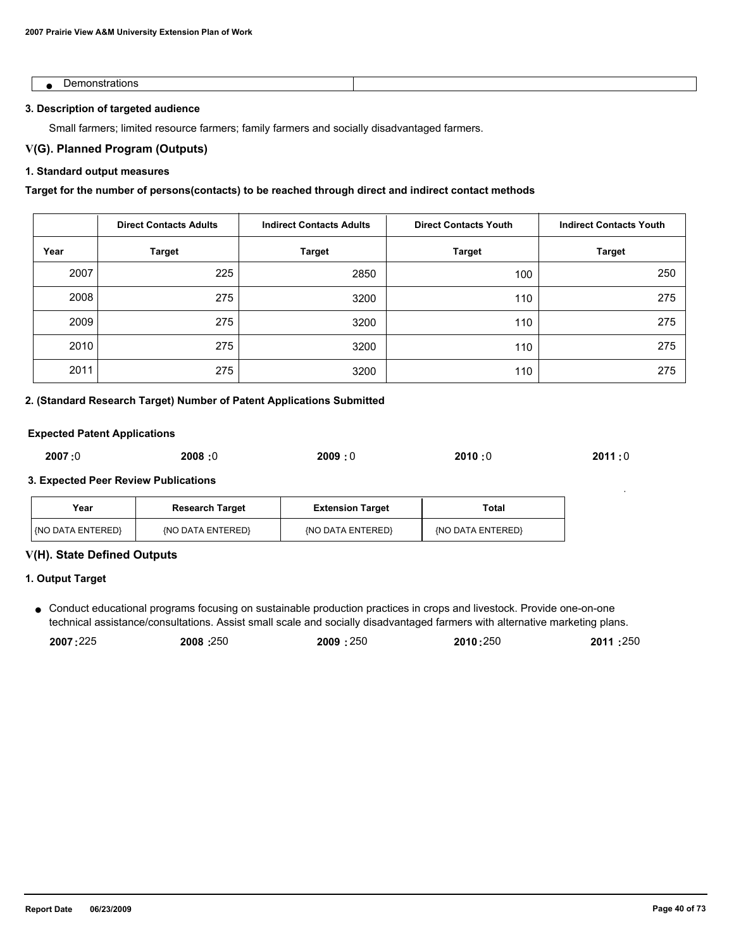| ъ.<br>и.<br>. |  |
|---------------|--|

#### **3. Description of targeted audience**

Small farmers; limited resource farmers; family farmers and socially disadvantaged farmers.

## **V(G). Planned Program (Outputs)**

## **1. Standard output measures**

## **Target for the number of persons(contacts) to be reached through direct and indirect contact methods**

|      | <b>Direct Contacts Adults</b> | <b>Indirect Contacts Adults</b> | <b>Direct Contacts Youth</b> | <b>Indirect Contacts Youth</b> |
|------|-------------------------------|---------------------------------|------------------------------|--------------------------------|
| Year | <b>Target</b>                 | <b>Target</b>                   | <b>Target</b>                | <b>Target</b>                  |
| 2007 | 225                           | 2850                            | 100                          | 250                            |
| 2008 | 275                           | 3200                            | 110                          | 275                            |
| 2009 | 275                           | 3200                            | 110                          | 275                            |
| 2010 | 275                           | 3200                            | 110                          | 275                            |
| 2011 | 275                           | 3200                            | 110                          | 275                            |

#### **2. (Standard Research Target) Number of Patent Applications Submitted**

#### **Expected Patent Applications**

| 2007:0 | 2008:0 | 2009:0 | 2010:0 | 2011:0 |
|--------|--------|--------|--------|--------|
|        |        |        |        |        |

#### **3. Expected Peer Review Publications**

| Year                   | <b>Research Target</b> | <b>Extension Target</b> | Total             |
|------------------------|------------------------|-------------------------|-------------------|
| <b>NO DATA ENTERED</b> | {NO DATA ENTERED}      | (NO DATA ENTERED)       | (NO DATA ENTERED) |

#### **V(H). State Defined Outputs**

#### **1. Output Target**

● Conduct educational programs focusing on sustainable production practices in crops and livestock. Provide one-on-one technical assistance/consultations. Assist small scale and socially disadvantaged farmers with alternative marketing plans.

|          |          |          |          | 2011:250 |
|----------|----------|----------|----------|----------|
| 2007:225 | 2008:250 | 2009:250 | 2010:250 |          |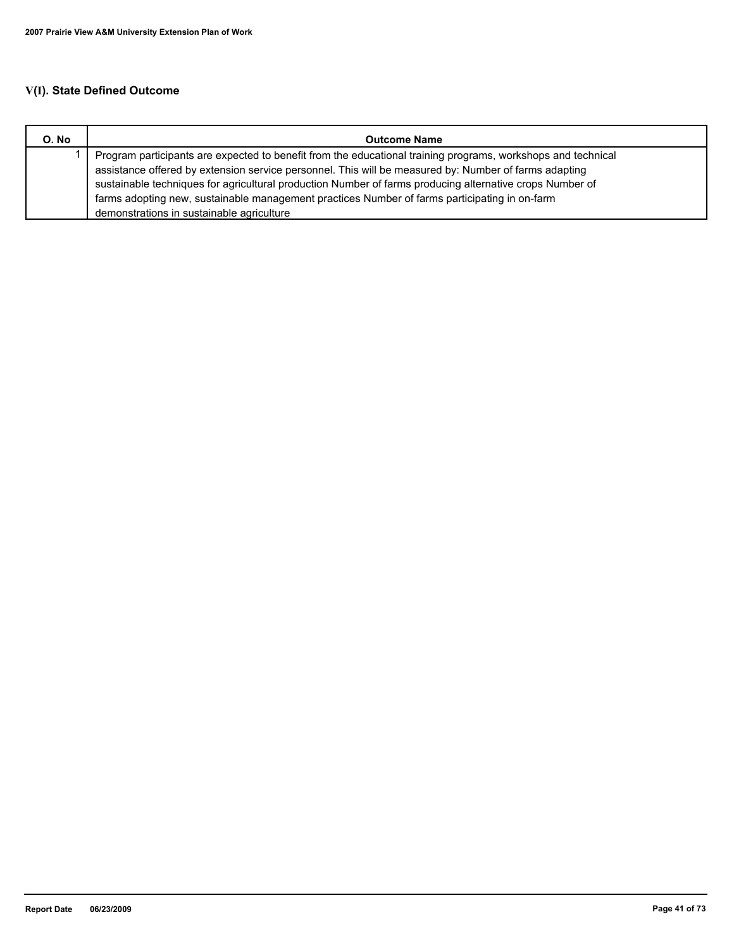# **V(I). State Defined Outcome**

| O. No | <b>Outcome Name</b>                                                                                          |
|-------|--------------------------------------------------------------------------------------------------------------|
|       | Program participants are expected to benefit from the educational training programs, workshops and technical |
|       | assistance offered by extension service personnel. This will be measured by: Number of farms adapting        |
|       | sustainable techniques for agricultural production Number of farms producing alternative crops Number of     |
|       | farms adopting new, sustainable management practices Number of farms participating in on-farm                |
|       | demonstrations in sustainable agriculture                                                                    |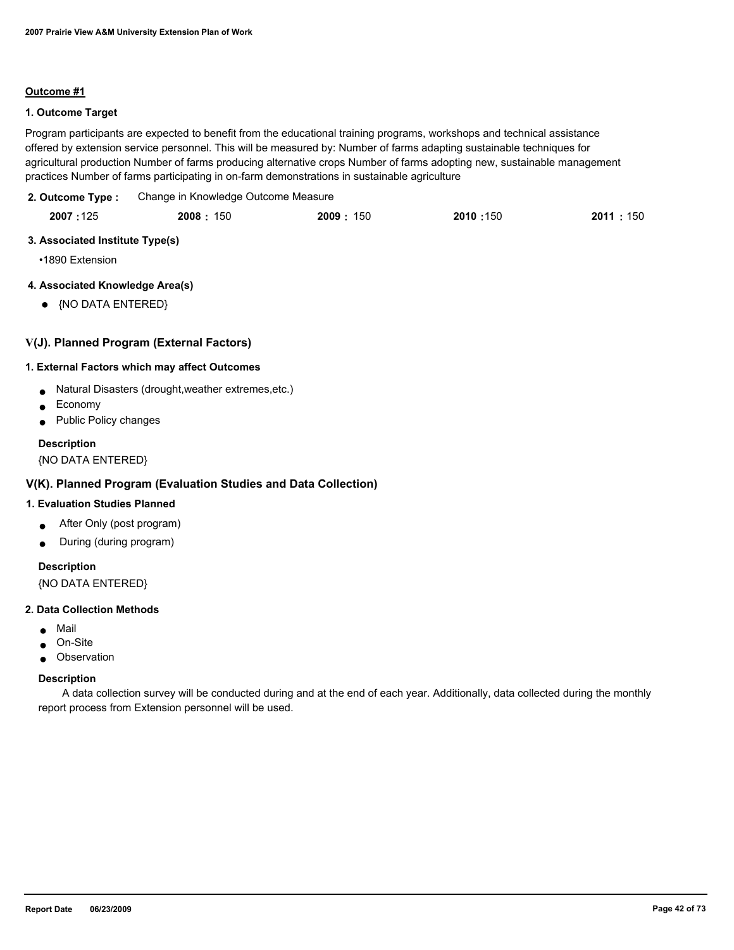### **Outcome #1**

## **1. Outcome Target**

Program participants are expected to benefit from the educational training programs, workshops and technical assistance offered by extension service personnel. This will be measured by: Number of farms adapting sustainable techniques for agricultural production Number of farms producing alternative crops Number of farms adopting new, sustainable management practices Number of farms participating in on-farm demonstrations in sustainable agriculture

Change in Knowledge Outcome Measure **2. Outcome Type :**

| 2007:125 | 2008: 150 | 2009:<br>: 150 | 2010:150 | 2011 : 150 |
|----------|-----------|----------------|----------|------------|
|          |           |                |          |            |

## **3. Associated Institute Type(s)**

•1890 Extension

## **4. Associated Knowledge Area(s)**

● {NO DATA ENTERED}

## **V(J). Planned Program (External Factors)**

#### **1. External Factors which may affect Outcomes**

- Natural Disasters (drought,weather extremes,etc.)
- **Economy**
- Public Policy changes

## **Description**

{NO DATA ENTERED}

## **V(K). Planned Program (Evaluation Studies and Data Collection)**

## **1. Evaluation Studies Planned**

- After Only (post program)
- During (during program)

## **Description**

{NO DATA ENTERED}

#### **2. Data Collection Methods**

- Mail
- On-Site
- Observation

#### **Description**

 A data collection survey will be conducted during and at the end of each year. Additionally, data collected during the monthly report process from Extension personnel will be used.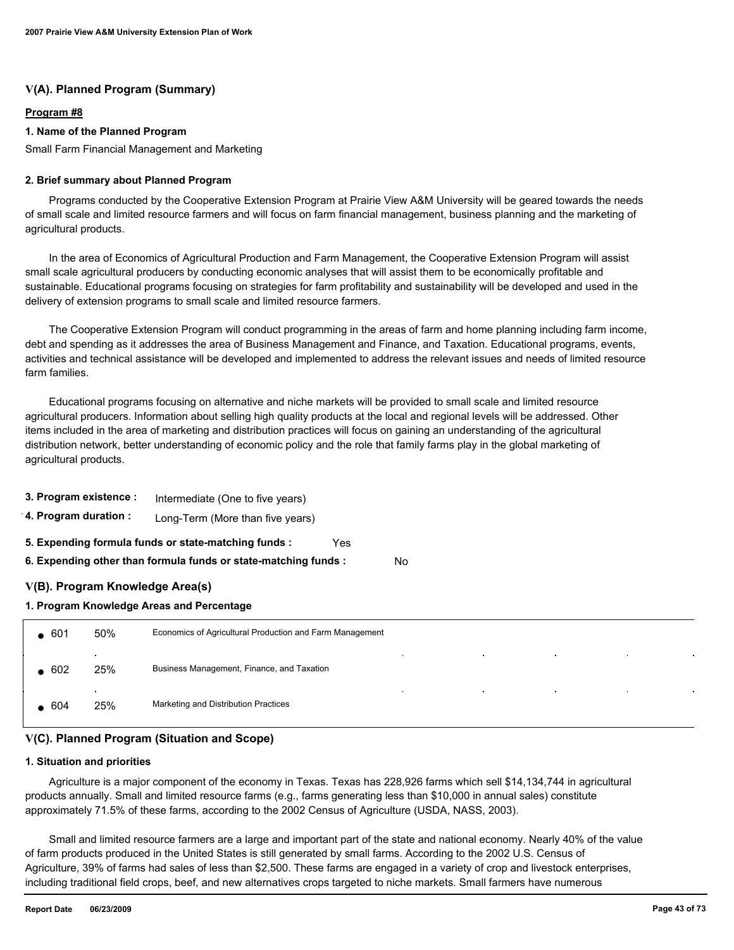## **V(A). Planned Program (Summary)**

#### **Program #8**

#### **1. Name of the Planned Program**

Small Farm Financial Management and Marketing

#### **2. Brief summary about Planned Program**

 Programs conducted by the Cooperative Extension Program at Prairie View A&M University will be geared towards the needs of small scale and limited resource farmers and will focus on farm financial management, business planning and the marketing of agricultural products.

 In the area of Economics of Agricultural Production and Farm Management, the Cooperative Extension Program will assist small scale agricultural producers by conducting economic analyses that will assist them to be economically profitable and sustainable. Educational programs focusing on strategies for farm profitability and sustainability will be developed and used in the delivery of extension programs to small scale and limited resource farmers.

 The Cooperative Extension Program will conduct programming in the areas of farm and home planning including farm income, debt and spending as it addresses the area of Business Management and Finance, and Taxation. Educational programs, events, activities and technical assistance will be developed and implemented to address the relevant issues and needs of limited resource farm families.

 Educational programs focusing on alternative and niche markets will be provided to small scale and limited resource agricultural producers. Information about selling high quality products at the local and regional levels will be addressed. Other items included in the area of marketing and distribution practices will focus on gaining an understanding of the agricultural distribution network, better understanding of economic policy and the role that family farms play in the global marketing of agricultural products.

| 3. Program existence :                                          | Intermediate (One to five years) |  |  |  |  |  |
|-----------------------------------------------------------------|----------------------------------|--|--|--|--|--|
| 4. Program duration :                                           | Long-Term (More than five years) |  |  |  |  |  |
| 5. Expending formula funds or state-matching funds :<br>Yes     |                                  |  |  |  |  |  |
| 6. Expending other than formula funds or state-matching funds : |                                  |  |  |  |  |  |
| V(B). Program Knowledge Area(s)                                 |                                  |  |  |  |  |  |

**1. Program Knowledge Areas and Percentage**

| $-601$ | 50%                             | Economics of Agricultural Production and Farm Management                                                 |
|--------|---------------------------------|----------------------------------------------------------------------------------------------------------|
| 602    | $\bullet$<br>25%                | <b>Contractor</b><br><b>Contractor</b><br>$\sim$<br>$\sim$<br>Business Management, Finance, and Taxation |
| 604    | $\overline{\phantom{a}}$<br>25% | $\sim$<br>$\sim$<br>$\sim$<br>$\sim$<br>Marketing and Distribution Practices                             |

No

## **V(C). Planned Program (Situation and Scope)**

#### **1. Situation and priorities**

 Agriculture is a major component of the economy in Texas. Texas has 228,926 farms which sell \$14,134,744 in agricultural products annually. Small and limited resource farms (e.g., farms generating less than \$10,000 in annual sales) constitute approximately 71.5% of these farms, according to the 2002 Census of Agriculture (USDA, NASS, 2003).

 Small and limited resource farmers are a large and important part of the state and national economy. Nearly 40% of the value of farm products produced in the United States is still generated by small farms. According to the 2002 U.S. Census of Agriculture, 39% of farms had sales of less than \$2,500. These farms are engaged in a variety of crop and livestock enterprises, including traditional field crops, beef, and new alternatives crops targeted to niche markets. Small farmers have numerous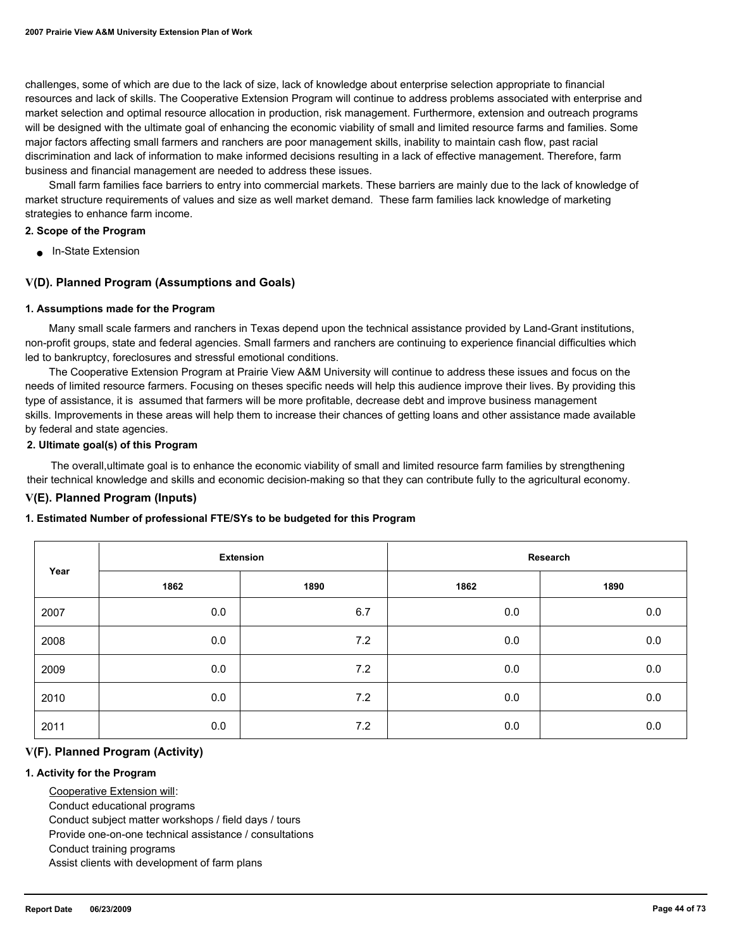challenges, some of which are due to the lack of size, lack of knowledge about enterprise selection appropriate to financial resources and lack of skills. The Cooperative Extension Program will continue to address problems associated with enterprise and market selection and optimal resource allocation in production, risk management. Furthermore, extension and outreach programs will be designed with the ultimate goal of enhancing the economic viability of small and limited resource farms and families. Some major factors affecting small farmers and ranchers are poor management skills, inability to maintain cash flow, past racial discrimination and lack of information to make informed decisions resulting in a lack of effective management. Therefore, farm business and financial management are needed to address these issues.

 Small farm families face barriers to entry into commercial markets. These barriers are mainly due to the lack of knowledge of market structure requirements of values and size as well market demand. These farm families lack knowledge of marketing strategies to enhance farm income.

#### **2. Scope of the Program**

■ In-State Extension

## **V(D). Planned Program (Assumptions and Goals)**

#### **1. Assumptions made for the Program**

 Many small scale farmers and ranchers in Texas depend upon the technical assistance provided by Land-Grant institutions, non-profit groups, state and federal agencies. Small farmers and ranchers are continuing to experience financial difficulties which led to bankruptcy, foreclosures and stressful emotional conditions.

 The Cooperative Extension Program at Prairie View A&M University will continue to address these issues and focus on the needs of limited resource farmers. Focusing on theses specific needs will help this audience improve their lives. By providing this type of assistance, it is assumed that farmers will be more profitable, decrease debt and improve business management skills. Improvements in these areas will help them to increase their chances of getting loans and other assistance made available by federal and state agencies.

#### **2. Ultimate goal(s) of this Program**

 The overall,ultimate goal is to enhance the economic viability of small and limited resource farm families by strengthening their technical knowledge and skills and economic decision-making so that they can contribute fully to the agricultural economy.

## **V(E). Planned Program (Inputs)**

#### **1. Estimated Number of professional FTE/SYs to be budgeted for this Program**

| Year |      | <b>Extension</b> | Research |      |
|------|------|------------------|----------|------|
|      | 1862 | 1890             | 1862     | 1890 |
| 2007 | 0.0  | 6.7              | $0.0\,$  | 0.0  |
| 2008 | 0.0  | 7.2              | 0.0      | 0.0  |
| 2009 | 0.0  | 7.2              | 0.0      | 0.0  |
| 2010 | 0.0  | 7.2              | 0.0      | 0.0  |
| 2011 | 0.0  | 7.2              | 0.0      | 0.0  |

#### **V(F). Planned Program (Activity)**

#### **1. Activity for the Program**

Cooperative Extension will:

Conduct educational programs

Conduct subject matter workshops / field days / tours

Provide one-on-one technical assistance / consultations

Conduct training programs

Assist clients with development of farm plans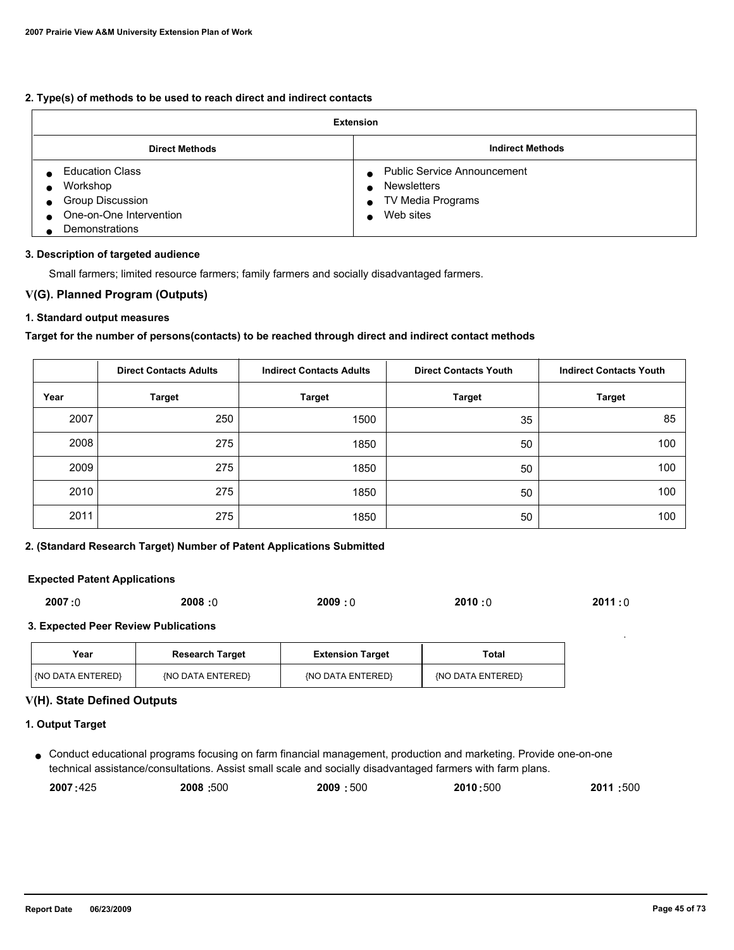## **2. Type(s) of methods to be used to reach direct and indirect contacts**

| <b>Extension</b>                                                                                    |                                                                                                                                                |  |  |
|-----------------------------------------------------------------------------------------------------|------------------------------------------------------------------------------------------------------------------------------------------------|--|--|
| <b>Direct Methods</b>                                                                               | <b>Indirect Methods</b>                                                                                                                        |  |  |
| <b>Education Class</b><br>Workshop<br>Group Discussion<br>One-on-One Intervention<br>Demonstrations | <b>Public Service Announcement</b><br>$\bullet$<br><b>Newsletters</b><br>$\bullet$<br>TV Media Programs<br>$\bullet$<br>Web sites<br>$\bullet$ |  |  |

#### **3. Description of targeted audience**

Small farmers; limited resource farmers; family farmers and socially disadvantaged farmers.

## **V(G). Planned Program (Outputs)**

## **1. Standard output measures**

## **Target for the number of persons(contacts) to be reached through direct and indirect contact methods**

|      | <b>Direct Contacts Adults</b> | <b>Indirect Contacts Adults</b> | <b>Direct Contacts Youth</b> | <b>Indirect Contacts Youth</b> |
|------|-------------------------------|---------------------------------|------------------------------|--------------------------------|
| Year | <b>Target</b>                 | <b>Target</b>                   | <b>Target</b>                | <b>Target</b>                  |
| 2007 | 250                           | 1500                            | 35                           | 85                             |
| 2008 | 275                           | 1850                            | 50                           | 100                            |
| 2009 | 275                           | 1850                            | 50                           | 100                            |
| 2010 | 275                           | 1850                            | 50                           | 100                            |
| 2011 | 275                           | 1850                            | 50                           | 100                            |

## **2. (Standard Research Target) Number of Patent Applications Submitted**

#### **Expected Patent Applications**

| 2007:0 | 2008:0 | 2009:0 | 2010:0 | 2011:0 |
|--------|--------|--------|--------|--------|
|        |        |        |        |        |

#### **3. Expected Peer Review Publications**

| Year              | <b>Research Target</b> | <b>Extension Target</b> | Total             |
|-------------------|------------------------|-------------------------|-------------------|
| {NO DATA ENTERED} | {NO DATA ENTERED}      | (NO DATA ENTERED)       | {NO DATA ENTERED} |

### **V(H). State Defined Outputs**

#### **1. Output Target**

● Conduct educational programs focusing on farm financial management, production and marketing. Provide one-on-one technical assistance/consultations. Assist small scale and socially disadvantaged farmers with farm plans.

| 2007:425 | 2008: 500 | :500<br>2009 | 2010:500 | :500<br>2011 |
|----------|-----------|--------------|----------|--------------|
|          |           |              |          |              |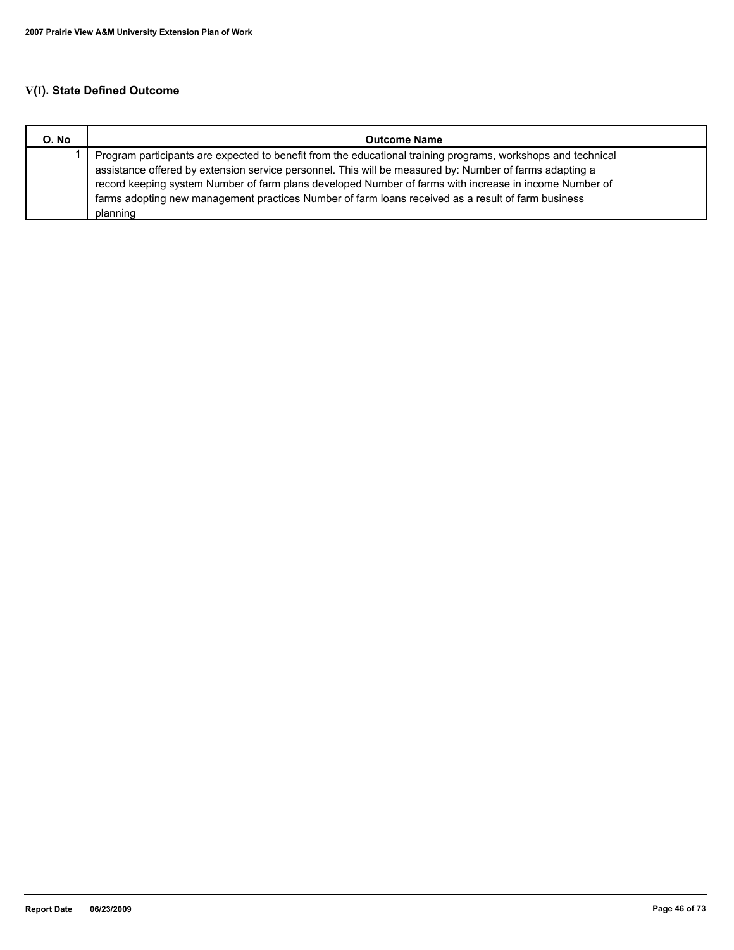# **V(I). State Defined Outcome**

| O. No | <b>Outcome Name</b>                                                                                                                                                                                                                                                                                                                                                                                                                                 |  |
|-------|-----------------------------------------------------------------------------------------------------------------------------------------------------------------------------------------------------------------------------------------------------------------------------------------------------------------------------------------------------------------------------------------------------------------------------------------------------|--|
|       | Program participants are expected to benefit from the educational training programs, workshops and technical<br>assistance offered by extension service personnel. This will be measured by: Number of farms adapting a<br>record keeping system Number of farm plans developed Number of farms with increase in income Number of<br>farms adopting new management practices Number of farm loans received as a result of farm business<br>planning |  |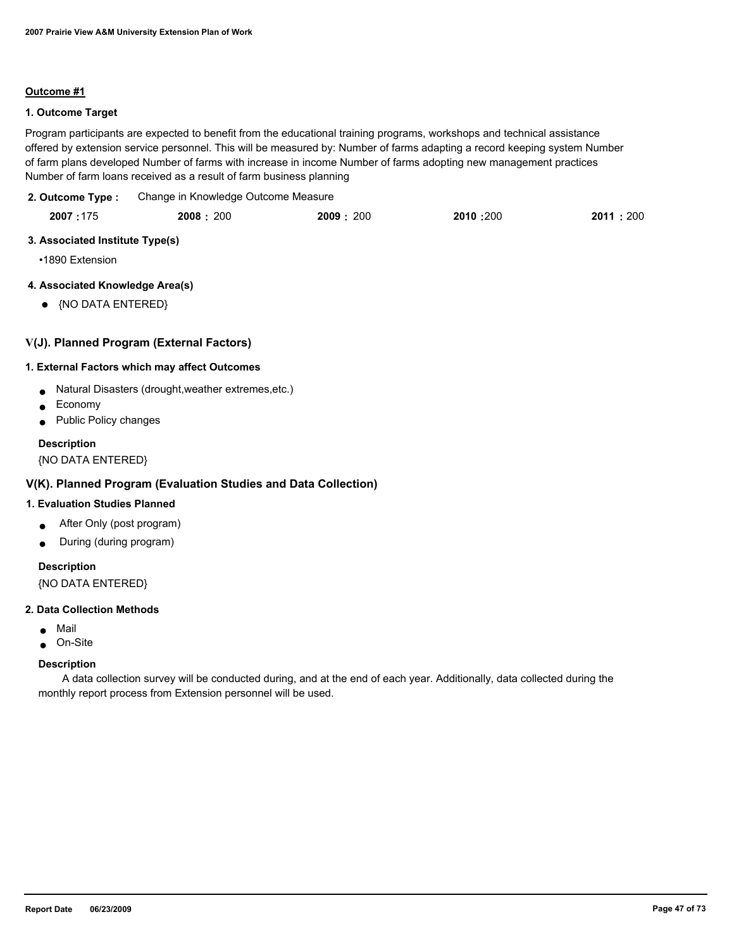### **Outcome #1**

## **1. Outcome Target**

Program participants are expected to benefit from the educational training programs, workshops and technical assistance offered by extension service personnel. This will be measured by: Number of farms adapting a record keeping system Number of farm plans developed Number of farms with increase in income Number of farms adopting new management practices Number of farm loans received as a result of farm business planning

#### Change in Knowledge Outcome Measure **2. Outcome Type :**

| 2007:175 | 2008: 200 | 2009:200 | 2010:200 | 2011 : 200 |
|----------|-----------|----------|----------|------------|
|          |           |          |          |            |

#### **3. Associated Institute Type(s)**

•1890 Extension

## **4. Associated Knowledge Area(s)**

● {NO DATA ENTERED}

## **V(J). Planned Program (External Factors)**

#### **1. External Factors which may affect Outcomes**

- Natural Disasters (drought,weather extremes,etc.)
- **Economy**
- Public Policy changes

## **Description**

{NO DATA ENTERED}

## **V(K). Planned Program (Evaluation Studies and Data Collection)**

## **1. Evaluation Studies Planned**

- After Only (post program)
- During (during program)

## **Description**

{NO DATA ENTERED}

#### **2. Data Collection Methods**

- Mail
- On-Site

## **Description**

 A data collection survey will be conducted during, and at the end of each year. Additionally, data collected during the monthly report process from Extension personnel will be used.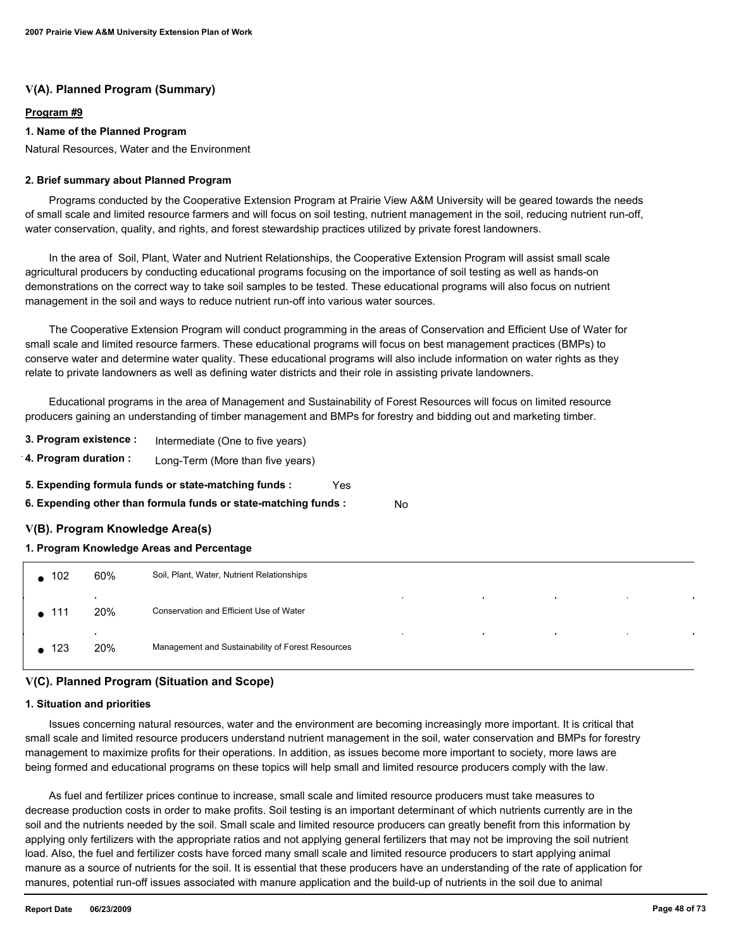## **V(A). Planned Program (Summary)**

#### **Program #9**

## **1. Name of the Planned Program**

Natural Resources, Water and the Environment

#### **2. Brief summary about Planned Program**

 Programs conducted by the Cooperative Extension Program at Prairie View A&M University will be geared towards the needs of small scale and limited resource farmers and will focus on soil testing, nutrient management in the soil, reducing nutrient run-off, water conservation, quality, and rights, and forest stewardship practices utilized by private forest landowners.

 In the area of Soil, Plant, Water and Nutrient Relationships, the Cooperative Extension Program will assist small scale agricultural producers by conducting educational programs focusing on the importance of soil testing as well as hands-on demonstrations on the correct way to take soil samples to be tested. These educational programs will also focus on nutrient management in the soil and ways to reduce nutrient run-off into various water sources.

 The Cooperative Extension Program will conduct programming in the areas of Conservation and Efficient Use of Water for small scale and limited resource farmers. These educational programs will focus on best management practices (BMPs) to conserve water and determine water quality. These educational programs will also include information on water rights as they relate to private landowners as well as defining water districts and their role in assisting private landowners.

 Educational programs in the area of Management and Sustainability of Forest Resources will focus on limited resource producers gaining an understanding of timber management and BMPs for forestry and bidding out and marketing timber.

- **3. Program existence :** Intermediate (One to five years)
- **4. Program duration :** Long-Term (More than five years)
- **5. Expending formula funds or state-matching funds :** Yes
- **6. Expending other than formula funds or state-matching funds :** No

## **V(B). Program Knowledge Area(s)**

#### **1. Program Knowledge Areas and Percentage**

| $\bullet$ 102 | 60%            | Soil, Plant, Water, Nutrient Relationships                                                |  |
|---------------|----------------|-------------------------------------------------------------------------------------------|--|
| $\bullet$ 111 | $\cdot$<br>20% | $\sim$<br>$\sim$<br>$\sim$<br>$\bullet$<br>Conservation and Efficient Use of Water        |  |
| $\bullet$ 123 | $\sim$<br>20%  | $\sim$<br>$\sim$<br>$\sim$<br>$\sim$<br>Management and Sustainability of Forest Resources |  |

## **V(C). Planned Program (Situation and Scope)**

#### **1. Situation and priorities**

 Issues concerning natural resources, water and the environment are becoming increasingly more important. It is critical that small scale and limited resource producers understand nutrient management in the soil, water conservation and BMPs for forestry management to maximize profits for their operations. In addition, as issues become more important to society, more laws are being formed and educational programs on these topics will help small and limited resource producers comply with the law.

 As fuel and fertilizer prices continue to increase, small scale and limited resource producers must take measures to decrease production costs in order to make profits. Soil testing is an important determinant of which nutrients currently are in the soil and the nutrients needed by the soil. Small scale and limited resource producers can greatly benefit from this information by applying only fertilizers with the appropriate ratios and not applying general fertilizers that may not be improving the soil nutrient load. Also, the fuel and fertilizer costs have forced many small scale and limited resource producers to start applying animal manure as a source of nutrients for the soil. It is essential that these producers have an understanding of the rate of application for manures, potential run-off issues associated with manure application and the build-up of nutrients in the soil due to animal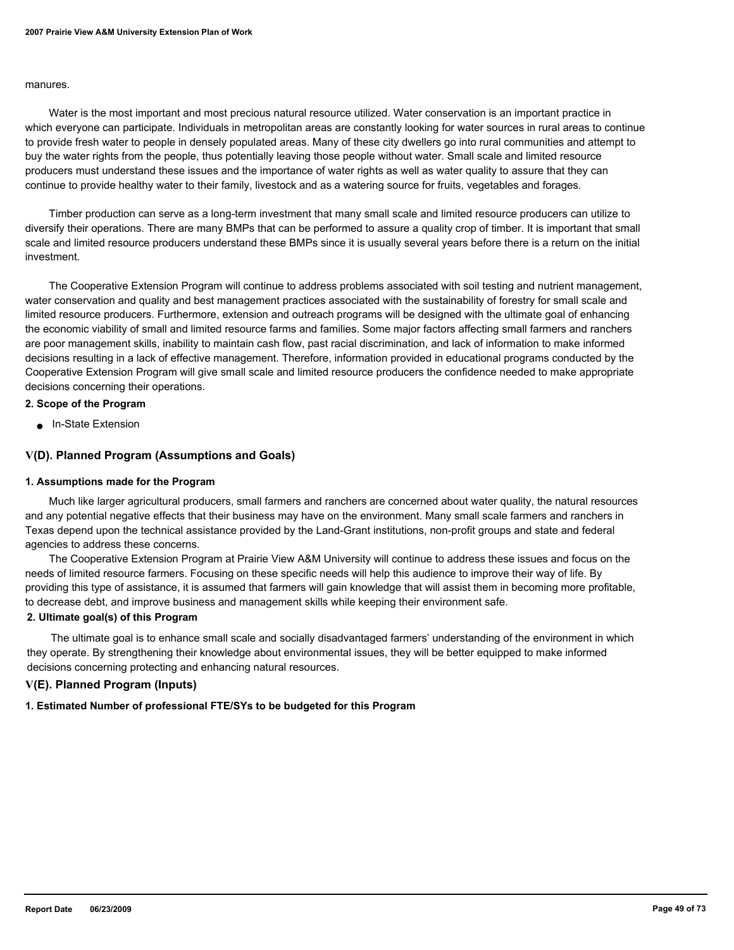#### manures.

 Water is the most important and most precious natural resource utilized. Water conservation is an important practice in which everyone can participate. Individuals in metropolitan areas are constantly looking for water sources in rural areas to continue to provide fresh water to people in densely populated areas. Many of these city dwellers go into rural communities and attempt to buy the water rights from the people, thus potentially leaving those people without water. Small scale and limited resource producers must understand these issues and the importance of water rights as well as water quality to assure that they can continue to provide healthy water to their family, livestock and as a watering source for fruits, vegetables and forages.

 Timber production can serve as a long-term investment that many small scale and limited resource producers can utilize to diversify their operations. There are many BMPs that can be performed to assure a quality crop of timber. It is important that small scale and limited resource producers understand these BMPs since it is usually several years before there is a return on the initial investment.

 The Cooperative Extension Program will continue to address problems associated with soil testing and nutrient management, water conservation and quality and best management practices associated with the sustainability of forestry for small scale and limited resource producers. Furthermore, extension and outreach programs will be designed with the ultimate goal of enhancing the economic viability of small and limited resource farms and families. Some major factors affecting small farmers and ranchers are poor management skills, inability to maintain cash flow, past racial discrimination, and lack of information to make informed decisions resulting in a lack of effective management. Therefore, information provided in educational programs conducted by the Cooperative Extension Program will give small scale and limited resource producers the confidence needed to make appropriate decisions concerning their operations.

#### **2. Scope of the Program**

■ In-State Extension

#### **V(D). Planned Program (Assumptions and Goals)**

#### **1. Assumptions made for the Program**

 Much like larger agricultural producers, small farmers and ranchers are concerned about water quality, the natural resources and any potential negative effects that their business may have on the environment. Many small scale farmers and ranchers in Texas depend upon the technical assistance provided by the Land-Grant institutions, non-profit groups and state and federal agencies to address these concerns.

 The Cooperative Extension Program at Prairie View A&M University will continue to address these issues and focus on the needs of limited resource farmers. Focusing on these specific needs will help this audience to improve their way of life. By providing this type of assistance, it is assumed that farmers will gain knowledge that will assist them in becoming more profitable, to decrease debt, and improve business and management skills while keeping their environment safe.

## **2. Ultimate goal(s) of this Program**

 The ultimate goal is to enhance small scale and socially disadvantaged farmers' understanding of the environment in which they operate. By strengthening their knowledge about environmental issues, they will be better equipped to make informed decisions concerning protecting and enhancing natural resources.

## **V(E). Planned Program (Inputs)**

#### **1. Estimated Number of professional FTE/SYs to be budgeted for this Program**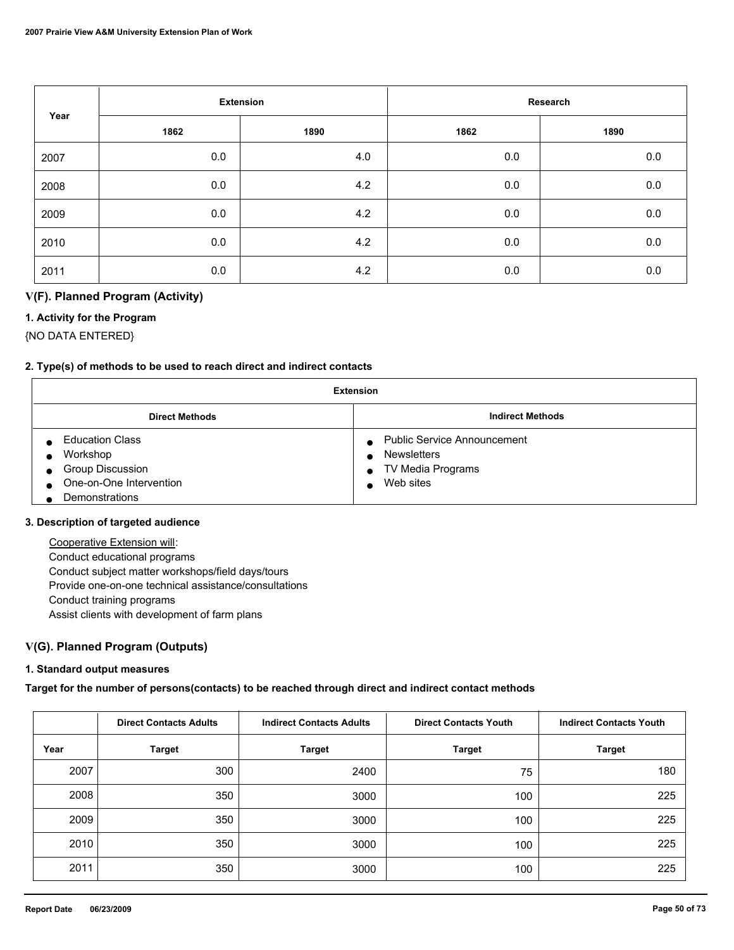|      |      | <b>Extension</b> |      | Research |
|------|------|------------------|------|----------|
| Year | 1862 | 1890             | 1862 | 1890     |
| 2007 | 0.0  | 4.0              | 0.0  | $0.0\,$  |
| 2008 | 0.0  | 4.2              | 0.0  | $0.0\,$  |
| 2009 | 0.0  | 4.2              | 0.0  | $0.0\,$  |
| 2010 | 0.0  | 4.2              | 0.0  | $0.0\,$  |
| 2011 | 0.0  | 4.2              | 0.0  | 0.0      |

## **V(F). Planned Program (Activity)**

## **1. Activity for the Program**

{NO DATA ENTERED}

## **2. Type(s) of methods to be used to reach direct and indirect contacts**

| <b>Extension</b>                                                                                    |                                                                                            |  |  |
|-----------------------------------------------------------------------------------------------------|--------------------------------------------------------------------------------------------|--|--|
| <b>Direct Methods</b>                                                                               | <b>Indirect Methods</b>                                                                    |  |  |
| <b>Education Class</b><br>Workshop<br>Group Discussion<br>One-on-One Intervention<br>Demonstrations | <b>Public Service Announcement</b><br><b>Newsletters</b><br>TV Media Programs<br>Web sites |  |  |

#### **3. Description of targeted audience**

 Cooperative Extension will: Conduct educational programs Conduct subject matter workshops/field days/tours Provide one-on-one technical assistance/consultations Conduct training programs Assist clients with development of farm plans

## **V(G). Planned Program (Outputs)**

#### **1. Standard output measures**

#### **Target for the number of persons(contacts) to be reached through direct and indirect contact methods**

|      | <b>Direct Contacts Adults</b><br><b>Indirect Contacts Adults</b> |               | <b>Direct Contacts Youth</b> | <b>Indirect Contacts Youth</b> |
|------|------------------------------------------------------------------|---------------|------------------------------|--------------------------------|
| Year | <b>Target</b>                                                    | <b>Target</b> | <b>Target</b>                | <b>Target</b>                  |
| 2007 | 300                                                              | 2400          | 75                           | 180                            |
| 2008 | 350                                                              | 3000          | 100                          | 225                            |
| 2009 | 350                                                              | 3000          | 100                          | 225                            |
| 2010 | 350                                                              | 3000          | 100                          | 225                            |
| 2011 | 350                                                              | 3000          | 100                          | 225                            |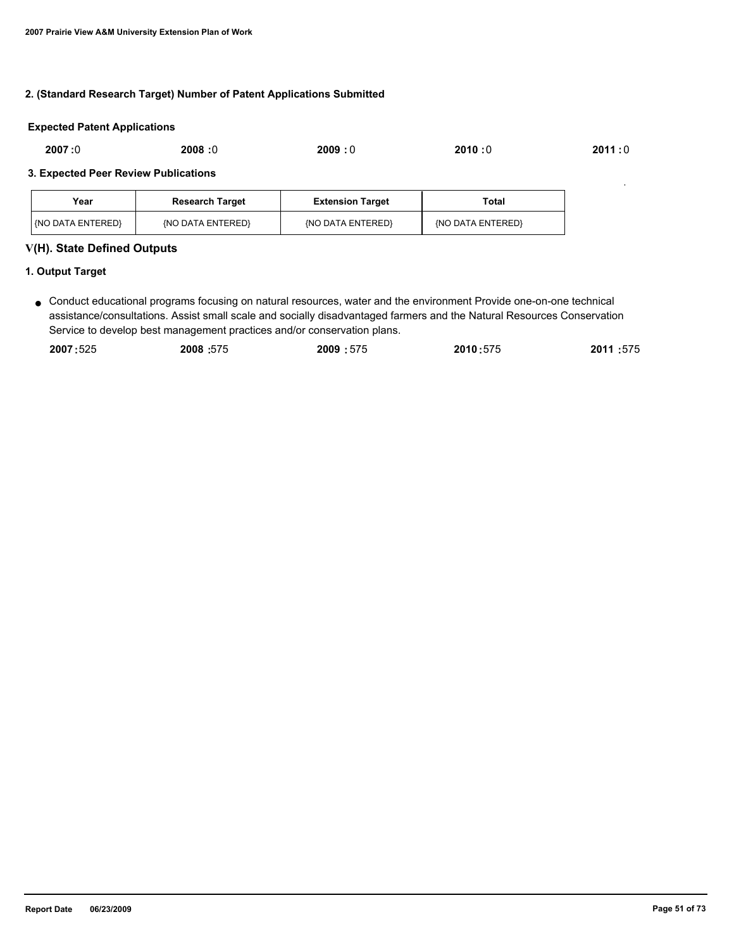#### **2. (Standard Research Target) Number of Patent Applications Submitted**

#### **Expected Patent Applications**

| 2007:0 | 2008:0 | 2009:0 | 2010:0 | 2011 : 0 |
|--------|--------|--------|--------|----------|
|        |        |        |        |          |

#### **3. Expected Peer Review Publications**

| Year                    | <b>Research Target</b> | <b>Extension Target</b> | Total             |
|-------------------------|------------------------|-------------------------|-------------------|
| <b>KNO DATA ENTERED</b> | (NO DATA ENTERED)      | {NO DATA ENTERED}       | {NO DATA ENTERED} |

### **V(H). State Defined Outputs**

## **1. Output Target**

● Conduct educational programs focusing on natural resources, water and the environment Provide one-on-one technical assistance/consultations. Assist small scale and socially disadvantaged farmers and the Natural Resources Conservation Service to develop best management practices and/or conservation plans.

| 2007:525 | 2008:575 | 2009:575 | 2010:575 | 2011:575 |
|----------|----------|----------|----------|----------|
|          |          |          |          |          |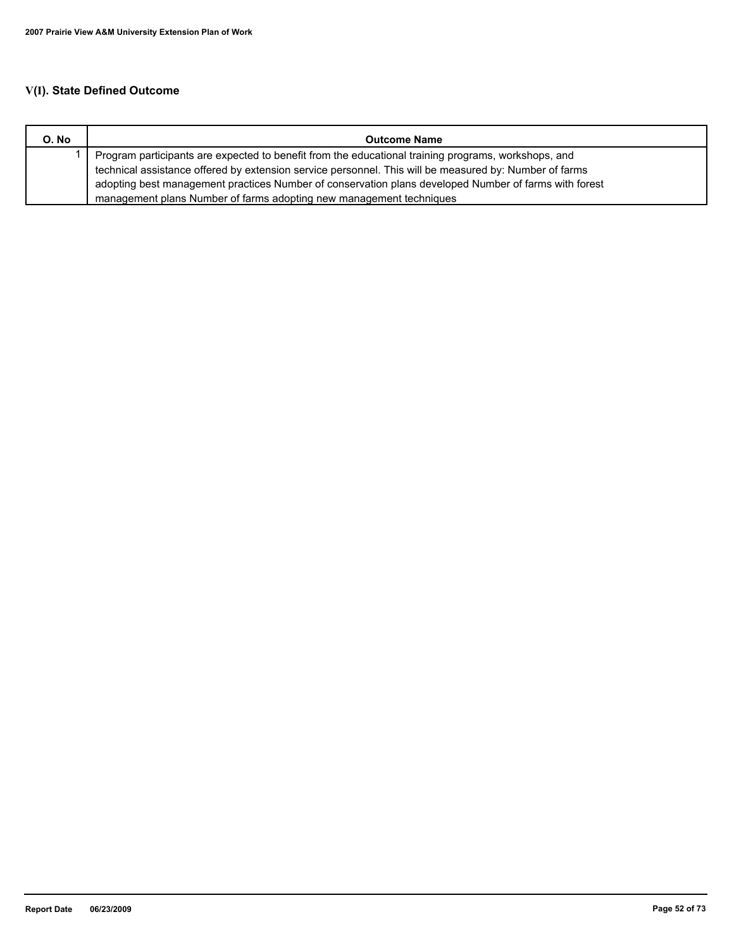# **V(I). State Defined Outcome**

| O. No | <b>Outcome Name</b>                                                                                    |
|-------|--------------------------------------------------------------------------------------------------------|
|       | Program participants are expected to benefit from the educational training programs, workshops, and    |
|       | technical assistance offered by extension service personnel. This will be measured by: Number of farms |
|       | adopting best management practices Number of conservation plans developed Number of farms with forest  |
|       | management plans Number of farms adopting new management techniques                                    |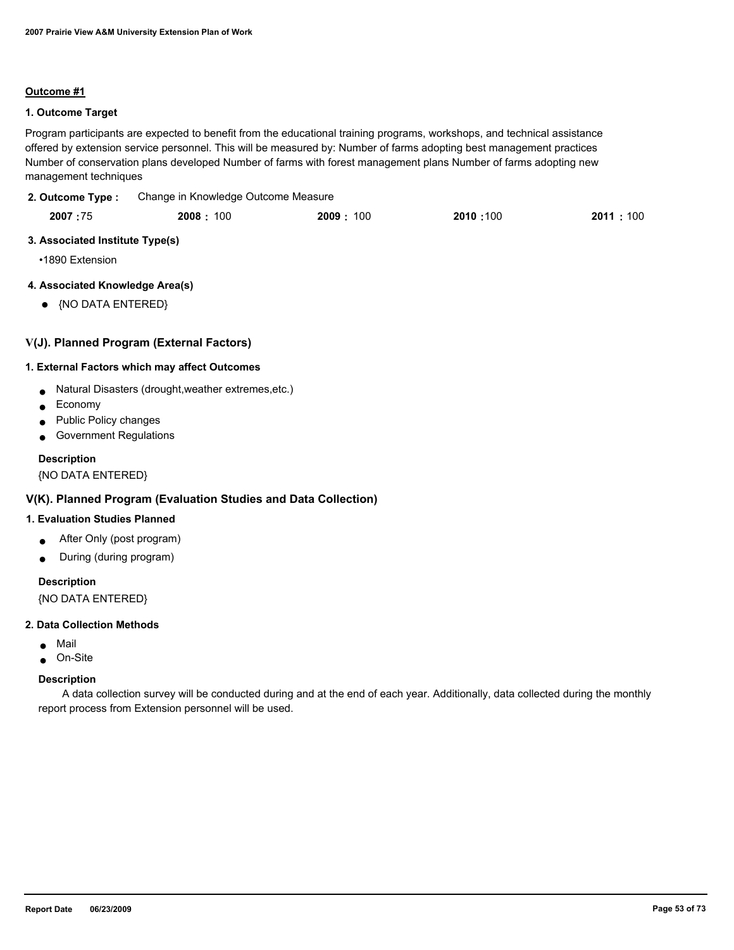#### **Outcome #1**

## **1. Outcome Target**

Program participants are expected to benefit from the educational training programs, workshops, and technical assistance offered by extension service personnel. This will be measured by: Number of farms adopting best management practices Number of conservation plans developed Number of farms with forest management plans Number of farms adopting new management techniques

#### Change in Knowledge Outcome Measure **2. Outcome Type :**

| 2007:75 | 2008: 100 | 2009.<br>100 | 2010:100 | 2011 : 100 |
|---------|-----------|--------------|----------|------------|
|         |           |              |          |            |

### **3. Associated Institute Type(s)**

•1890 Extension

## **4. Associated Knowledge Area(s)**

● {NO DATA ENTERED}

## **V(J). Planned Program (External Factors)**

#### **1. External Factors which may affect Outcomes**

- Natural Disasters (drought,weather extremes,etc.)
- Economy
- Public Policy changes
- Government Regulations

#### **Description**

{NO DATA ENTERED}

## **V(K). Planned Program (Evaluation Studies and Data Collection)**

#### **1. Evaluation Studies Planned**

- After Only (post program)
- During (during program)

## **Description**

{NO DATA ENTERED}

#### **2. Data Collection Methods**

- Mail
- On-Site

#### **Description**

 A data collection survey will be conducted during and at the end of each year. Additionally, data collected during the monthly report process from Extension personnel will be used.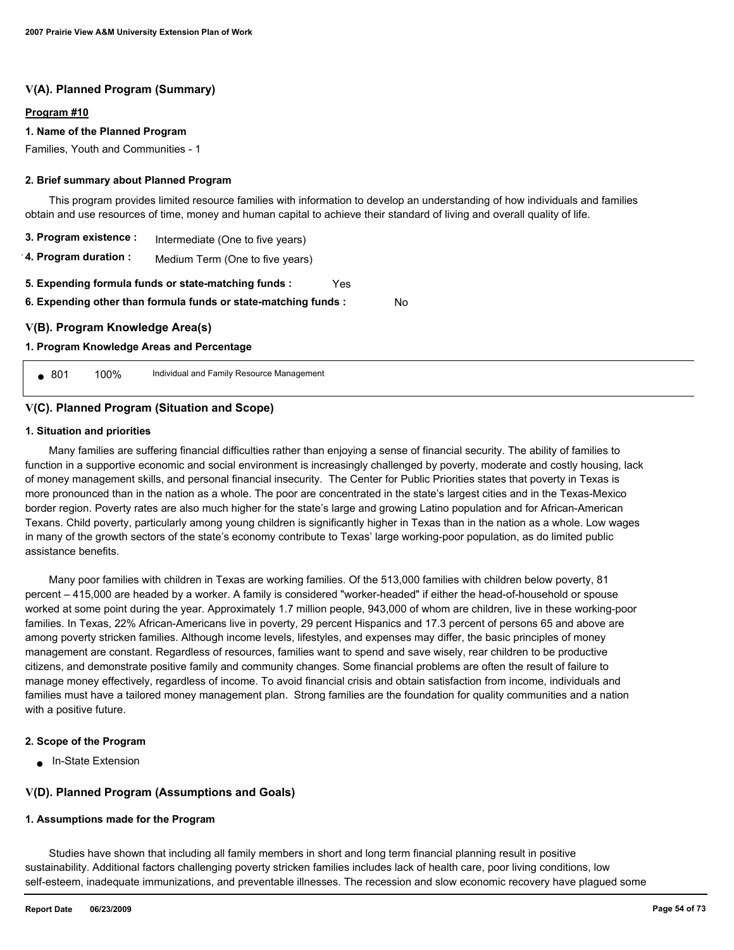## **V(A). Planned Program (Summary)**

#### **Program #10**

#### **1. Name of the Planned Program**

Families, Youth and Communities - 1

#### **2. Brief summary about Planned Program**

 This program provides limited resource families with information to develop an understanding of how individuals and families obtain and use resources of time, money and human capital to achieve their standard of living and overall quality of life.

No

| 3. Program existence :                                                                                                         | Intermediate (One to five years) |  |  |  |  |
|--------------------------------------------------------------------------------------------------------------------------------|----------------------------------|--|--|--|--|
| 4. Program duration :                                                                                                          | Medium Term (One to five years)  |  |  |  |  |
| 5. Expending formula funds or state-matching funds :<br>Yes<br>6. Expending other than formula funds or state-matching funds : |                                  |  |  |  |  |
| V(B). Program Knowledge Area(s)                                                                                                |                                  |  |  |  |  |
| 1. Program Knowledge Areas and Percentage                                                                                      |                                  |  |  |  |  |

● 801 100% Individual and Family Resource Management

#### **V(C). Planned Program (Situation and Scope)**

#### **1. Situation and priorities**

 Many families are suffering financial difficulties rather than enjoying a sense of financial security. The ability of families to function in a supportive economic and social environment is increasingly challenged by poverty, moderate and costly housing, lack of money management skills, and personal financial insecurity. The Center for Public Priorities states that poverty in Texas is more pronounced than in the nation as a whole. The poor are concentrated in the state's largest cities and in the Texas-Mexico border region. Poverty rates are also much higher for the state's large and growing Latino population and for African-American Texans. Child poverty, particularly among young children is significantly higher in Texas than in the nation as a whole. Low wages in many of the growth sectors of the state's economy contribute to Texas' large working-poor population, as do limited public assistance benefits.

 Many poor families with children in Texas are working families. Of the 513,000 families with children below poverty, 81 percent – 415,000 are headed by a worker. A family is considered "worker-headed" if either the head-of-household or spouse worked at some point during the year. Approximately 1.7 million people, 943,000 of whom are children, live in these working-poor families. In Texas, 22% African-Americans live in poverty, 29 percent Hispanics and 17.3 percent of persons 65 and above are among poverty stricken families. Although income levels, lifestyles, and expenses may differ, the basic principles of money management are constant. Regardless of resources, families want to spend and save wisely, rear children to be productive citizens, and demonstrate positive family and community changes. Some financial problems are often the result of failure to manage money effectively, regardless of income. To avoid financial crisis and obtain satisfaction from income, individuals and families must have a tailored money management plan. Strong families are the foundation for quality communities and a nation with a positive future.

#### **2. Scope of the Program**

● In-State Extension

## **V(D). Planned Program (Assumptions and Goals)**

#### **1. Assumptions made for the Program**

 Studies have shown that including all family members in short and long term financial planning result in positive sustainability. Additional factors challenging poverty stricken families includes lack of health care, poor living conditions, low self-esteem, inadequate immunizations, and preventable illnesses. The recession and slow economic recovery have plagued some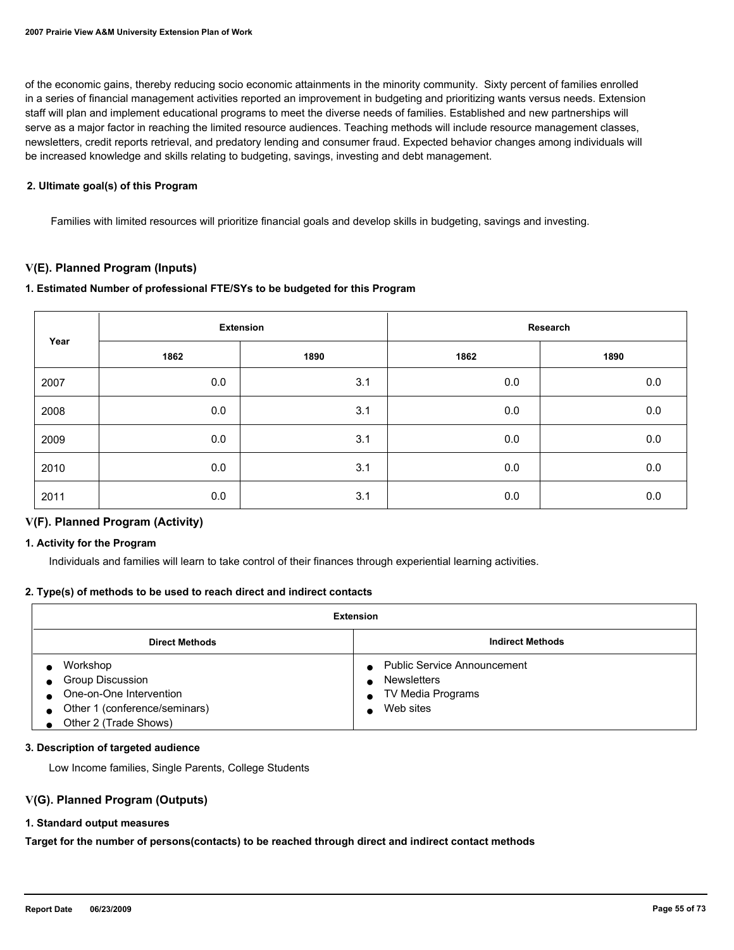of the economic gains, thereby reducing socio economic attainments in the minority community. Sixty percent of families enrolled in a series of financial management activities reported an improvement in budgeting and prioritizing wants versus needs. Extension staff will plan and implement educational programs to meet the diverse needs of families. Established and new partnerships will serve as a major factor in reaching the limited resource audiences. Teaching methods will include resource management classes, newsletters, credit reports retrieval, and predatory lending and consumer fraud. Expected behavior changes among individuals will be increased knowledge and skills relating to budgeting, savings, investing and debt management.

#### **2. Ultimate goal(s) of this Program**

Families with limited resources will prioritize financial goals and develop skills in budgeting, savings and investing.

## **V(E). Planned Program (Inputs)**

## **1. Estimated Number of professional FTE/SYs to be budgeted for this Program**

|      |      | <b>Extension</b> |              | Research |
|------|------|------------------|--------------|----------|
| Year | 1862 | 1890             | 1890<br>1862 |          |
| 2007 | 0.0  | 3.1              | 0.0          | 0.0      |
| 2008 | 0.0  | 3.1              | $0.0\,$      | 0.0      |
| 2009 | 0.0  | 3.1              | 0.0          | 0.0      |
| 2010 | 0.0  | 3.1              | 0.0          | 0.0      |
| 2011 | 0.0  | 3.1              | 0.0          | 0.0      |

## **V(F). Planned Program (Activity)**

#### **1. Activity for the Program**

Individuals and families will learn to take control of their finances through experiential learning activities.

#### **2. Type(s) of methods to be used to reach direct and indirect contacts**

| <b>Extension</b>                                                                                                  |                                                                                            |  |  |
|-------------------------------------------------------------------------------------------------------------------|--------------------------------------------------------------------------------------------|--|--|
| <b>Direct Methods</b>                                                                                             | <b>Indirect Methods</b>                                                                    |  |  |
| Workshop<br>Group Discussion<br>One-on-One Intervention<br>Other 1 (conference/seminars)<br>Other 2 (Trade Shows) | <b>Public Service Announcement</b><br><b>Newsletters</b><br>TV Media Programs<br>Web sites |  |  |

#### **3. Description of targeted audience**

Low Income families, Single Parents, College Students

#### **V(G). Planned Program (Outputs)**

#### **1. Standard output measures**

**Target for the number of persons(contacts) to be reached through direct and indirect contact methods**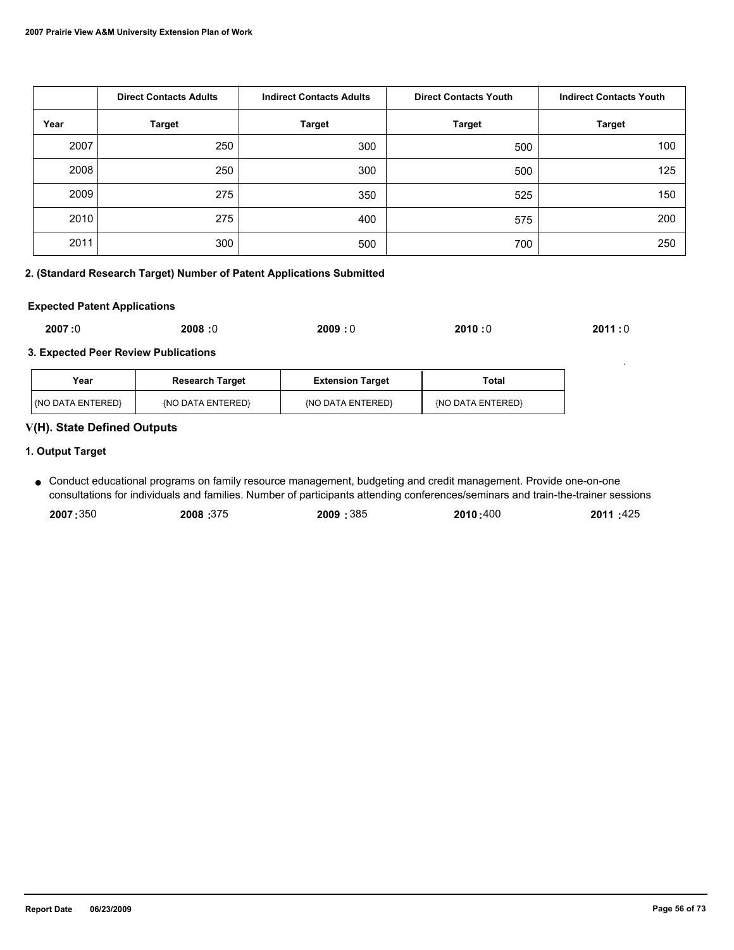|      | <b>Direct Contacts Adults</b><br><b>Indirect Contacts Adults</b> |               | <b>Direct Contacts Youth</b> | <b>Indirect Contacts Youth</b> |
|------|------------------------------------------------------------------|---------------|------------------------------|--------------------------------|
| Year | <b>Target</b>                                                    | <b>Target</b> | <b>Target</b>                | <b>Target</b>                  |
| 2007 | 250                                                              | 300           | 500                          | 100                            |
| 2008 | 250                                                              | 300           | 500                          | 125                            |
| 2009 | 275                                                              | 350           | 525                          | 150                            |
| 2010 | 275                                                              | 400           | 575                          | 200                            |
| 2011 | 300                                                              | 500           | 700                          | 250                            |

## **2. (Standard Research Target) Number of Patent Applications Submitted**

#### **Expected Patent Applications**

| 2007:0 | 2008:0 | 2009:0 | 2010:0<br>$\sim$ $\sim$ | 2011:0 |
|--------|--------|--------|-------------------------|--------|
|--------|--------|--------|-------------------------|--------|

## **3. Expected Peer Review Publications**

| Year                   | <b>Research Target</b> | <b>Extension Target</b> | Total             |
|------------------------|------------------------|-------------------------|-------------------|
| <b>NO DATA ENTERED</b> | (NO DATA ENTERED)      | {NO DATA ENTERED}       | {NO DATA ENTERED} |

## **V(H). State Defined Outputs**

## **1. Output Target**

Conduct educational programs on family resource management, budgeting and credit management. Provide one-on-one ● consultations for individuals and families. Number of participants attending conferences/seminars and train-the-trainer sessions

| 2007:350 | 2008:375 | 2009:385 | 2010:400 | 2011 :425 |
|----------|----------|----------|----------|-----------|
|          |          |          |          |           |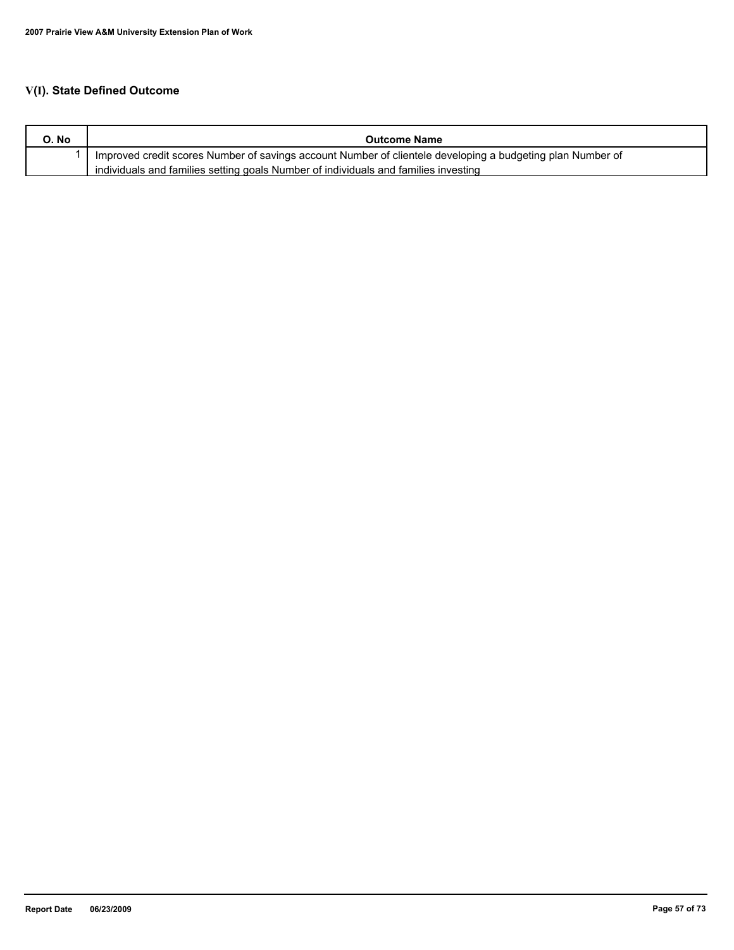# **V(I). State Defined Outcome**

| O. No | <b>Outcome Name</b>                                                                                        |
|-------|------------------------------------------------------------------------------------------------------------|
|       | Improved credit scores Number of savings account Number of clientele developing a budgeting plan Number of |
|       | individuals and families setting goals Number of individuals and families investing                        |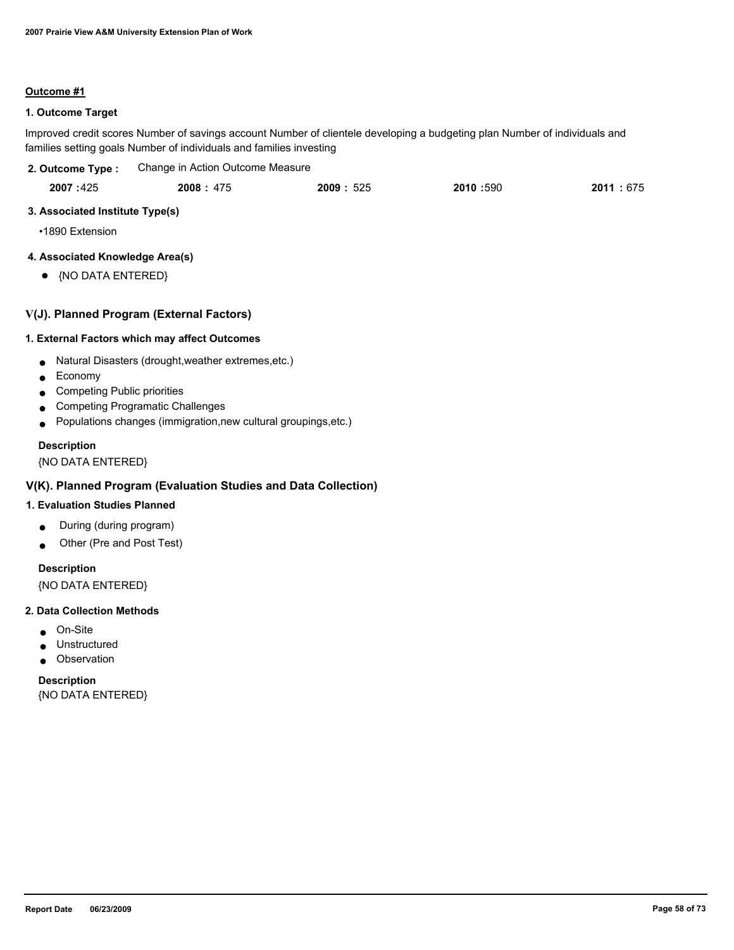#### **Outcome #1**

## **1. Outcome Target**

Improved credit scores Number of savings account Number of clientele developing a budgeting plan Number of individuals and families setting goals Number of individuals and families investing

| 2. Outcome Type : | Change in Action Outcome Measure |
|-------------------|----------------------------------|
|-------------------|----------------------------------|

| 2007:425 | 2008: 475 | 2009:525 | 2010:590 | 2011:675 |
|----------|-----------|----------|----------|----------|
|----------|-----------|----------|----------|----------|

## **3. Associated Institute Type(s)**

•1890 Extension

## **4. Associated Knowledge Area(s)**

● {NO DATA ENTERED}

## **V(J). Planned Program (External Factors)**

#### **1. External Factors which may affect Outcomes**

- Natural Disasters (drought,weather extremes,etc.)
- Economy
- Competing Public priorities
- Competing Programatic Challenges
- Populations changes (immigration,new cultural groupings,etc.)

## **Description**

{NO DATA ENTERED}

## **V(K). Planned Program (Evaluation Studies and Data Collection)**

## **1. Evaluation Studies Planned**

- During (during program)
- Other (Pre and Post Test)

## **Description**

{NO DATA ENTERED}

#### **2. Data Collection Methods**

- On-Site
- Unstructured
- Observation

**Description** {NO DATA ENTERED}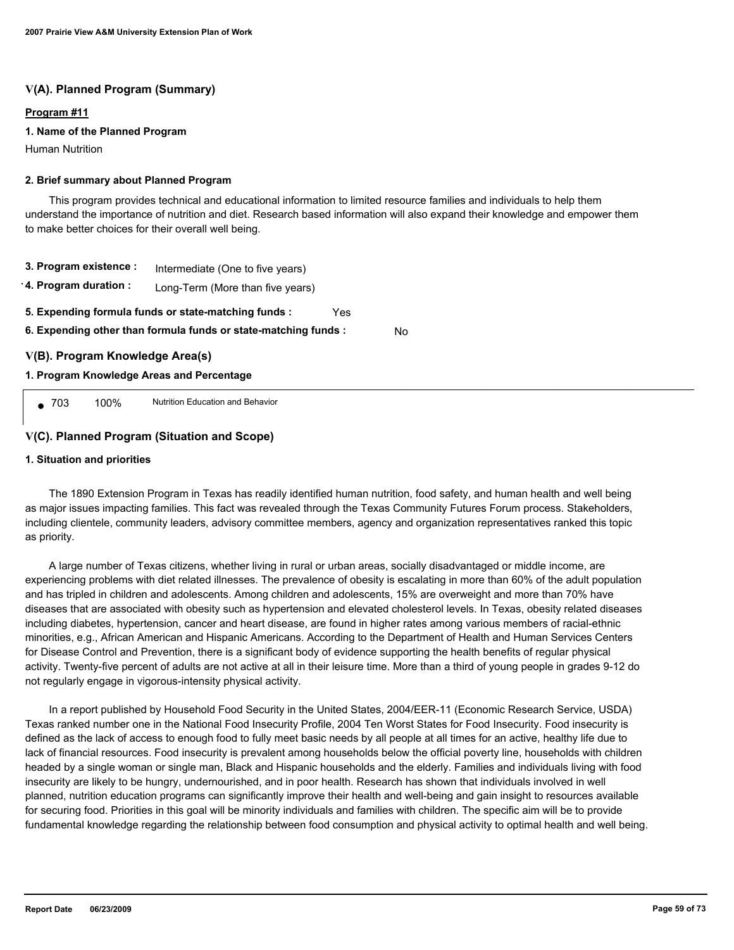## **V(A). Planned Program (Summary)**

#### **Program #11**

#### **1. Name of the Planned Program**

Human Nutrition

#### **2. Brief summary about Planned Program**

 This program provides technical and educational information to limited resource families and individuals to help them understand the importance of nutrition and diet. Research based information will also expand their knowledge and empower them to make better choices for their overall well being.

- **3. Program existence :** Intermediate (One to five years)
- **4. Program duration :** Long-Term (More than five years)
- **5. Expending formula funds or state-matching funds :** Yes

**6. Expending other than formula funds or state-matching funds :** No

## **V(B). Program Knowledge Area(s)**

#### **1. Program Knowledge Areas and Percentage**

● 703 100% Nutrition Education and Behavior

## **V(C). Planned Program (Situation and Scope)**

#### **1. Situation and priorities**

 The 1890 Extension Program in Texas has readily identified human nutrition, food safety, and human health and well being as major issues impacting families. This fact was revealed through the Texas Community Futures Forum process. Stakeholders, including clientele, community leaders, advisory committee members, agency and organization representatives ranked this topic as priority.

 A large number of Texas citizens, whether living in rural or urban areas, socially disadvantaged or middle income, are experiencing problems with diet related illnesses. The prevalence of obesity is escalating in more than 60% of the adult population and has tripled in children and adolescents. Among children and adolescents, 15% are overweight and more than 70% have diseases that are associated with obesity such as hypertension and elevated cholesterol levels. In Texas, obesity related diseases including diabetes, hypertension, cancer and heart disease, are found in higher rates among various members of racial-ethnic minorities, e.g., African American and Hispanic Americans. According to the Department of Health and Human Services Centers for Disease Control and Prevention, there is a significant body of evidence supporting the health benefits of regular physical activity. Twenty-five percent of adults are not active at all in their leisure time. More than a third of young people in grades 9-12 do not regularly engage in vigorous-intensity physical activity.

 In a report published by Household Food Security in the United States, 2004/EER-11 (Economic Research Service, USDA) Texas ranked number one in the National Food Insecurity Profile, 2004 Ten Worst States for Food Insecurity. Food insecurity is defined as the lack of access to enough food to fully meet basic needs by all people at all times for an active, healthy life due to lack of financial resources. Food insecurity is prevalent among households below the official poverty line, households with children headed by a single woman or single man, Black and Hispanic households and the elderly. Families and individuals living with food insecurity are likely to be hungry, undernourished, and in poor health. Research has shown that individuals involved in well planned, nutrition education programs can significantly improve their health and well-being and gain insight to resources available for securing food. Priorities in this goal will be minority individuals and families with children. The specific aim will be to provide fundamental knowledge regarding the relationship between food consumption and physical activity to optimal health and well being.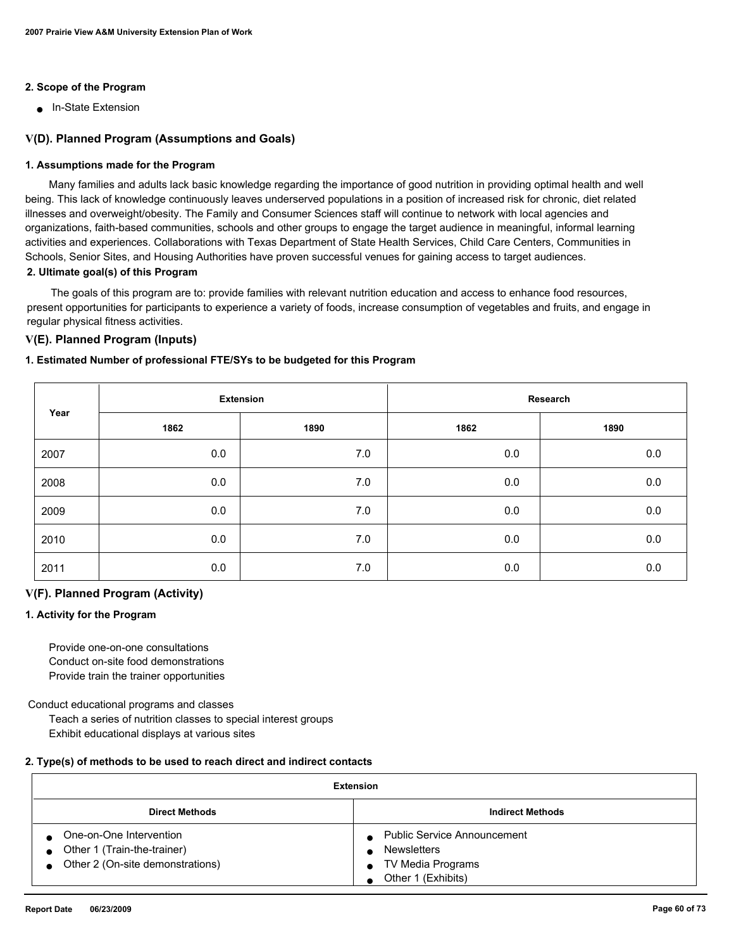### **2. Scope of the Program**

■ In-State Extension

## **V(D). Planned Program (Assumptions and Goals)**

#### **1. Assumptions made for the Program**

 Many families and adults lack basic knowledge regarding the importance of good nutrition in providing optimal health and well being. This lack of knowledge continuously leaves underserved populations in a position of increased risk for chronic, diet related illnesses and overweight/obesity. The Family and Consumer Sciences staff will continue to network with local agencies and organizations, faith-based communities, schools and other groups to engage the target audience in meaningful, informal learning activities and experiences. Collaborations with Texas Department of State Health Services, Child Care Centers, Communities in Schools, Senior Sites, and Housing Authorities have proven successful venues for gaining access to target audiences. **2. Ultimate goal(s) of this Program**

 The goals of this program are to: provide families with relevant nutrition education and access to enhance food resources, present opportunities for participants to experience a variety of foods, increase consumption of vegetables and fruits, and engage in regular physical fitness activities.

## **V(E). Planned Program (Inputs)**

#### **1. Estimated Number of professional FTE/SYs to be budgeted for this Program**

|      | <b>Extension</b> |      | Research |         |
|------|------------------|------|----------|---------|
| Year | 1862             | 1890 | 1862     | 1890    |
| 2007 | 0.0              | 7.0  | 0.0      | 0.0     |
| 2008 | 0.0              | 7.0  | 0.0      | $0.0\,$ |
| 2009 | 0.0              | 7.0  | 0.0      | 0.0     |
| 2010 | 0.0              | 7.0  | 0.0      | 0.0     |
| 2011 | 0.0              | 7.0  | 0.0      | 0.0     |

#### **V(F). Planned Program (Activity)**

#### **1. Activity for the Program**

 Provide one-on-one consultations Conduct on-site food demonstrations Provide train the trainer opportunities

Conduct educational programs and classes

 Teach a series of nutrition classes to special interest groups Exhibit educational displays at various sites

#### **2. Type(s) of methods to be used to reach direct and indirect contacts**

| <b>Extension</b>                                                                                          |                                                                                                     |  |
|-----------------------------------------------------------------------------------------------------------|-----------------------------------------------------------------------------------------------------|--|
| <b>Direct Methods</b>                                                                                     | <b>Indirect Methods</b>                                                                             |  |
| One-on-One Intervention<br>Other 1 (Train-the-trainer)<br>$\bullet$<br>• Other 2 (On-site demonstrations) | <b>Public Service Announcement</b><br><b>Newsletters</b><br>TV Media Programs<br>Other 1 (Exhibits) |  |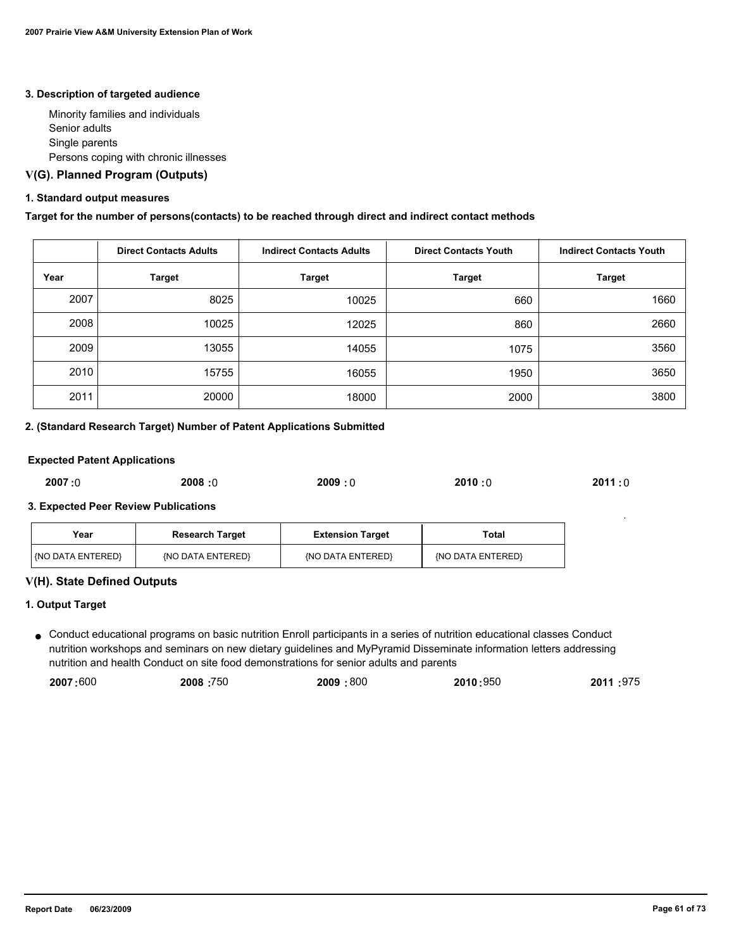#### **3. Description of targeted audience**

 Minority families and individuals Senior adults Single parents Persons coping with chronic illnesses

## **V(G). Planned Program (Outputs)**

## **1. Standard output measures**

#### **Target for the number of persons(contacts) to be reached through direct and indirect contact methods**

|      | <b>Direct Contacts Adults</b> | <b>Indirect Contacts Adults</b> | <b>Direct Contacts Youth</b> | <b>Indirect Contacts Youth</b> |
|------|-------------------------------|---------------------------------|------------------------------|--------------------------------|
| Year | <b>Target</b>                 | <b>Target</b>                   | Target                       | <b>Target</b>                  |
| 2007 | 8025                          | 10025                           | 660                          | 1660                           |
| 2008 | 10025                         | 12025                           | 860                          | 2660                           |
| 2009 | 13055                         | 14055                           | 1075                         | 3560                           |
| 2010 | 15755                         | 16055                           | 1950                         | 3650                           |
| 2011 | 20000                         | 18000                           | 2000                         | 3800                           |

#### **2. (Standard Research Target) Number of Patent Applications Submitted**

#### **Expected Patent Applications**

| 2007:0<br>2010:0<br>2008:0<br>2009:0<br>2011 : 0 |
|--------------------------------------------------|
|--------------------------------------------------|

#### **3. Expected Peer Review Publications**

| Year                       | <b>Research Target</b><br><b>Extension Target</b> |                   | Total             |
|----------------------------|---------------------------------------------------|-------------------|-------------------|
| <b>I (NO DATA ENTERED)</b> | (NO DATA ENTERED)                                 | (NO DATA ENTERED) | {NO DATA ENTERED} |

#### **V(H). State Defined Outputs**

#### **1. Output Target**

● Conduct educational programs on basic nutrition Enroll participants in a series of nutrition educational classes Conduct nutrition workshops and seminars on new dietary guidelines and MyPyramid Disseminate information letters addressing nutrition and health Conduct on site food demonstrations for senior adults and parents

| 2007:600 | 2008:750 | 2009:800 | 2010:950 | 2011:975 |
|----------|----------|----------|----------|----------|
|----------|----------|----------|----------|----------|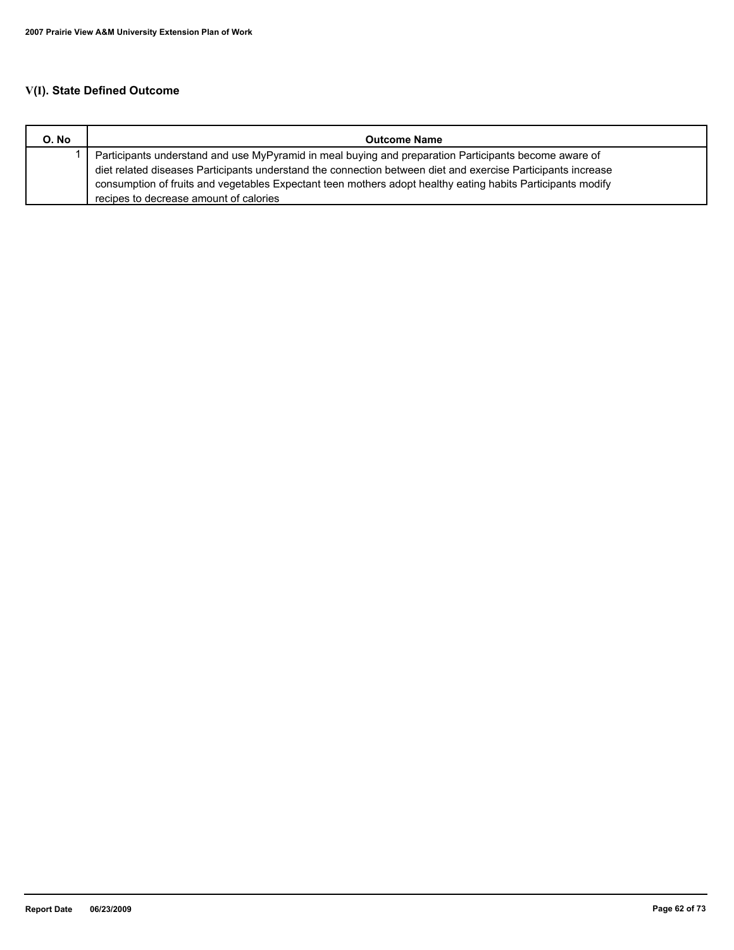# **V(I). State Defined Outcome**

| O. No | <b>Outcome Name</b>                                                                                          |
|-------|--------------------------------------------------------------------------------------------------------------|
|       | Participants understand and use MyPyramid in meal buying and preparation Participants become aware of        |
|       | diet related diseases Participants understand the connection between diet and exercise Participants increase |
|       | consumption of fruits and vegetables Expectant teen mothers adopt healthy eating habits Participants modify  |
|       | recipes to decrease amount of calories                                                                       |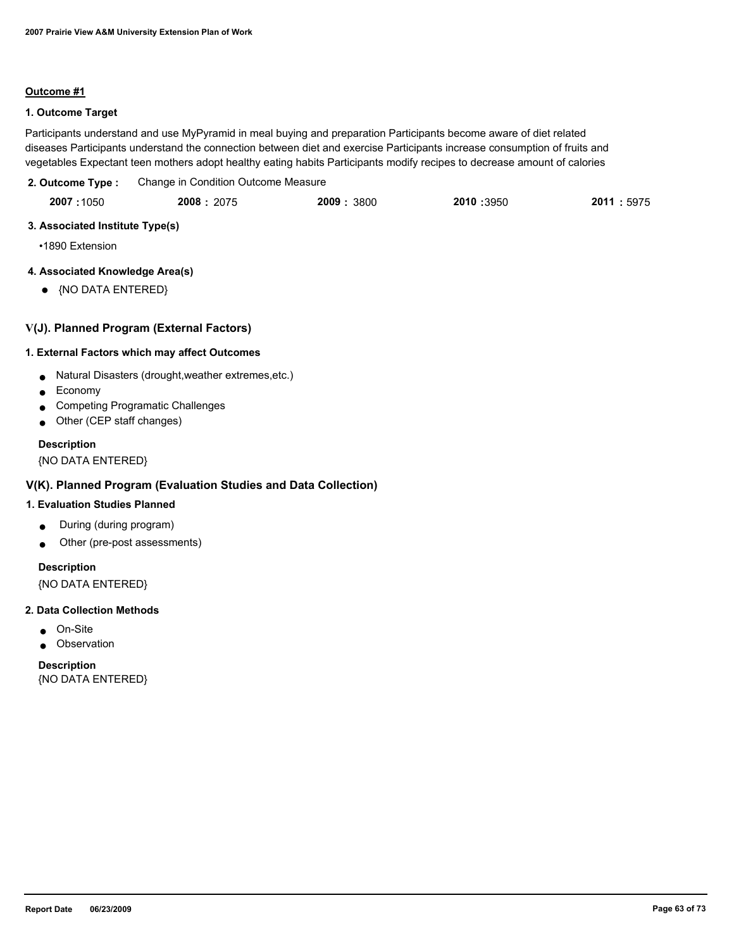#### **Outcome #1**

## **1. Outcome Target**

Participants understand and use MyPyramid in meal buying and preparation Participants become aware of diet related diseases Participants understand the connection between diet and exercise Participants increase consumption of fruits and vegetables Expectant teen mothers adopt healthy eating habits Participants modify recipes to decrease amount of calories

| 2. Outcome Type: | Change in Condition Outcome Measure |            |            |             |
|------------------|-------------------------------------|------------|------------|-------------|
| 2007:1050        | 2008: 2075                          | 2009: 3800 | 2010 :3950 | 2011 : 5975 |

## **3. Associated Institute Type(s)**

•1890 Extension

## **4. Associated Knowledge Area(s)**

● {NO DATA ENTERED}

## **V(J). Planned Program (External Factors)**

## **1. External Factors which may affect Outcomes**

- Natural Disasters (drought,weather extremes,etc.)
- Economy
- Competing Programatic Challenges
- Other (CEP staff changes)

## **Description**

{NO DATA ENTERED}

## **V(K). Planned Program (Evaluation Studies and Data Collection)**

## **1. Evaluation Studies Planned**

- During (during program)
- Other (pre-post assessments)

## **Description**

{NO DATA ENTERED}

#### **2. Data Collection Methods**

- On-Site
- Observation

**Description** {NO DATA ENTERED}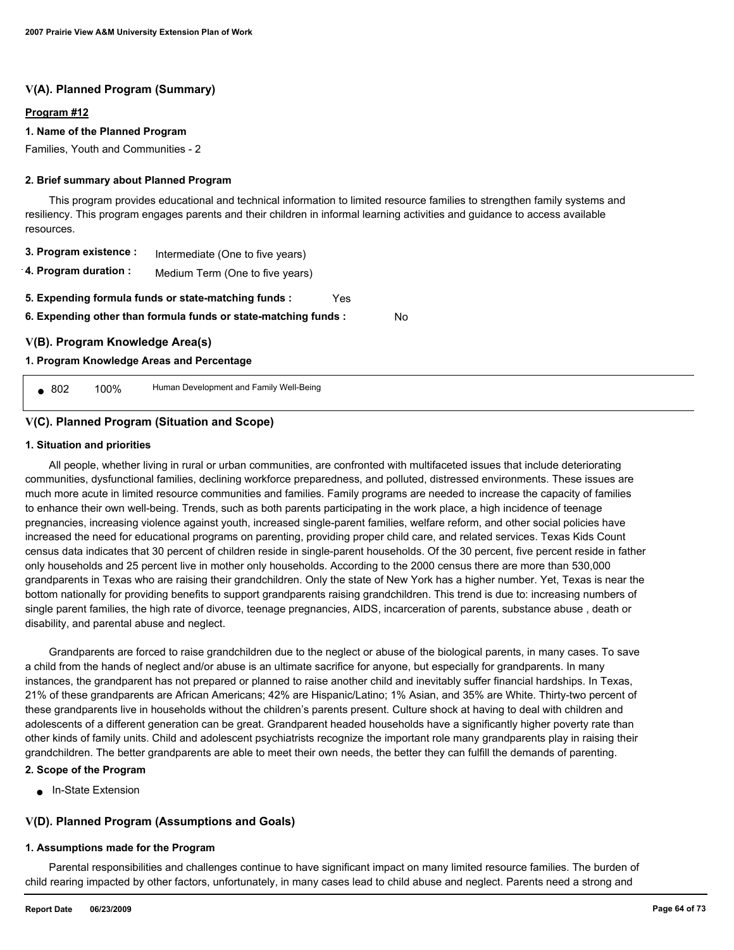## **V(A). Planned Program (Summary)**

#### **Program #12**

#### **1. Name of the Planned Program**

Families, Youth and Communities - 2

#### **2. Brief summary about Planned Program**

 This program provides educational and technical information to limited resource families to strengthen family systems and resiliency. This program engages parents and their children in informal learning activities and guidance to access available resources.

| 3. Program existence : | Intermediate (One to five years) |
|------------------------|----------------------------------|
|------------------------|----------------------------------|

**4. Program duration :** Medium Term (One to five years)

**5. Expending formula funds or state-matching funds :** Yes

**6. Expending other than formula funds or state-matching funds :** No

## **V(B). Program Knowledge Area(s)**

#### **1. Program Knowledge Areas and Percentage**

■ 802 100% Human Development and Family Well-Being

## **V(C). Planned Program (Situation and Scope)**

#### **1. Situation and priorities**

 All people, whether living in rural or urban communities, are confronted with multifaceted issues that include deteriorating communities, dysfunctional families, declining workforce preparedness, and polluted, distressed environments. These issues are much more acute in limited resource communities and families. Family programs are needed to increase the capacity of families to enhance their own well-being. Trends, such as both parents participating in the work place, a high incidence of teenage pregnancies, increasing violence against youth, increased single-parent families, welfare reform, and other social policies have increased the need for educational programs on parenting, providing proper child care, and related services. Texas Kids Count census data indicates that 30 percent of children reside in single-parent households. Of the 30 percent, five percent reside in father only households and 25 percent live in mother only households. According to the 2000 census there are more than 530,000 grandparents in Texas who are raising their grandchildren. Only the state of New York has a higher number. Yet, Texas is near the bottom nationally for providing benefits to support grandparents raising grandchildren. This trend is due to: increasing numbers of single parent families, the high rate of divorce, teenage pregnancies, AIDS, incarceration of parents, substance abuse , death or disability, and parental abuse and neglect.

 Grandparents are forced to raise grandchildren due to the neglect or abuse of the biological parents, in many cases. To save a child from the hands of neglect and/or abuse is an ultimate sacrifice for anyone, but especially for grandparents. In many instances, the grandparent has not prepared or planned to raise another child and inevitably suffer financial hardships. In Texas, 21% of these grandparents are African Americans; 42% are Hispanic/Latino; 1% Asian, and 35% are White. Thirty-two percent of these grandparents live in households without the children's parents present. Culture shock at having to deal with children and adolescents of a different generation can be great. Grandparent headed households have a significantly higher poverty rate than other kinds of family units. Child and adolescent psychiatrists recognize the important role many grandparents play in raising their grandchildren. The better grandparents are able to meet their own needs, the better they can fulfill the demands of parenting.

## **2. Scope of the Program**

● In-State Extension

## **V(D). Planned Program (Assumptions and Goals)**

#### **1. Assumptions made for the Program**

 Parental responsibilities and challenges continue to have significant impact on many limited resource families. The burden of child rearing impacted by other factors, unfortunately, in many cases lead to child abuse and neglect. Parents need a strong and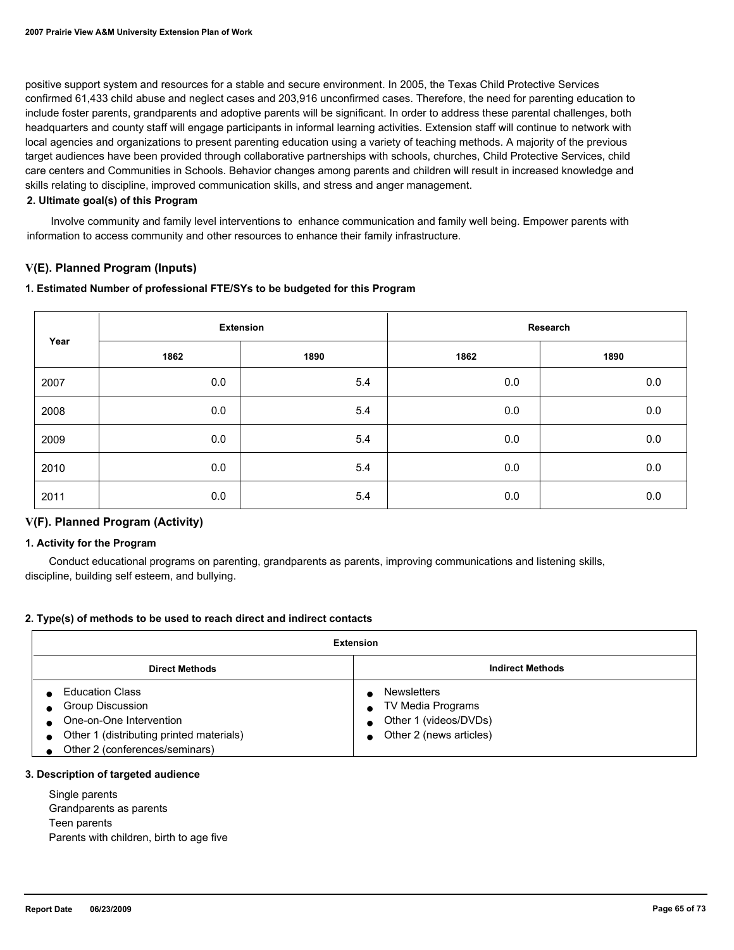positive support system and resources for a stable and secure environment. In 2005, the Texas Child Protective Services confirmed 61,433 child abuse and neglect cases and 203,916 unconfirmed cases. Therefore, the need for parenting education to include foster parents, grandparents and adoptive parents will be significant. In order to address these parental challenges, both headquarters and county staff will engage participants in informal learning activities. Extension staff will continue to network with local agencies and organizations to present parenting education using a variety of teaching methods. A majority of the previous target audiences have been provided through collaborative partnerships with schools, churches, Child Protective Services, child care centers and Communities in Schools. Behavior changes among parents and children will result in increased knowledge and skills relating to discipline, improved communication skills, and stress and anger management.

#### **2. Ultimate goal(s) of this Program**

 Involve community and family level interventions to enhance communication and family well being. Empower parents with information to access community and other resources to enhance their family infrastructure.

## **V(E). Planned Program (Inputs)**

#### **1. Estimated Number of professional FTE/SYs to be budgeted for this Program**

|      | <b>Extension</b> |      | Research |      |
|------|------------------|------|----------|------|
| Year | 1862             | 1890 | 1862     | 1890 |
| 2007 | 0.0              | 5.4  | 0.0      | 0.0  |
| 2008 | 0.0              | 5.4  | 0.0      | 0.0  |
| 2009 | 0.0              | 5.4  | 0.0      | 0.0  |
| 2010 | 0.0              | 5.4  | 0.0      | 0.0  |
| 2011 | 0.0              | 5.4  | 0.0      | 0.0  |

## **V(F). Planned Program (Activity)**

#### **1. Activity for the Program**

 Conduct educational programs on parenting, grandparents as parents, improving communications and listening skills, discipline, building self esteem, and bullying.

## **2. Type(s) of methods to be used to reach direct and indirect contacts**

| Extension                                                                                                                                                                            |                                                                                             |  |  |
|--------------------------------------------------------------------------------------------------------------------------------------------------------------------------------------|---------------------------------------------------------------------------------------------|--|--|
| <b>Direct Methods</b>                                                                                                                                                                | <b>Indirect Methods</b>                                                                     |  |  |
| <b>Education Class</b><br><b>Group Discussion</b><br>One-on-One Intervention<br>$\bullet$<br>Other 1 (distributing printed materials)<br>$\bullet$<br>Other 2 (conferences/seminars) | <b>Newsletters</b><br>TV Media Programs<br>Other 1 (videos/DVDs)<br>Other 2 (news articles) |  |  |

## **3. Description of targeted audience**

 Single parents Grandparents as parents Teen parents Parents with children, birth to age five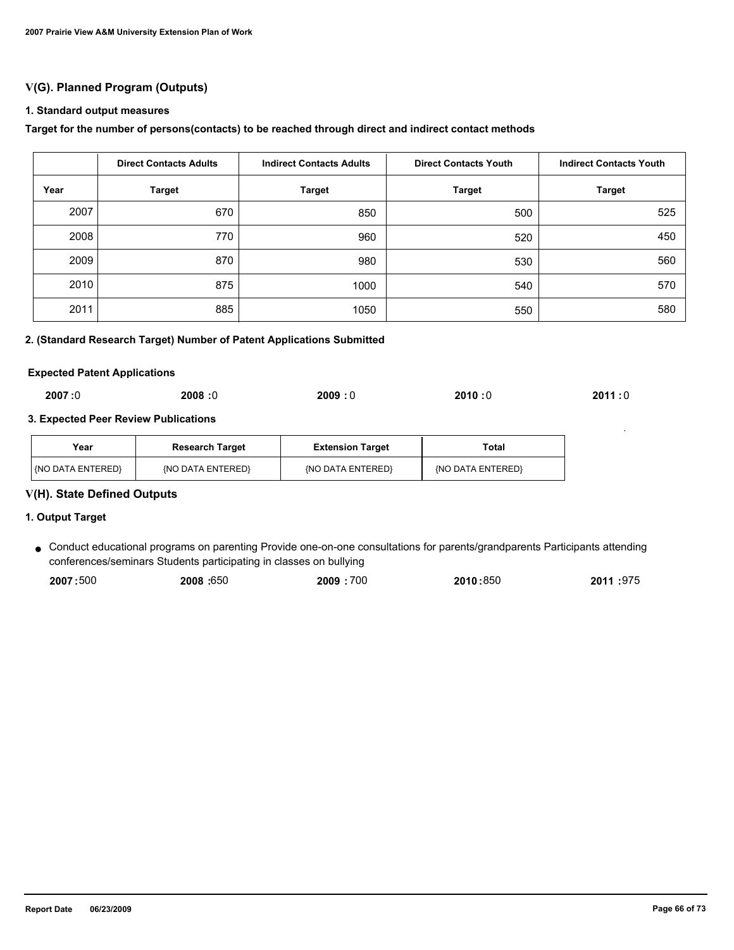# **V(G). Planned Program (Outputs)**

#### **1. Standard output measures**

#### **Target for the number of persons(contacts) to be reached through direct and indirect contact methods**

|      | <b>Direct Contacts Adults</b> | <b>Indirect Contacts Adults</b> |               | <b>Indirect Contacts Youth</b> |  |
|------|-------------------------------|---------------------------------|---------------|--------------------------------|--|
| Year | <b>Target</b>                 | <b>Target</b>                   | <b>Target</b> | <b>Target</b>                  |  |
| 2007 | 670                           | 850                             | 500           | 525                            |  |
| 2008 | 770                           | 960                             | 520           | 450                            |  |
| 2009 | 870                           | 980                             | 530           | 560                            |  |
| 2010 | 875                           | 1000                            | 540           | 570                            |  |
| 2011 | 885                           | 1050                            | 550           | 580                            |  |

## **2. (Standard Research Target) Number of Patent Applications Submitted**

#### **Expected Patent Applications**

## **3. Expected Peer Review Publications**

| Year                     | <b>Research Target</b> | <b>Extension Target</b> | Total             |
|--------------------------|------------------------|-------------------------|-------------------|
| <b>KNO DATA ENTERED!</b> | {NO DATA ENTERED}      | {NO DATA ENTERED}       | (NO DATA ENTERED) |

## **V(H). State Defined Outputs**

#### **1. Output Target**

Conduct educational programs on parenting Provide one-on-one consultations for parents/grandparents Participants attending ● conferences/seminars Students participating in classes on bullying

| 2007:500 | <b>2008: 650</b> | 2009:700 | 2010:850 | 2011:975 |
|----------|------------------|----------|----------|----------|
|          |                  |          |          |          |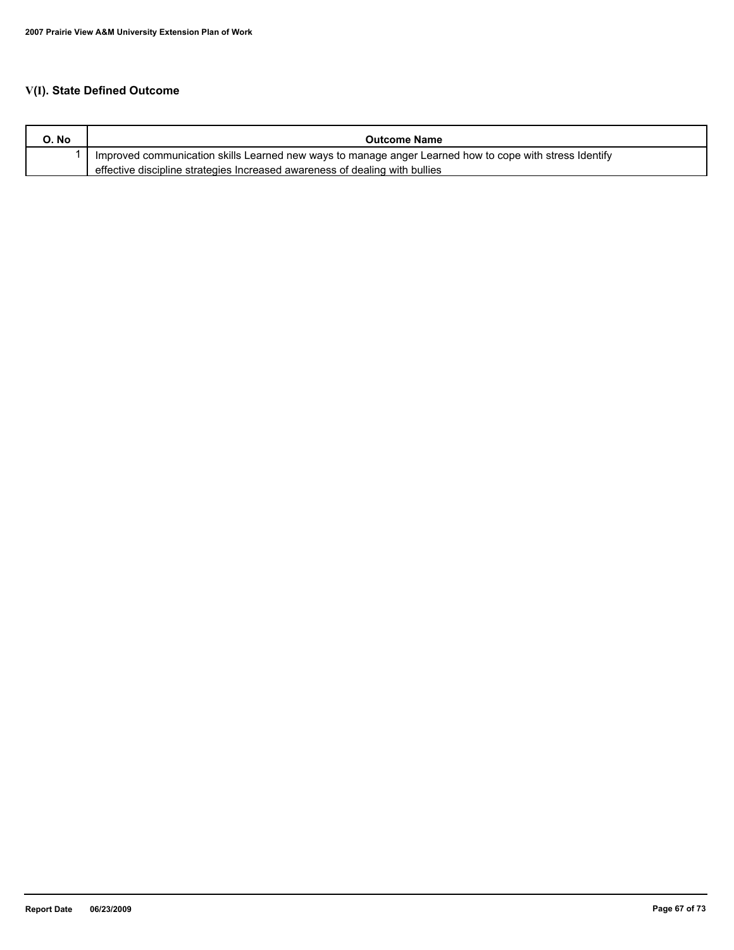# **V(I). State Defined Outcome**

| O. No | <b>Outcome Name</b>                                                                                     |
|-------|---------------------------------------------------------------------------------------------------------|
|       | Improved communication skills Learned new ways to manage anger Learned how to cope with stress Identify |
|       | effective discipline strategies Increased awareness of dealing with bullies                             |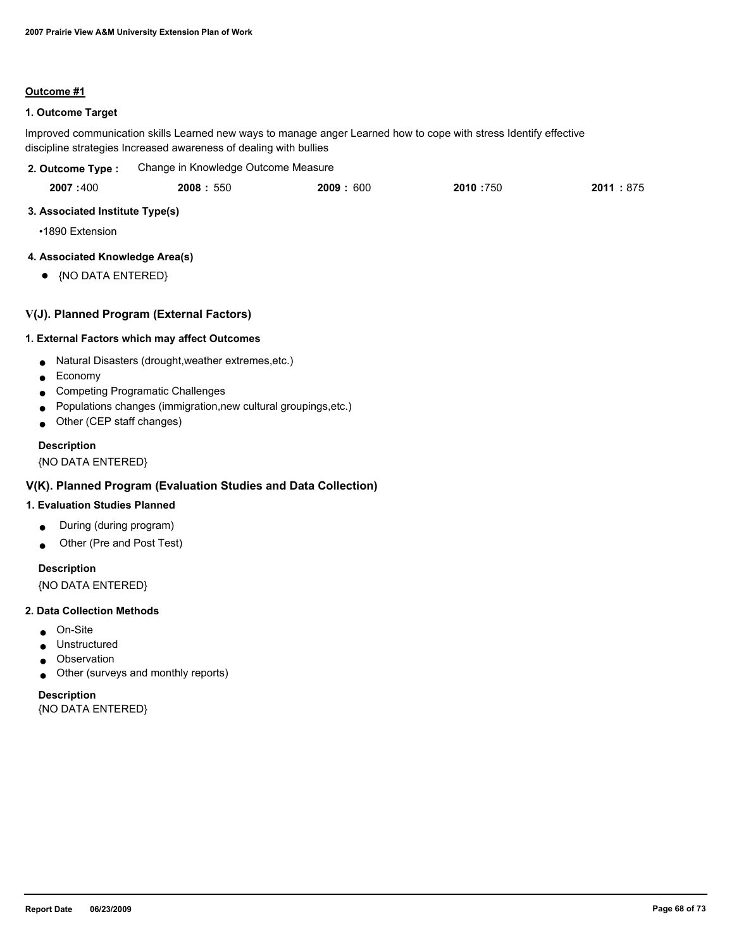#### **Outcome #1**

## **1. Outcome Target**

Improved communication skills Learned new ways to manage anger Learned how to cope with stress Identify effective discipline strategies Increased awareness of dealing with bullies

| 2. Outcome Type : | Change in Knowledge Outcome Measure |
|-------------------|-------------------------------------|
|-------------------|-------------------------------------|

|  | 2007:400 | 2008: 550 | 2009:600 | 2010 :750 | 2011<br>:875 |
|--|----------|-----------|----------|-----------|--------------|
|--|----------|-----------|----------|-----------|--------------|

## **3. Associated Institute Type(s)**

•1890 Extension

## **4. Associated Knowledge Area(s)**

● {NO DATA ENTERED}

## **V(J). Planned Program (External Factors)**

#### **1. External Factors which may affect Outcomes**

- Natural Disasters (drought,weather extremes,etc.)
- Economy
- Competing Programatic Challenges
- Populations changes (immigration,new cultural groupings,etc.)
- Other (CEP staff changes)

## **Description**

{NO DATA ENTERED}

## **V(K). Planned Program (Evaluation Studies and Data Collection)**

## **1. Evaluation Studies Planned**

- During (during program)
- Other (Pre and Post Test)

## **Description**

{NO DATA ENTERED}

#### **2. Data Collection Methods**

- On-Site
- Unstructured
- Observation
- Other (surveys and monthly reports)

#### **Description**

{NO DATA ENTERED}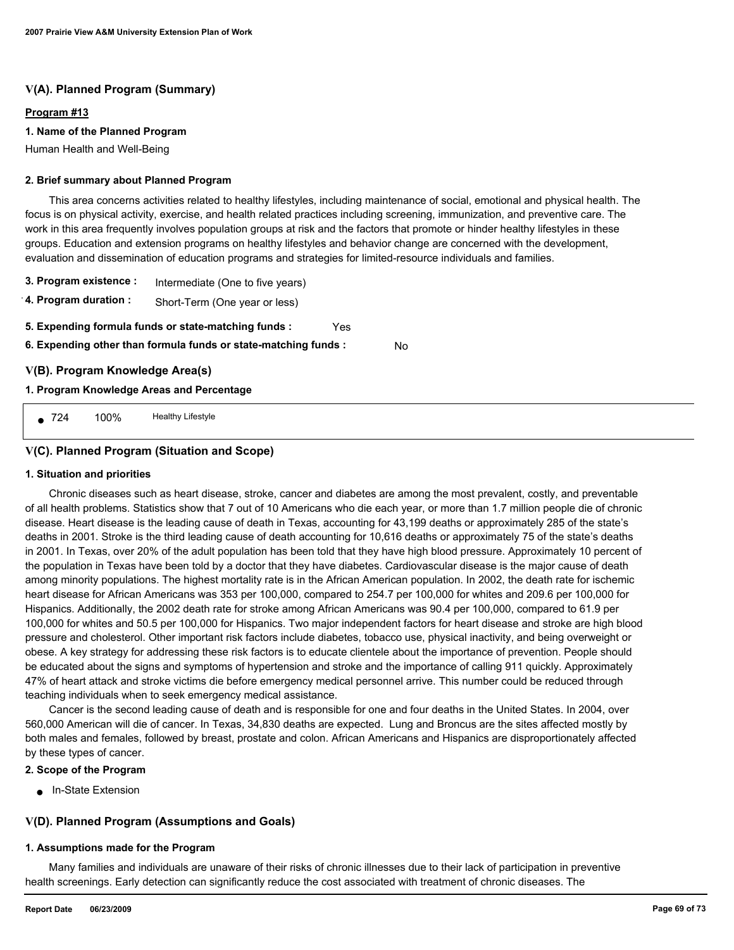## **V(A). Planned Program (Summary)**

#### **Program #13**

#### **1. Name of the Planned Program**

Human Health and Well-Being

#### **2. Brief summary about Planned Program**

 This area concerns activities related to healthy lifestyles, including maintenance of social, emotional and physical health. The focus is on physical activity, exercise, and health related practices including screening, immunization, and preventive care. The work in this area frequently involves population groups at risk and the factors that promote or hinder healthy lifestyles in these groups. Education and extension programs on healthy lifestyles and behavior change are concerned with the development, evaluation and dissemination of education programs and strategies for limited-resource individuals and families.

No

**3. Program existence :** Intermediate (One to five years)

**4. Program duration :** Short-Term (One year or less)

- **5. Expending formula funds or state-matching funds :** Yes
- **6. Expending other than formula funds or state-matching funds :**

## **V(B). Program Knowledge Area(s)**

## **1. Program Knowledge Areas and Percentage**

724 100% Healthy Lifestyle

## **V(C). Planned Program (Situation and Scope)**

#### **1. Situation and priorities**

 Chronic diseases such as heart disease, stroke, cancer and diabetes are among the most prevalent, costly, and preventable of all health problems. Statistics show that 7 out of 10 Americans who die each year, or more than 1.7 million people die of chronic disease. Heart disease is the leading cause of death in Texas, accounting for 43,199 deaths or approximately 285 of the state's deaths in 2001. Stroke is the third leading cause of death accounting for 10,616 deaths or approximately 75 of the state's deaths in 2001. In Texas, over 20% of the adult population has been told that they have high blood pressure. Approximately 10 percent of the population in Texas have been told by a doctor that they have diabetes. Cardiovascular disease is the major cause of death among minority populations. The highest mortality rate is in the African American population. In 2002, the death rate for ischemic heart disease for African Americans was 353 per 100,000, compared to 254.7 per 100,000 for whites and 209.6 per 100,000 for Hispanics. Additionally, the 2002 death rate for stroke among African Americans was 90.4 per 100,000, compared to 61.9 per 100,000 for whites and 50.5 per 100,000 for Hispanics. Two major independent factors for heart disease and stroke are high blood pressure and cholesterol. Other important risk factors include diabetes, tobacco use, physical inactivity, and being overweight or obese. A key strategy for addressing these risk factors is to educate clientele about the importance of prevention. People should be educated about the signs and symptoms of hypertension and stroke and the importance of calling 911 quickly. Approximately 47% of heart attack and stroke victims die before emergency medical personnel arrive. This number could be reduced through teaching individuals when to seek emergency medical assistance.

 Cancer is the second leading cause of death and is responsible for one and four deaths in the United States. In 2004, over 560,000 American will die of cancer. In Texas, 34,830 deaths are expected. Lung and Broncus are the sites affected mostly by both males and females, followed by breast, prostate and colon. African Americans and Hispanics are disproportionately affected by these types of cancer.

#### **2. Scope of the Program**

■ In-State Extension

## **V(D). Planned Program (Assumptions and Goals)**

#### **1. Assumptions made for the Program**

 Many families and individuals are unaware of their risks of chronic illnesses due to their lack of participation in preventive health screenings. Early detection can significantly reduce the cost associated with treatment of chronic diseases. The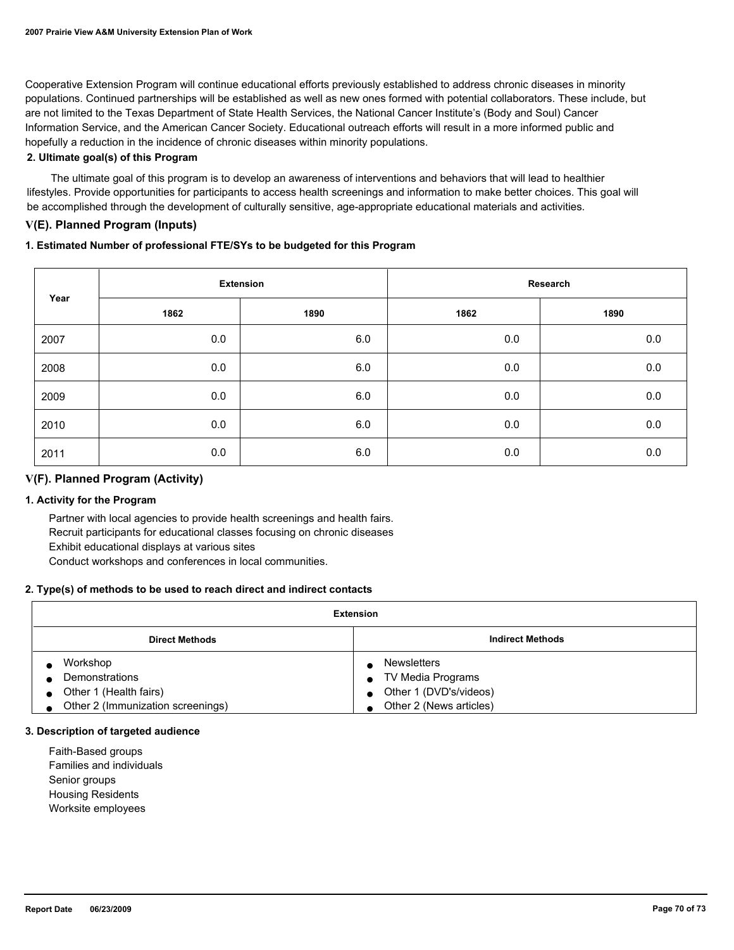Cooperative Extension Program will continue educational efforts previously established to address chronic diseases in minority populations. Continued partnerships will be established as well as new ones formed with potential collaborators. These include, but are not limited to the Texas Department of State Health Services, the National Cancer Institute's (Body and Soul) Cancer Information Service, and the American Cancer Society. Educational outreach efforts will result in a more informed public and hopefully a reduction in the incidence of chronic diseases within minority populations.

## **2. Ultimate goal(s) of this Program**

 The ultimate goal of this program is to develop an awareness of interventions and behaviors that will lead to healthier lifestyles. Provide opportunities for participants to access health screenings and information to make better choices. This goal will be accomplished through the development of culturally sensitive, age-appropriate educational materials and activities.

## **V(E). Planned Program (Inputs)**

## **1. Estimated Number of professional FTE/SYs to be budgeted for this Program**

| Year | <b>Extension</b> |      | Research |      |
|------|------------------|------|----------|------|
|      | 1862             | 1890 | 1862     | 1890 |
| 2007 | 0.0              | 6.0  | 0.0      | 0.0  |
| 2008 | 0.0              | 6.0  | 0.0      | 0.0  |
| 2009 | 0.0              | 6.0  | 0.0      | 0.0  |
| 2010 | 0.0              | 6.0  | 0.0      | 0.0  |
| 2011 | 0.0              | 6.0  | 0.0      | 0.0  |

## **V(F). Planned Program (Activity)**

#### **1. Activity for the Program**

 Partner with local agencies to provide health screenings and health fairs. Recruit participants for educational classes focusing on chronic diseases Exhibit educational displays at various sites Conduct workshops and conferences in local communities.

#### **2. Type(s) of methods to be used to reach direct and indirect contacts**

| <b>Extension</b>                  |                         |  |
|-----------------------------------|-------------------------|--|
| <b>Direct Methods</b>             | <b>Indirect Methods</b> |  |
| Workshop                          | <b>Newsletters</b>      |  |
| Demonstrations                    | TV Media Programs       |  |
| Other 1 (Health fairs)            | Other 1 (DVD's/videos)  |  |
| Other 2 (Immunization screenings) | Other 2 (News articles) |  |

#### **3. Description of targeted audience**

 Faith-Based groups Families and individuals Senior groups Housing Residents Worksite employees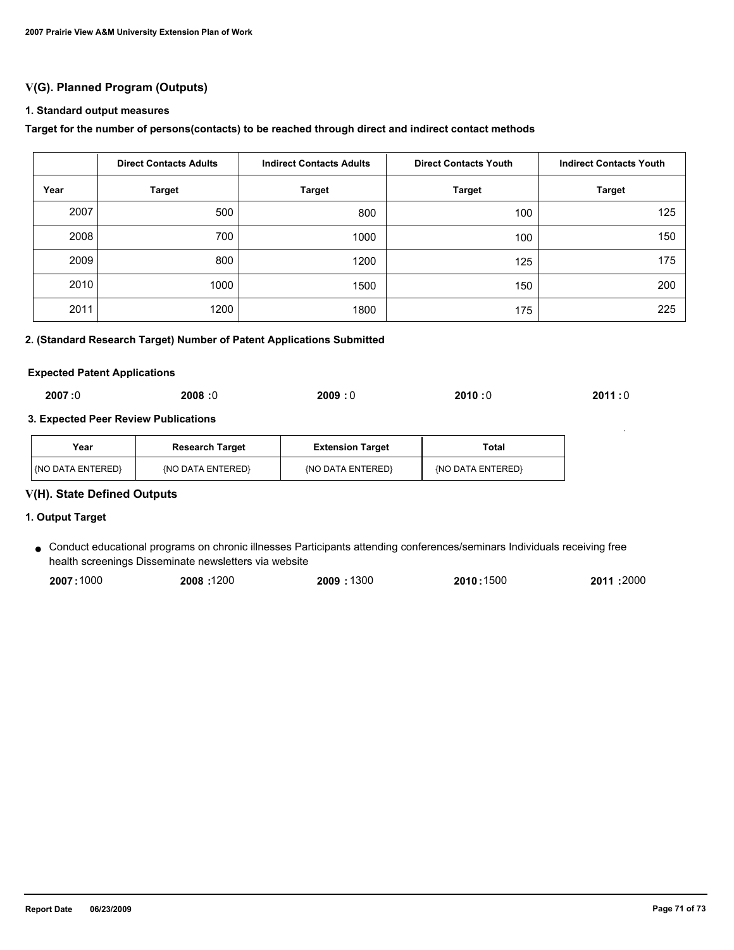## **V(G). Planned Program (Outputs)**

#### **1. Standard output measures**

#### **Target for the number of persons(contacts) to be reached through direct and indirect contact methods**

|      | <b>Direct Contacts Adults</b> | <b>Indirect Contacts Adults</b> | <b>Direct Contacts Youth</b> | <b>Indirect Contacts Youth</b> |  |
|------|-------------------------------|---------------------------------|------------------------------|--------------------------------|--|
| Year | <b>Target</b>                 | <b>Target</b>                   | <b>Target</b>                | <b>Target</b>                  |  |
| 2007 | 500                           | 800                             | 100                          | 125                            |  |
| 2008 | 700                           | 1000                            | 100                          | 150                            |  |
| 2009 | 800                           | 1200                            | 125                          | 175                            |  |
| 2010 | 1000                          | 1500                            | 150                          | 200                            |  |
| 2011 | 1200                          | 1800                            | 175                          | 225                            |  |

## **2. (Standard Research Target) Number of Patent Applications Submitted**

#### **Expected Patent Applications**

## **3. Expected Peer Review Publications**

| Year                     | <b>Research Target</b> | <b>Extension Target</b> | Total             |
|--------------------------|------------------------|-------------------------|-------------------|
| <b>KNO DATA ENTERED!</b> | {NO DATA ENTERED}      | {NO DATA ENTERED}       | (NO DATA ENTERED) |

## **V(H). State Defined Outputs**

#### **1. Output Target**

Conduct educational programs on chronic illnesses Participants attending conferences/seminars Individuals receiving free ● health screenings Disseminate newsletters via website

| 2007:1000 | 2008:1200 | 2009:1300 | 2010:1500 | 2011 :2000 |
|-----------|-----------|-----------|-----------|------------|
|           |           |           |           |            |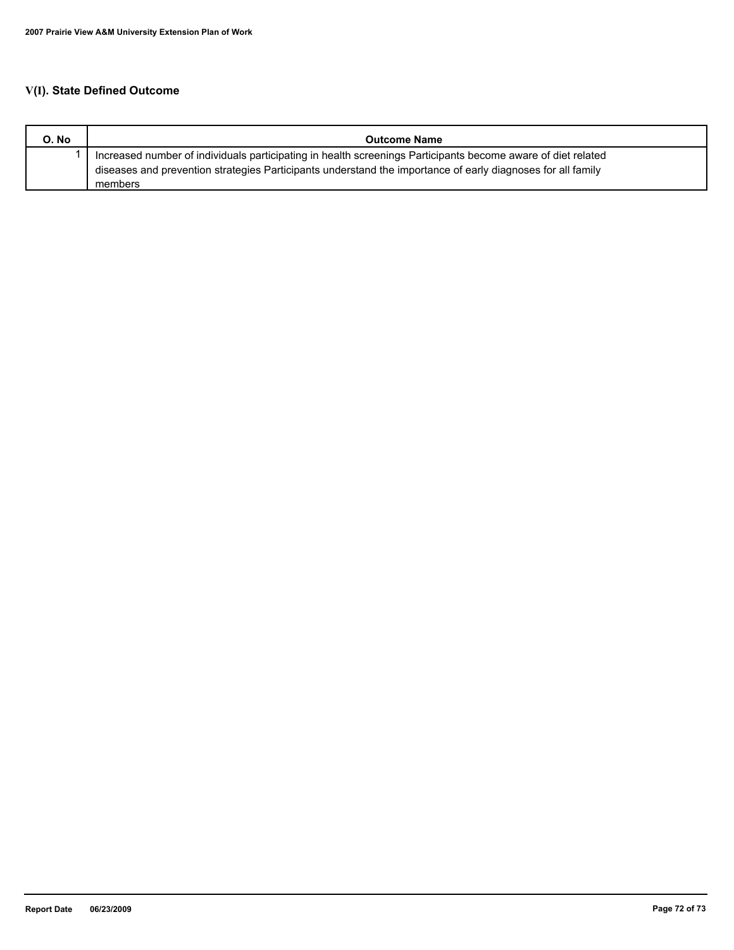# **V(I). State Defined Outcome**

| O. No | <b>Outcome Name</b>                                                                                          |
|-------|--------------------------------------------------------------------------------------------------------------|
|       | Increased number of individuals participating in health screenings Participants become aware of diet related |
|       | diseases and prevention strategies Participants understand the importance of early diagnoses for all family  |
|       | members                                                                                                      |